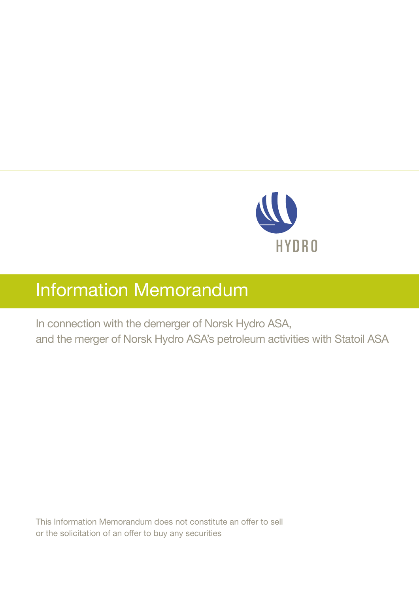

# Information Memorandum

In connection with the demerger of Norsk Hydro ASA, and the merger of Norsk Hydro ASA's petroleum activities with Statoil ASA

This Information Memorandum does not constitute an offer to sell or the solicitation of an offer to buy any securities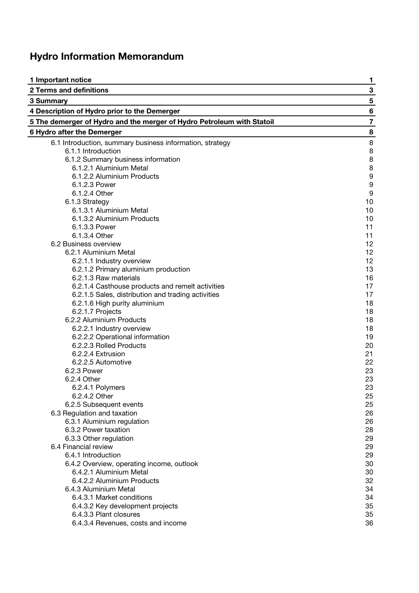# **Hydro Information Memorandum**

| 1 Important notice                                                     | 1              |
|------------------------------------------------------------------------|----------------|
| 2 Terms and definitions                                                | 3              |
| 3 Summary                                                              | 5              |
| 4 Description of Hydro prior to the Demerger                           | 6              |
| 5 The demerger of Hydro and the merger of Hydro Petroleum with Statoil | $\overline{7}$ |
| 6 Hydro after the Demerger                                             | 8              |
| 6.1 Introduction, summary business information, strategy               | 8              |
| 6.1.1 Introduction                                                     | 8              |
| 6.1.2 Summary business information                                     | 8              |
| 6.1.2.1 Aluminium Metal                                                | 8              |
| 6.1.2.2 Aluminium Products                                             | 9              |
| 6.1.2.3 Power                                                          | 9              |
| 6.1.2.4 Other                                                          | 9              |
| 6.1.3 Strategy                                                         | 10             |
| 6.1.3.1 Aluminium Metal                                                | 10             |
| 6.1.3.2 Aluminium Products                                             | 10             |
| 6.1.3.3 Power                                                          | 11             |
| 6.1.3.4 Other                                                          | 11             |
| 6.2 Business overview                                                  | 12             |
| 6.2.1 Aluminium Metal                                                  | 12             |
| 6.2.1.1 Industry overview                                              | 12             |
| 6.2.1.2 Primary aluminium production                                   | 13             |
| 6.2.1.3 Raw materials                                                  | 16             |
| 6.2.1.4 Casthouse products and remelt activities                       | 17             |
| 6.2.1.5 Sales, distribution and trading activities                     | 17             |
| 6.2.1.6 High purity aluminium                                          | 18             |
| 6.2.1.7 Projects                                                       | 18             |
| 6.2.2 Aluminium Products                                               | 18             |
| 6.2.2.1 Industry overview                                              | 18             |
| 6.2.2.2 Operational information                                        | 19             |
| 6.2.2.3 Rolled Products                                                | 20             |
| 6.2.2.4 Extrusion                                                      | 21             |
| 6.2.2.5 Automotive                                                     | 22             |
| 6.2.3 Power                                                            | 23             |
| 6.2.4 Other                                                            | 23             |
| 6.2.4.1 Polymers                                                       | 23             |
| 6.2.4.2 Other                                                          | 25             |
| 6.2.5 Subsequent events                                                | 25             |
| 6.3 Regulation and taxation                                            | 26             |
| 6.3.1 Aluminium regulation                                             | 26             |
| 6.3.2 Power taxation                                                   | 28             |
| 6.3.3 Other regulation                                                 | 29             |
| 6.4 Financial review                                                   | 29             |
| 6.4.1 Introduction                                                     | 29             |
| 6.4.2 Overview, operating income, outlook                              | 30             |
| 6.4.2.1 Aluminium Metal                                                | 30             |
| 6.4.2.2 Aluminium Products                                             | 32             |
| 6.4.3 Aluminium Metal                                                  | 34             |
| 6.4.3.1 Market conditions                                              | 34             |
| 6.4.3.2 Key development projects                                       | 35             |
| 6.4.3.3 Plant closures                                                 | 35             |
| 6.4.3.4 Revenues, costs and income                                     | 36             |
|                                                                        |                |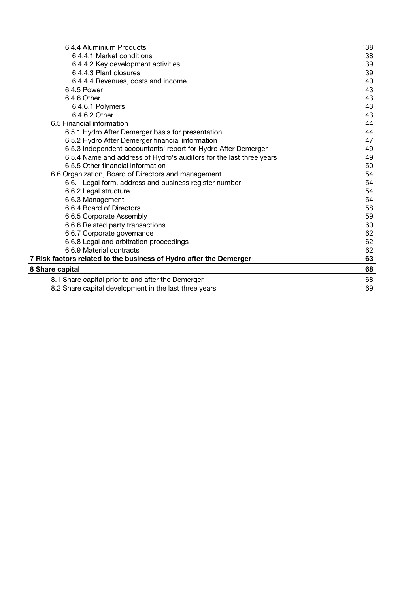| 6.4.4 Aluminium Products                                            | 38 |
|---------------------------------------------------------------------|----|
| 6.4.4.1 Market conditions                                           | 38 |
| 6.4.4.2 Key development activities                                  | 39 |
| 6.4.4.3 Plant closures                                              | 39 |
| 6.4.4.4 Revenues, costs and income                                  | 40 |
| 6.4.5 Power                                                         | 43 |
| 6.4.6 Other                                                         | 43 |
| 6.4.6.1 Polymers                                                    | 43 |
| 6.4.6.2 Other                                                       | 43 |
| 6.5 Financial information                                           | 44 |
| 6.5.1 Hydro After Demerger basis for presentation                   | 44 |
| 6.5.2 Hydro After Demerger financial information                    | 47 |
| 6.5.3 Independent accountants' report for Hydro After Demerger      | 49 |
| 6.5.4 Name and address of Hydro's auditors for the last three years | 49 |
| 6.5.5 Other financial information                                   | 50 |
| 6.6 Organization, Board of Directors and management                 | 54 |
| 6.6.1 Legal form, address and business register number              | 54 |
| 6.6.2 Legal structure                                               | 54 |
| 6.6.3 Management                                                    | 54 |
| 6.6.4 Board of Directors                                            | 58 |
| 6.6.5 Corporate Assembly                                            | 59 |
| 6.6.6 Related party transactions                                    | 60 |
| 6.6.7 Corporate governance                                          | 62 |
| 6.6.8 Legal and arbitration proceedings                             | 62 |
| 6.6.9 Material contracts                                            | 62 |
| 7 Risk factors related to the business of Hydro after the Demerger  | 63 |
| 8 Share capital                                                     | 68 |
| 8.1 Share capital prior to and after the Demerger                   | 68 |
| 8.2 Share capital development in the last three years               | 69 |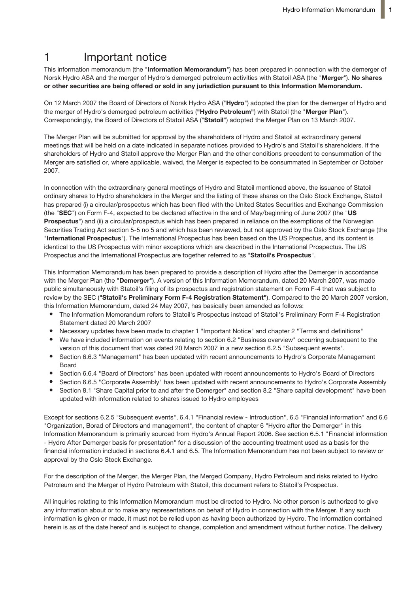# 1 **Important notice**

This information memorandum (the "**Information Memorandum**") has been prepared in connection with the demerger of Norsk Hydro ASA and the merger of Hydro's demerged petroleum activities with Statoil ASA (the "**Merger**"). **No shares or other securities are being offered or sold in any jurisdiction pursuant to this Information Memorandum.**

On 12 March 2007 the Board of Directors of Norsk Hydro ASA ("**Hydro**") adopted the plan for the demerger of Hydro and the merger of Hydro's demerged petroleum activities (**"Hydro Petroleum"**) with Statoil (the "**Merger Plan**"). Correspondingly, the Board of Directors of Statoil ASA ("Statoil") adopted the Merger Plan on 13 March 2007.

The Merger Plan will be submitted for approval by the shareholders of Hydro and Statoil at extraordinary general meetings that will be held on a date indicated in separate notices provided to Hydro's and Statoil's shareholders. If the shareholders of Hydro and Statoil approve the Merger Plan and the other conditions precedent to consummation of the Merger are satisfied or, where applicable, waived, the Merger is expected to be consummated in September or October 2007.

In connection with the extraordinary general meetings of Hydro and Statoil mentioned above, the issuance of Statoil ordinary shares to Hydro shareholders in the Merger and the listing of these shares on the Oslo Stock Exchange, Statoil has prepared (i) a circular/prospectus which has been filed with the United States Securities and Exchange Commission (the "**SEC**") on Form F-4, expected to be declared effective in the end of May/beginning of June 2007 (the "**US Prospectus**") and (ii) a circular/prospectus which has been prepared in reliance on the exemptions of the Norwegian Securities Trading Act section 5-5 no 5 and which has been reviewed, but not approved by the Oslo Stock Exchange (the "**International Prospectus**"). The International Prospectus has been based on the US Prospectus, and its content is identical to the US Prospectus with minor exceptions which are described in the International Prospectus. The US Prospectus and the International Prospectus are together referred to as "**Statoil's Prospectus**".

This Information Memorandum has been prepared to provide a description of Hydro after the Demerger in accordance with the Merger Plan (the "**Demerger**"). A version of this Information Memorandum, dated 20 March 2007, was made public simultaneously with Statoil's filing of its prospectus and registration statement on Form F-4 that was subject to review by the SEC (**"Statoil's Preliminary Form F-4 Registration Statement"**). Compared to the 20 March 2007 version, this Information Memorandum, dated 24 May 2007, has basically been amended as follows:

- The Information Memorandum refers to Statoil's Prospectus instead of Statoil's Preliminary Form F-4 Registration Statement dated 20 March 2007
- Necessary updates have been made to chapter 1 "Important Notice" and chapter 2 "Terms and definitions"
- We have included information on events relating to section 6.2 "Business overview" occurring subsequent to the version of this document that was dated 20 March 2007 in a new section 6.2.5 "Subsequent events".
- Section 6.6.3 "Management" has been updated with recent announcements to Hydro's Corporate Management Board
- Section 6.6.4 "Board of Directors" has been updated with recent announcements to Hydro's Board of Directors
- Section 6.6.5 "Corporate Assembly" has been updated with recent announcements to Hydro's Corporate Assembly
- Section 8.1 "Share Capital prior to and after the Demerger" and section 8.2 "Share capital development" have been updated with information related to shares issued to Hydro employees

Except for sections 6.2.5 "Subsequent events", 6.4.1 "Financial review - Introduction", 6.5 "Financial information" and 6.6 "Organization, Borad of Directors and management", the content of chapter 6 "Hydro after the Demerger" in this Information Memorandum is primarily sourced from Hydro's Annual Report 2006. See section 6.5.1 "Financial information - Hydro After Demerger basis for presentation" for a discussion of the accounting treatment used as a basis for the financial information included in sections 6.4.1 and 6.5. The Information Memorandum has not been subject to review or approval by the Oslo Stock Exchange.

For the description of the Merger, the Merger Plan, the Merged Company, Hydro Petroleum and risks related to Hydro Petroleum and the Merger of Hydro Petroleum with Statoil, this document refers to Statoil's Prospectus.

All inquiries relating to this Information Memorandum must be directed to Hydro. No other person is authorized to give any information about or to make any representations on behalf of Hydro in connection with the Merger. If any such information is given or made, it must not be relied upon as having been authorized by Hydro. The information contained herein is as of the date hereof and is subject to change, completion and amendment without further notice. The delivery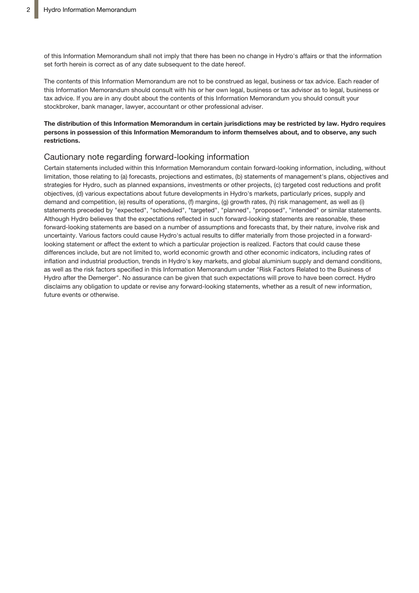of this Information Memorandum shall not imply that there has been no change in Hydro's affairs or that the information set forth herein is correct as of any date subsequent to the date hereof.

The contents of this Information Memorandum are not to be construed as legal, business or tax advice. Each reader of this Information Memorandum should consult with his or her own legal, business or tax advisor as to legal, business or tax advice. If you are in any doubt about the contents of this Information Memorandum you should consult your stockbroker, bank manager, lawyer, accountant or other professional adviser.

### The distribution of this Information Memorandum in certain jurisdictions may be restricted by law. Hydro requires **persons in possession of this Information Memorandum to inform themselves about, and to observe, any such restrictions.**

## Cautionary note regarding forward-looking information

Certain statements included within this Information Memorandum contain forward-looking information, including, without limitation, those relating to (a) forecasts, projections and estimates, (b) statements of management's plans, objectives and strategies for Hydro, such as planned expansions, investments or other projects, (c) targeted cost reductions and profit objectives, (d) various expectations about future developments in Hydro's markets, particularly prices, supply and demand and competition, (e) results of operations, (f) margins, (g) growth rates, (h) risk management, as well as (i) statements preceded by "expected", "scheduled", "targeted", "planned", "proposed", "intended" or similar statements. Although Hydro believes that the expectations reflected in such forward-looking statements are reasonable, these forward-looking statements are based on a number of assumptions and forecasts that, by their nature, involve risk and uncertainty. Various factors could cause Hydro's actual results to differ materially from those projected in a forwardlooking statement or affect the extent to which a particular projection is realized. Factors that could cause these differences include, but are not limited to, world economic growth and other economic indicators, including rates of inflation and industrial production, trends in Hydro's key markets, and global aluminium supply and demand conditions, as well as the risk factors specified in this Information Memorandum under "Risk Factors Related to the Business of Hydro after the Demerger". No assurance can be given that such expectations will prove to have been correct. Hydro disclaims any obligation to update or revise any forward-looking statements, whether as a result of new information, future events or otherwise.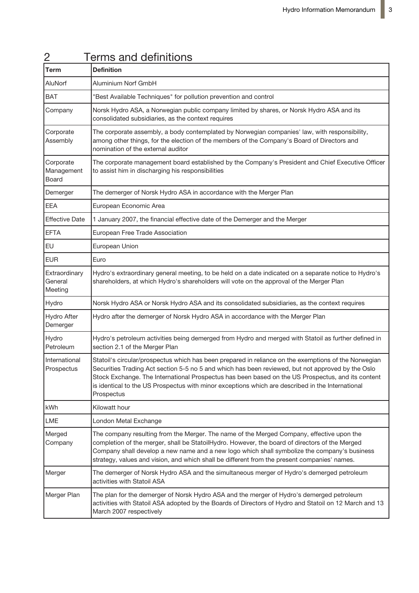| <b>Term</b>                         | <u>UNITED and abilities</u><br><b>Definition</b>                                                                                                                                                                                                                                                                                                                                                                                 |
|-------------------------------------|----------------------------------------------------------------------------------------------------------------------------------------------------------------------------------------------------------------------------------------------------------------------------------------------------------------------------------------------------------------------------------------------------------------------------------|
| AluNorf                             | Aluminium Norf GmbH                                                                                                                                                                                                                                                                                                                                                                                                              |
| <b>BAT</b>                          | "Best Available Techniques" for pollution prevention and control                                                                                                                                                                                                                                                                                                                                                                 |
| Company                             | Norsk Hydro ASA, a Norwegian public company limited by shares, or Norsk Hydro ASA and its<br>consolidated subsidiaries, as the context requires                                                                                                                                                                                                                                                                                  |
| Corporate<br>Assembly               | The corporate assembly, a body contemplated by Norwegian companies' law, with responsibility,<br>among other things, for the election of the members of the Company's Board of Directors and<br>nomination of the external auditor                                                                                                                                                                                               |
| Corporate<br>Management<br>Board    | The corporate management board established by the Company's President and Chief Executive Officer<br>to assist him in discharging his responsibilities                                                                                                                                                                                                                                                                           |
| Demerger                            | The demerger of Norsk Hydro ASA in accordance with the Merger Plan                                                                                                                                                                                                                                                                                                                                                               |
| <b>EEA</b>                          | European Economic Area                                                                                                                                                                                                                                                                                                                                                                                                           |
| <b>Effective Date</b>               | 1 January 2007, the financial effective date of the Demerger and the Merger                                                                                                                                                                                                                                                                                                                                                      |
| <b>EFTA</b>                         | European Free Trade Association                                                                                                                                                                                                                                                                                                                                                                                                  |
| <b>EU</b>                           | European Union                                                                                                                                                                                                                                                                                                                                                                                                                   |
| <b>EUR</b>                          | Euro                                                                                                                                                                                                                                                                                                                                                                                                                             |
| Extraordinary<br>General<br>Meeting | Hydro's extraordinary general meeting, to be held on a date indicated on a separate notice to Hydro's<br>shareholders, at which Hydro's shareholders will vote on the approval of the Merger Plan                                                                                                                                                                                                                                |
| Hydro                               | Norsk Hydro ASA or Norsk Hydro ASA and its consolidated subsidiaries, as the context requires                                                                                                                                                                                                                                                                                                                                    |
| <b>Hydro After</b><br>Demerger      | Hydro after the demerger of Norsk Hydro ASA in accordance with the Merger Plan                                                                                                                                                                                                                                                                                                                                                   |
| Hydro<br>Petroleum                  | Hydro's petroleum activities being demerged from Hydro and merged with Statoil as further defined in<br>section 2.1 of the Merger Plan                                                                                                                                                                                                                                                                                           |
| International<br>Prospectus         | Statoil's circular/prospectus which has been prepared in reliance on the exemptions of the Norwegian<br>Securities Trading Act section 5-5 no 5 and which has been reviewed, but not approved by the Oslo<br>Stock Exchange. The International Prospectus has been based on the US Prospectus, and its content<br>is identical to the US Prospectus with minor exceptions which are described in the International<br>Prospectus |
| kWh                                 | Kilowatt hour                                                                                                                                                                                                                                                                                                                                                                                                                    |
| <b>LME</b>                          | London Metal Exchange                                                                                                                                                                                                                                                                                                                                                                                                            |
| Merged<br>Company                   | The company resulting from the Merger. The name of the Merged Company, effective upon the<br>completion of the merger, shall be StatoilHydro. However, the board of directors of the Merged<br>Company shall develop a new name and a new logo which shall symbolize the company's business<br>strategy, values and vision, and which shall be different from the present companies' names.                                      |
| Merger                              | The demerger of Norsk Hydro ASA and the simultaneous merger of Hydro's demerged petroleum<br>activities with Statoil ASA                                                                                                                                                                                                                                                                                                         |
| Merger Plan                         | The plan for the demerger of Norsk Hydro ASA and the merger of Hydro's demerged petroleum<br>activities with Statoil ASA adopted by the Boards of Directors of Hydro and Statoil on 12 March and 13<br>March 2007 respectively                                                                                                                                                                                                   |

# 2 Terms and definitions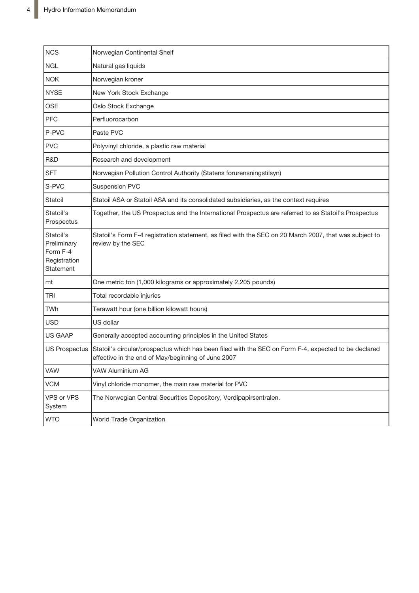| <b>NCS</b>                                                        | Norwegian Continental Shelf                                                                                                                                |
|-------------------------------------------------------------------|------------------------------------------------------------------------------------------------------------------------------------------------------------|
| <b>NGL</b>                                                        | Natural gas liquids                                                                                                                                        |
| <b>NOK</b>                                                        | Norwegian kroner                                                                                                                                           |
| <b>NYSE</b>                                                       | New York Stock Exchange                                                                                                                                    |
| <b>OSE</b>                                                        | Oslo Stock Exchange                                                                                                                                        |
| PFC                                                               | Perfluorocarbon                                                                                                                                            |
| P-PVC                                                             | Paste PVC                                                                                                                                                  |
| <b>PVC</b>                                                        | Polyvinyl chloride, a plastic raw material                                                                                                                 |
| R&D                                                               | Research and development                                                                                                                                   |
| <b>SFT</b>                                                        | Norwegian Pollution Control Authority (Statens forurensningstilsyn)                                                                                        |
| S-PVC                                                             | <b>Suspension PVC</b>                                                                                                                                      |
| Statoil                                                           | Statoil ASA or Statoil ASA and its consolidated subsidiaries, as the context requires                                                                      |
| Statoil's<br>Prospectus                                           | Together, the US Prospectus and the International Prospectus are referred to as Statoil's Prospectus                                                       |
| Statoil's<br>Preliminary<br>Form F-4<br>Registration<br>Statement | Statoil's Form F-4 registration statement, as filed with the SEC on 20 March 2007, that was subject to<br>review by the SEC                                |
| mt                                                                | One metric ton (1,000 kilograms or approximately 2,205 pounds)                                                                                             |
| <b>TRI</b>                                                        | Total recordable injuries                                                                                                                                  |
| TWh                                                               | Terawatt hour (one billion kilowatt hours)                                                                                                                 |
| <b>USD</b>                                                        | US dollar                                                                                                                                                  |
| <b>US GAAP</b>                                                    | Generally accepted accounting principles in the United States                                                                                              |
| <b>US Prospectus</b>                                              | Statoil's circular/prospectus which has been filed with the SEC on Form F-4, expected to be declared<br>effective in the end of May/beginning of June 2007 |
| VAW                                                               | VAW Aluminium AG                                                                                                                                           |
| <b>VCM</b>                                                        | Vinyl chloride monomer, the main raw material for PVC                                                                                                      |
| VPS or VPS<br>System                                              | The Norwegian Central Securities Depository, Verdipapirsentralen.                                                                                          |
| <b>WTO</b>                                                        | World Trade Organization                                                                                                                                   |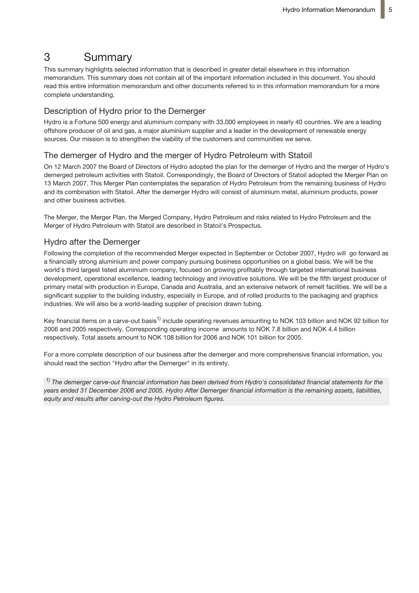# 3 Summary

This summary highlights selected information that is described in greater detail elsewhere in this information memorandum. This summary does not contain all of the important information included in this document. You should read this entire information memorandum and other documents referred to in this information memorandum for a more complete understanding.

# Description of Hydro prior to the Demerger

Hydro is a Fortune 500 energy and aluminium company with 33,000 employees in nearly 40 countries. We are a leading offshore producer of oil and gas, a major aluminium supplier and a leader in the development of renewable energy sources. Our mission is to strengthen the viability of the customers and communities we serve.

# The demerger of Hydro and the merger of Hydro Petroleum with Statoil

On 12 March 2007 the Board of Directors of Hydro adopted the plan for the demerger of Hydro and the merger of Hydro's demerged petroleum activities with Statoil. Correspondingly, the Board of Directors of Statoil adopted the Merger Plan on 13 March 2007. This Merger Plan contemplates the separation of Hydro Petroleum from the remaining business of Hydro and its combination with Statoil. After the demerger Hydro will consist of aluminium metal, aluminium products, power and other business activities.

The Merger, the Merger Plan, the Merged Company, Hydro Petroleum and risks related to Hydro Petroleum and the Merger of Hydro Petroleum with Statoil are described in Statoil's Prospectus.

# Hydro after the Demerger

Following the completion of the recommended Merger expected in September or October 2007, Hydro will go forward as a financially strong aluminium and power company pursuing business opportunities on a global basis. We will be the world's third largest listed aluminium company, focused on growing profitably through targeted international business development, operational excellence, leading technology and innovative solutions. We will be the fifth largest producer of primary metal with production in Europe, Canada and Australia, and an extensive network of remelt facilities. We will be a significant supplier to the building industry, especially in Europe, and of rolled products to the packaging and graphics industries. We will also be a world-leading supplier of precision drawn tubing.

Key financial items on a carve-out basis<sup>1)</sup> include operating revenues amounting to NOK 103 billion and NOK 92 billion for 2006 and 2005 respectively. Corresponding operating income amounts to NOK 7.8 billion and NOK 4.4 billion respectively. Total assets amount to NOK 108 billion for 2006 and NOK 101 billion for 2005.

For a more complete description of our business after the demerger and more comprehensive financial information, you should read the section "Hydro after the Demerger" in its entirety.

<sup>1)</sup> The demerger carve-out financial information has been derived from Hydro's consolidated financial statements for the *years ended 31 December 2006 and 2005. Hydro After Demerger financial information is the remaining assets, liabilities, equity and results after carving-out the Hydro Petroleum figures.*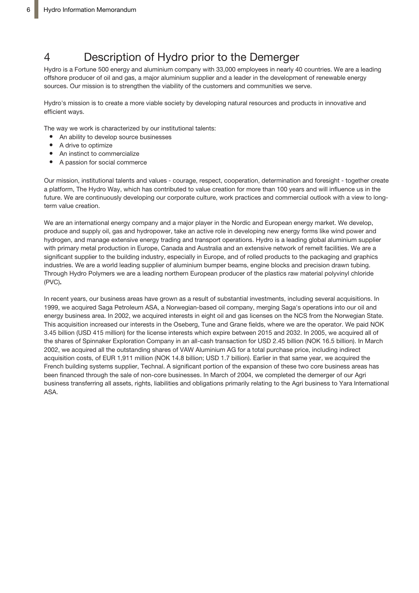# 4 Description of Hydro prior to the Demerger

Hydro is a Fortune 500 energy and aluminium company with 33,000 employees in nearly 40 countries. We are a leading offshore producer of oil and gas, a major aluminium supplier and a leader in the development of renewable energy sources. Our mission is to strengthen the viability of the customers and communities we serve.

Hydro's mission is to create a more viable society by developing natural resources and products in innovative and efficient ways.

The way we work is characterized by our institutional talents:

- An ability to develop source businesses
- A drive to optimize
- $\bullet$ An instinct to commercialize
- A passion for social commerce

Our mission, institutional talents and values - courage, respect, cooperation, determination and foresight - together create a platform, The Hydro Way, which has contributed to value creation for more than 100 years and will influence us in the future. We are continuously developing our corporate culture, work practices and commercial outlook with a view to longterm value creation.

We are an international energy company and a major player in the Nordic and European energy market. We develop, produce and supply oil, gas and hydropower, take an active role in developing new energy forms like wind power and hydrogen, and manage extensive energy trading and transport operations. Hydro is a leading global aluminium supplier with primary metal production in Europe, Canada and Australia and an extensive network of remelt facilities. We are a significant supplier to the building industry, especially in Europe, and of rolled products to the packaging and graphics industries. We are a world leading supplier of aluminium bumper beams, engine blocks and precision drawn tubing. Through Hydro Polymers we are a leading northern European producer of the plastics raw material polyvinyl chloride (PVC)**.**

In recent years, our business areas have grown as a result of substantial investments, including several acquisitions. In 1999, we acquired Saga Petroleum ASA, a Norwegian-based oil company, merging Saga's operations into our oil and energy business area. In 2002, we acquired interests in eight oil and gas licenses on the NCS from the Norwegian State. This acquisition increased our interests in the Oseberg, Tune and Grane fields, where we are the operator. We paid NOK 3.45 billion (USD 415 million) for the license interests which expire between 2015 and 2032. In 2005, we acquired all of the shares of Spinnaker Exploration Company in an all-cash transaction for USD 2.45 billion (NOK 16.5 billion). In March 2002, we acquired all the outstanding shares of VAW Aluminium AG for a total purchase price, including indirect acquisition costs, of EUR 1,911 million (NOK 14.8 billion; USD 1.7 billion). Earlier in that same year, we acquired the French building systems supplier, Technal. A significant portion of the expansion of these two core business areas has been financed through the sale of non-core businesses. In March of 2004, we completed the demerger of our Agri business transferring all assets, rights, liabilities and obligations primarily relating to the Agri business to Yara International ASA.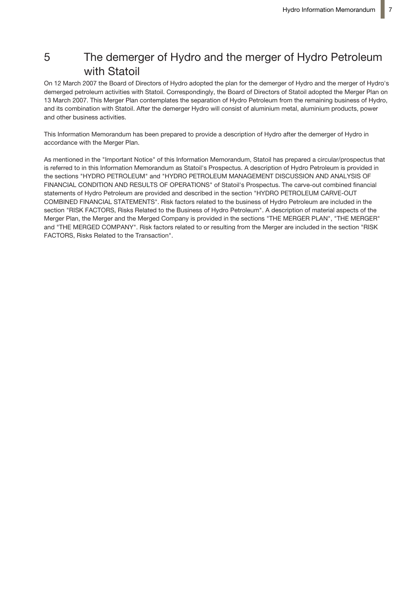# 5 The demerger of Hydro and the merger of Hydro Petroleum with Statoil

On 12 March 2007 the Board of Directors of Hydro adopted the plan for the demerger of Hydro and the merger of Hydro's demerged petroleum activities with Statoil. Correspondingly, the Board of Directors of Statoil adopted the Merger Plan on 13 March 2007. This Merger Plan contemplates the separation of Hydro Petroleum from the remaining business of Hydro, and its combination with Statoil. After the demerger Hydro will consist of aluminium metal, aluminium products, power and other business activities.

This Information Memorandum has been prepared to provide a description of Hydro after the demerger of Hydro in accordance with the Merger Plan.

As mentioned in the "Important Notice" of this Information Memorandum, Statoil has prepared a circular/prospectus that is referred to in this Information Memorandum as Statoil's Prospectus. A description of Hydro Petroleum is provided in the sections "HYDRO PETROLEUM" and "HYDRO PETROLEUM MANAGEMENT DISCUSSION AND ANALYSIS OF FINANCIAL CONDITION AND RESULTS OF OPERATIONS" of Statoil's Prospectus. The carve-out combined financial statements of Hydro Petroleum are provided and described in the section "HYDRO PETROLEUM CARVE-OUT COMBINED FINANCIAL STATEMENTS". Risk factors related to the business of Hydro Petroleum are included in the section "RISK FACTORS, Risks Related to the Business of Hydro Petroleum". A description of material aspects of the Merger Plan, the Merger and the Merged Company is provided in the sections "THE MERGER PLAN", "THE MERGER" and "THE MERGED COMPANY". Risk factors related to or resulting from the Merger are included in the section "RISK FACTORS, Risks Related to the Transaction".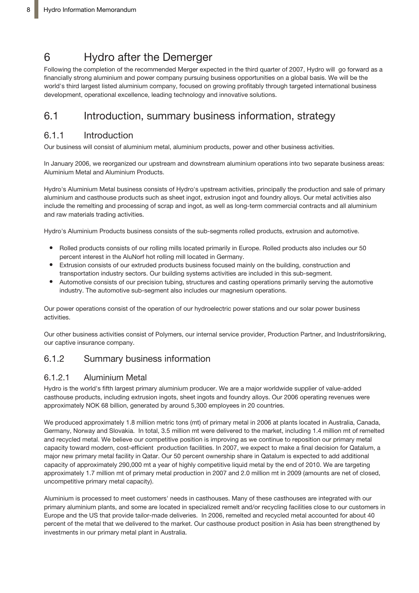# 6 Hydro after the Demerger

Following the completion of the recommended Merger expected in the third quarter of 2007, Hydro will go forward as a financially strong aluminium and power company pursuing business opportunities on a global basis. We will be the world's third largest listed aluminium company, focused on growing profitably through targeted international business development, operational excellence, leading technology and innovative solutions.

# 6.1 Introduction, summary business information, strategy

# 6.1.1 Introduction

Our business will consist of aluminium metal, aluminium products, power and other business activities.

In January 2006, we reorganized our upstream and downstream aluminium operations into two separate business areas: Aluminium Metal and Aluminium Products.

Hydro's Aluminium Metal business consists of Hydro's upstream activities, principally the production and sale of primary aluminium and casthouse products such as sheet ingot, extrusion ingot and foundry alloys. Our metal activities also include the remelting and processing of scrap and ingot, as well as long-term commercial contracts and all aluminium and raw materials trading activities.

Hydro's Aluminium Products business consists of the sub-segments rolled products, extrusion and automotive.

- Rolled products consists of our rolling mills located primarily in Europe. Rolled products also includes our 50 percent interest in the AluNorf hot rolling mill located in Germany.
- Extrusion consists of our extruded products business focused mainly on the building, construction and transportation industry sectors. Our building systems activities are included in this sub-segment.
- Automotive consists of our precision tubing, structures and casting operations primarily serving the automotive industry. The automotive sub-segment also includes our magnesium operations.

Our power operations consist of the operation of our hydroelectric power stations and our solar power business activities.

Our other business activities consist of Polymers, our internal service provider, Production Partner, and Industriforsikring, our captive insurance company.

# 6.1.2 Summary business information

# 6.1.2.1 Aluminium Metal

Hydro is the world's fifth largest primary aluminium producer. We are a major worldwide supplier of value-added casthouse products, including extrusion ingots, sheet ingots and foundry alloys. Our 2006 operating revenues were approximately NOK 68 billion, generated by around 5,300 employees in 20 countries.

We produced approximately 1.8 million metric tons (mt) of primary metal in 2006 at plants located in Australia, Canada, Germany, Norway and Slovakia. In total, 3.5 million mt were delivered to the market, including 1.4 million mt of remelted and recycled metal. We believe our competitive position is improving as we continue to reposition our primary metal capacity toward modern, cost-efficient production facilities. In 2007, we expect to make a final decision for Qatalum, a major new primary metal facility in Qatar. Our 50 percent ownership share in Qatalum is expected to add additional capacity of approximately 290,000 mt a year of highly competitive liquid metal by the end of 2010. We are targeting approximately 1.7 million mt of primary metal production in 2007 and 2.0 million mt in 2009 (amounts are net of closed, uncompetitive primary metal capacity).

Aluminium is processed to meet customers' needs in casthouses. Many of these casthouses are integrated with our primary aluminium plants, and some are located in specialized remelt and/or recycling facilities close to our customers in Europe and the US that provide tailor-made deliveries. In 2006, remelted and recycled metal accounted for about 40 percent of the metal that we delivered to the market. Our casthouse product position in Asia has been strengthened by investments in our primary metal plant in Australia.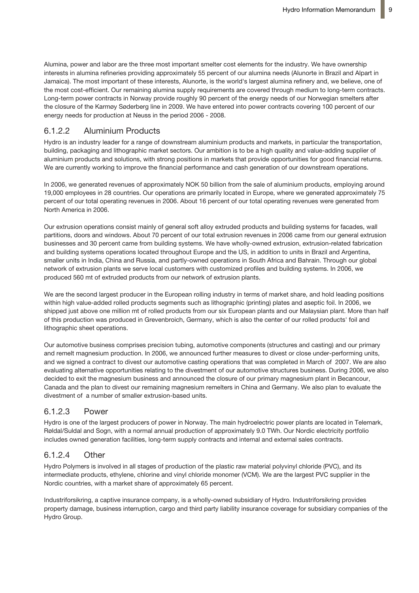Alumina, power and labor are the three most important smelter cost elements for the industry. We have ownership interests in alumina refineries providing approximately 55 percent of our alumina needs (Alunorte in Brazil and Alpart in Jamaica). The most important of these interests, Alunorte, is the world's largest alumina refinery and, we believe, one of the most cost-efficient. Our remaining alumina supply requirements are covered through medium to long-term contracts. Long-term power contracts in Norway provide roughly 90 percent of the energy needs of our Norwegian smelters after the closure of the Karmøy Søderberg line in 2009. We have entered into power contracts covering 100 percent of our energy needs for production at Neuss in the period 2006 - 2008.

# 6.1.2.2 Aluminium Products

Hydro is an industry leader for a range of downstream aluminium products and markets, in particular the transportation, building, packaging and lithographic market sectors. Our ambition is to be a high quality and value-adding supplier of aluminium products and solutions, with strong positions in markets that provide opportunities for good financial returns. We are currently working to improve the financial performance and cash generation of our downstream operations.

In 2006, we generated revenues of approximately NOK 50 billion from the sale of aluminium products, employing around 19,000 employees in 28 countries. Our operations are primarily located in Europe, where we generated approximately 75 percent of our total operating revenues in 2006. About 16 percent of our total operating revenues were generated from North America in 2006.

Our extrusion operations consist mainly of general soft alloy extruded products and building systems for facades, wall partitions, doors and windows. About 70 percent of our total extrusion revenues in 2006 came from our general extrusion businesses and 30 percent came from building systems. We have wholly-owned extrusion, extrusion-related fabrication and building systems operations located throughout Europe and the US, in addition to units in Brazil and Argentina, smaller units in India, China and Russia, and partly-owned operations in South Africa and Bahrain. Through our global network of extrusion plants we serve local customers with customized profiles and building systems. In 2006, we produced 560 mt of extruded products from our network of extrusion plants.

We are the second largest producer in the European rolling industry in terms of market share, and hold leading positions within high value-added rolled products segments such as lithographic (printing) plates and aseptic foil. In 2006, we shipped just above one million mt of rolled products from our six European plants and our Malaysian plant. More than half of this production was produced in Grevenbroich, Germany, which is also the center of our rolled products' foil and lithographic sheet operations.

Our automotive business comprises precision tubing, automotive components (structures and casting) and our primary and remelt magnesium production. In 2006, we announced further measures to divest or close under-performing units, and we signed a contract to divest our automotive casting operations that was completed in March of 2007. We are also evaluating alternative opportunities relating to the divestment of our automotive structures business. During 2006, we also decided to exit the magnesium business and announced the closure of our primary magnesium plant in Becancour, Canada and the plan to divest our remaining magnesium remelters in China and Germany. We also plan to evaluate the divestment of a number of smaller extrusion-based units.

# 6.1.2.3 Power

Hydro is one of the largest producers of power in Norway. The main hydroelectric power plants are located in Telemark, Røldal/Suldal and Sogn, with a normal annual production of approximately 9.0 TWh. Our Nordic electricity portfolio includes owned generation facilities, long-term supply contracts and internal and external sales contracts.

# 6.1.2.4 Other

Hydro Polymers is involved in all stages of production of the plastic raw material polyvinyl chloride (PVC), and its intermediate products, ethylene, chlorine and vinyl chloride monomer (VCM). We are the largest PVC supplier in the Nordic countries, with a market share of approximately 65 percent.

Industriforsikring, a captive insurance company, is a wholly-owned subsidiary of Hydro. Industriforsikring provides property damage, business interruption, cargo and third party liability insurance coverage for subsidiary companies of the Hydro Group.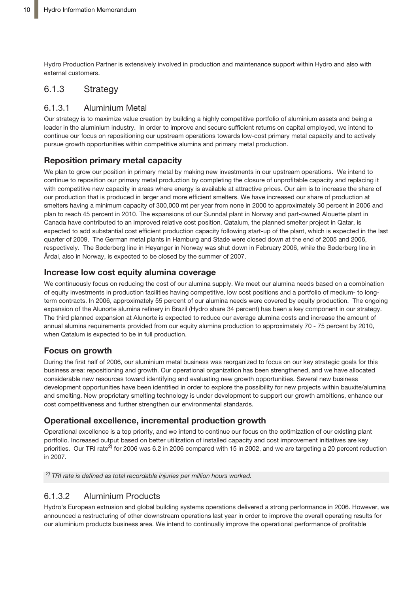Hydro Production Partner is extensively involved in production and maintenance support within Hydro and also with external customers.

# 6.1.3 Strategy

# 6.1.3.1 Aluminium Metal

Our strategy is to maximize value creation by building a highly competitive portfolio of aluminium assets and being a leader in the aluminium industry. In order to improve and secure sufficient returns on capital employed, we intend to continue our focus on repositioning our upstream operations towards low-cost primary metal capacity and to actively pursue growth opportunities within competitive alumina and primary metal production.

# **Reposition primary metal capacity**

We plan to grow our position in primary metal by making new investments in our upstream operations. We intend to continue to reposition our primary metal production by completing the closure of unprofitable capacity and replacing it with competitive new capacity in areas where energy is available at attractive prices. Our aim is to increase the share of our production that is produced in larger and more efficient smelters. We have increased our share of production at smelters having a minimum capacity of 300,000 mt per year from none in 2000 to approximately 30 percent in 2006 and plan to reach 45 percent in 2010. The expansions of our Sunndal plant in Norway and part-owned Alouette plant in Canada have contributed to an improved relative cost position. Qatalum, the planned smelter project in Qatar, is expected to add substantial cost efficient production capacity following start-up of the plant, which is expected in the last quarter of 2009. The German metal plants in Hamburg and Stade were closed down at the end of 2005 and 2006, respectively. The Søderberg line in Høyanger in Norway was shut down in February 2006, while the Søderberg line in Årdal, also in Norway, is expected to be closed by the summer of 2007.

# **Increase low cost equity alumina coverage**

We continuously focus on reducing the cost of our alumina supply. We meet our alumina needs based on a combination of equity investments in production facilities having competitive, low cost positions and a portfolio of medium- to longterm contracts. In 2006, approximately 55 percent of our alumina needs were covered by equity production. The ongoing expansion of the Alunorte alumina refinery in Brazil (Hydro share 34 percent) has been a key component in our strategy. The third planned expansion at Alunorte is expected to reduce our average alumina costs and increase the amount of annual alumina requirements provided from our equity alumina production to approximately 70 - 75 percent by 2010, when Qatalum is expected to be in full production.

# **Focus on growth**

During the first half of 2006, our aluminium metal business was reorganized to focus on our key strategic goals for this business area: repositioning and growth. Our operational organization has been strengthened, and we have allocated considerable new resources toward identifying and evaluating new growth opportunities. Several new business development opportunities have been identified in order to explore the possibility for new projects within bauxite/alumina and smelting. New proprietary smelting technology is under development to support our growth ambitions, enhance our cost competitiveness and further strengthen our environmental standards.

# **Operational excellence, incremental production growth**

Operational excellence is a top priority, and we intend to continue our focus on the optimization of our existing plant portfolio. Increased output based on better utilization of installed capacity and cost improvement initiatives are key priorities. Our TRI rate<sup>2)</sup> for 2006 was 6.2 in 2006 compared with 15 in 2002, and we are targeting a 20 percent reduction in 2007.

*2) TRI rate is defined as total recordable injuries per million hours worked.*

# 6.1.3.2 Aluminium Products

Hydro's European extrusion and global building systems operations delivered a strong performance in 2006. However, we announced a restructuring of other downstream operations last year in order to improve the overall operating results for our aluminium products business area. We intend to continually improve the operational performance of profitable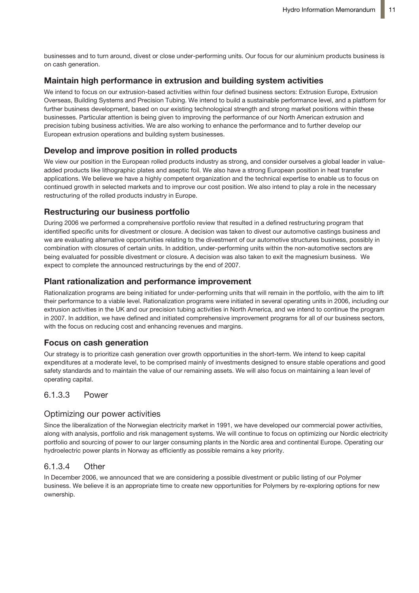businesses and to turn around, divest or close under-performing units. Our focus for our aluminium products business is on cash generation.

## **Maintain high performance in extrusion and building system activities**

We intend to focus on our extrusion-based activities within four defined business sectors: Extrusion Europe, Extrusion Overseas, Building Systems and Precision Tubing. We intend to build a sustainable performance level, and a platform for further business development, based on our existing technological strength and strong market positions within these businesses. Particular attention is being given to improving the performance of our North American extrusion and precision tubing business activities. We are also working to enhance the performance and to further develop our European extrusion operations and building system businesses.

# **Develop and improve position in rolled products**

We view our position in the European rolled products industry as strong, and consider ourselves a global leader in valueadded products like lithographic plates and aseptic foil. We also have a strong European position in heat transfer applications. We believe we have a highly competent organization and the technical expertise to enable us to focus on continued growth in selected markets and to improve our cost position. We also intend to play a role in the necessary restructuring of the rolled products industry in Europe.

## **Restructuring our business portfolio**

During 2006 we performed a comprehensive portfolio review that resulted in a defined restructuring program that identified specific units for divestment or closure. A decision was taken to divest our automotive castings business and we are evaluating alternative opportunities relating to the divestment of our automotive structures business, possibly in combination with closures of certain units. In addition, under-performing units within the non-automotive sectors are being evaluated for possible divestment or closure. A decision was also taken to exit the magnesium business. We expect to complete the announced restructurings by the end of 2007.

## **Plant rationalization and performance improvement**

Rationalization programs are being initiated for under-performing units that will remain in the portfolio, with the aim to lift their performance to a viable level. Rationalization programs were initiated in several operating units in 2006, including our extrusion activities in the UK and our precision tubing activities in North America, and we intend to continue the program in 2007. In addition, we have defined and initiated comprehensive improvement programs for all of our business sectors, with the focus on reducing cost and enhancing revenues and margins.

### **Focus on cash generation**

Our strategy is to prioritize cash generation over growth opportunities in the short-term. We intend to keep capital expenditures at a moderate level, to be comprised mainly of investments designed to ensure stable operations and good safety standards and to maintain the value of our remaining assets. We will also focus on maintaining a lean level of operating capital.

## 6.1.3.3 Power

### Optimizing our power activities

Since the liberalization of the Norwegian electricity market in 1991, we have developed our commercial power activities, along with analysis, portfolio and risk management systems. We will continue to focus on optimizing our Nordic electricity portfolio and sourcing of power to our larger consuming plants in the Nordic area and continental Europe. Operating our hydroelectric power plants in Norway as efficiently as possible remains a key priority.

### 6.1.3.4 Other

In December 2006, we announced that we are considering a possible divestment or public listing of our Polymer business. We believe it is an appropriate time to create new opportunities for Polymers by re-exploring options for new ownership.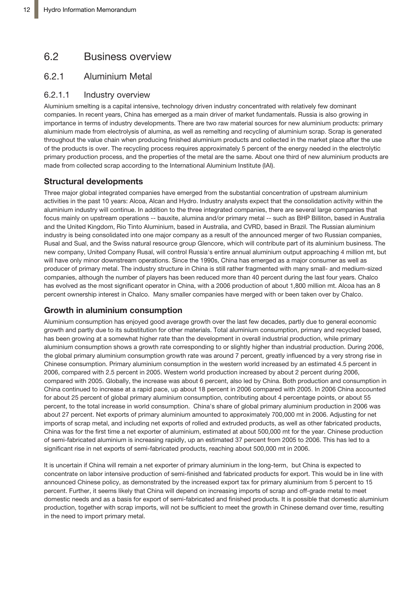# 6.2 Business overview

# 6.2.1 Aluminium Metal

### 6.2.1.1 Industry overview

Aluminium smelting is a capital intensive, technology driven industry concentrated with relatively few dominant companies. In recent years, China has emerged as a main driver of market fundamentals. Russia is also growing in importance in terms of industry developments. There are two raw material sources for new aluminium products: primary aluminium made from electrolysis of alumina, as well as remelting and recycling of aluminium scrap. Scrap is generated throughout the value chain when producing finished aluminium products and collected in the market place after the use of the products is over. The recycling process requires approximately 5 percent of the energy needed in the electrolytic primary production process, and the properties of the metal are the same. About one third of new aluminium products are made from collected scrap according to the International Aluminium Institute (IAI).

## **Structural developments**

Three major global integrated companies have emerged from the substantial concentration of upstream aluminium activities in the past 10 years: Alcoa, Alcan and Hydro. Industry analysts expect that the consolidation activity within the aluminium industry will continue. In addition to the three integrated companies, there are several large companies that focus mainly on upstream operations -- bauxite, alumina and/or primary metal -- such as BHP Billiton, based in Australia and the United Kingdom, Rio Tinto Aluminium, based in Australia, and CVRD, based in Brazil. The Russian aluminium industry is being consolidated into one major company as a result of the announced merger of two Russian companies, Rusal and Sual, and the Swiss natural resource group Glencore, which will contribute part of its aluminium business. The new company, United Company Rusal, will control Russia's entire annual aluminium output approaching 4 million mt, but will have only minor downstream operations. Since the 1990s, China has emerged as a major consumer as well as producer of primary metal. The industry structure in China is still rather fragmented with many small- and medium-sized companies, although the number of players has been reduced more than 40 percent during the last four years. Chalco has evolved as the most significant operator in China, with a 2006 production of about 1,800 million mt. Alcoa has an 8 percent ownership interest in Chalco. Many smaller companies have merged with or been taken over by Chalco.

### **Growth in aluminium consumption**

Aluminium consumption has enjoyed good average growth over the last few decades, partly due to general economic growth and partly due to its substitution for other materials. Total aluminium consumption, primary and recycled based, has been growing at a somewhat higher rate than the development in overall industrial production, while primary aluminium consumption shows a growth rate corresponding to or slightly higher than industrial production. During 2006, the global primary aluminium consumption growth rate was around 7 percent, greatly influenced by a very strong rise in Chinese consumption. Primary aluminium consumption in the western world increased by an estimated 4.5 percent in 2006, compared with 2.5 percent in 2005. Western world production increased by about 2 percent during 2006, compared with 2005. Globally, the increase was about 6 percent, also led by China. Both production and consumption in China continued to increase at a rapid pace, up about 18 percent in 2006 compared with 2005. In 2006 China accounted for about 25 percent of global primary aluminium consumption, contributing about 4 percentage points, or about 55 percent, to the total increase in world consumption. China's share of global primary aluminium production in 2006 was about 27 percent. Net exports of primary aluminium amounted to approximately 700,000 mt in 2006. Adjusting for net imports of scrap metal, and including net exports of rolled and extruded products, as well as other fabricated products, China was for the first time a net exporter of aluminium, estimated at about 500,000 mt for the year. Chinese production of semi-fabricated aluminium is increasing rapidly, up an estimated 37 percent from 2005 to 2006. This has led to a significant rise in net exports of semi-fabricated products, reaching about 500,000 mt in 2006.

It is uncertain if China will remain a net exporter of primary aluminium in the long-term, but China is expected to concentrate on labor intensive production of semi-finished and fabricated products for export. This would be in line with announced Chinese policy, as demonstrated by the increased export tax for primary aluminium from 5 percent to 15 percent. Further, it seems likely that China will depend on increasing imports of scrap and off-grade metal to meet domestic needs and as a basis for export of semi-fabricated and finished products. It is possible that domestic aluminium production, together with scrap imports, will not be sufficient to meet the growth in Chinese demand over time, resulting in the need to import primary metal.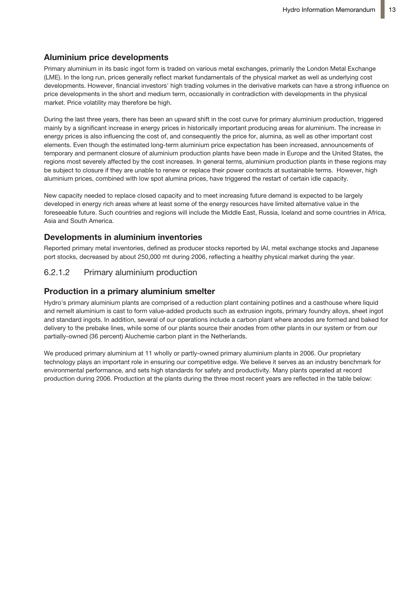# **Aluminium price developments**

Primary aluminium in its basic ingot form is traded on various metal exchanges, primarily the London Metal Exchange (LME). In the long run, prices generally reflect market fundamentals of the physical market as well as underlying cost developments. However, financial investors' high trading volumes in the derivative markets can have a strong influence on price developments in the short and medium term, occasionally in contradiction with developments in the physical market. Price volatility may therefore be high.

During the last three years, there has been an upward shift in the cost curve for primary aluminium production, triggered mainly by a significant increase in energy prices in historically important producing areas for aluminium. The increase in energy prices is also influencing the cost of, and consequently the price for, alumina, as well as other important cost elements. Even though the estimated long-term aluminium price expectation has been increased, announcements of temporary and permanent closure of aluminium production plants have been made in Europe and the United States, the regions most severely affected by the cost increases. In general terms, aluminium production plants in these regions may be subject to closure if they are unable to renew or replace their power contracts at sustainable terms. However, high aluminium prices, combined with low spot alumina prices, have triggered the restart of certain idle capacity.

New capacity needed to replace closed capacity and to meet increasing future demand is expected to be largely developed in energy rich areas where at least some of the energy resources have limited alternative value in the foreseeable future. Such countries and regions will include the Middle East, Russia, Iceland and some countries in Africa, Asia and South America.

### **Developments in aluminium inventories**

Reported primary metal inventories, defined as producer stocks reported by IAI, metal exchange stocks and Japanese port stocks, decreased by about 250,000 mt during 2006, reflecting a healthy physical market during the year.

### 6.2.1.2 Primary aluminium production

### **Production in a primary aluminium smelter**

Hydro's primary aluminium plants are comprised of a reduction plant containing potlines and a casthouse where liquid and remelt aluminium is cast to form value-added products such as extrusion ingots, primary foundry alloys, sheet ingot and standard ingots. In addition, several of our operations include a carbon plant where anodes are formed and baked for delivery to the prebake lines, while some of our plants source their anodes from other plants in our system or from our partially-owned (36 percent) Aluchemie carbon plant in the Netherlands.

We produced primary aluminium at 11 wholly or partly-owned primary aluminium plants in 2006. Our proprietary technology plays an important role in ensuring our competitive edge. We believe it serves as an industry benchmark for environmental performance, and sets high standards for safety and productivity. Many plants operated at record production during 2006. Production at the plants during the three most recent years are reflected in the table below: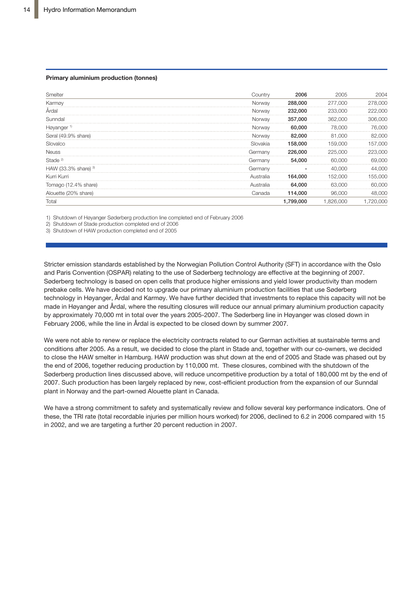#### **Primary aluminium production (tonnes)**

| Smelter                | Countrv                 | 2006     | 2005         | 2004              |
|------------------------|-------------------------|----------|--------------|-------------------|
| Karmøy                 | Norway                  | 288,000  | 277,000      | 278,000           |
| Arda                   | Norwav                  | 232,000  | 233.000      | 222,000           |
| Sunndal                | Norway                  | 357,000  | 362,000      | .<br>306,000<br>. |
| Høyanger <sup>1)</sup> | Norwav                  | 60,000   | 78.000       | 76.000            |
| Søral (49.9% share)    | Norway                  | 82,000   | 81,000<br>.  | 82.000            |
| Slovalco               | Slovakia                | 158.000  | 000          | 157.000           |
| <b>Neuss</b>           | Germanv                 | 226,000  | 225<br>.     | 223,000<br>.      |
| Stade <sup>2)</sup>    | Germany                 | 54,000   | 60,000       | 69,000            |
| HAW (33.3% share) $3$  | Germanv                 |          | 40.000       | .000              |
| Kurri Kurri            | Australia<br>. <b>.</b> | 164.000  | 152.000<br>. | 155.000           |
| Iomago (12.4% share)   | Australia               | 64,000   | 63.000       | .000              |
| Alouette (20% share)   | Canada                  | 114,000  | 96,000       | 48,000            |
| Total                  |                         | ,799,000 | .000         | ,720,000          |

1) Shutdown of Høyanger Søderberg production line completed end of February 2006

2) Shutdown of Stade production completed end of 2006

3) Shutdown of HAW production completed end of 2005

**Average market quoted prices in Northwest Europe** February 2006, while the line in Årdal is expected to be closed down by summer 2007. prebake cells. We have decided not to upgrade our primary aluminium production facilities that use Søderberg Stricter emission standards established by the Norwegian Pollution Control Authority (SFT) in accordance with the Oslo and Paris Convention (OSPAR) relating to the use of Søderberg technology are effective at the beginning of 2007. Søderberg technology is based on open cells that produce higher emissions and yield lower productivity than modern technology in Høyanger, Årdal and Karmøy. We have further decided that investments to replace this capacity will not be made in Høyanger and Årdal, where the resulting closures will reduce our annual primary aluminium production capacity by approximately 70,000 mt in total over the years 2005-2007. The Søderberg line in Høyanger was closed down in

We were not able to renew or replace the electricity contracts related to our German activities at sustainable terms and conditions after 2005. As a result, we decided to close the plant in Stade and, together with our co-owners, we decided to close the HAW smelter in Hamburg. HAW production was shut down at the end of 2005 and Stade was phased out by the end of 2006, together reducing production by 110,000 mt. These closures, combined with the shutdown of the Søderberg production lines discussed above, will reduce uncompetitive production by a total of 180,000 mt by the end of 2007. Such production has been largely replaced by new, cost-efficient production from the expansion of our Sunndal plant in Norway and the part-owned Alouette plant in Canada.

We have a strong commitment to safety and systematically review and follow several key performance indicators. One of these, the TRI rate (total recordable injuries per million hours worked) for 2006, declined to 6.2 in 2006 compared with 15 in 2002, and we are targeting a further 20 percent reduction in 2007.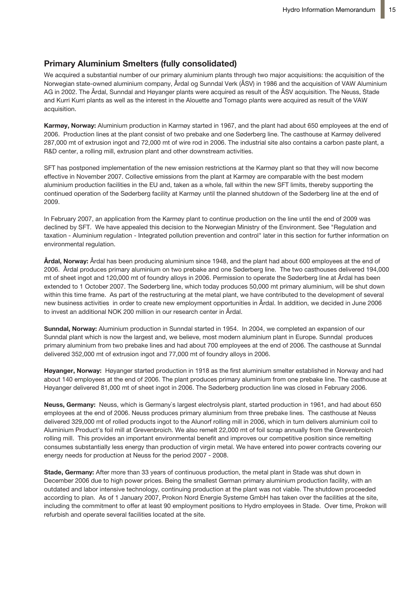### **Primary Aluminium Smelters (fully consolidated)**

We acquired a substantial number of our primary aluminium plants through two major acquisitions: the acquisition of the Norwegian state-owned aluminium company, Årdal og Sunndal Verk (ÅSV) in 1986 and the acquisition of VAW Aluminium AG in 2002. The Årdal, Sunndal and Høyanger plants were acquired as result of the ÅSV acquisition. The Neuss, Stade and Kurri Kurri plants as well as the interest in the Alouette and Tomago plants were acquired as result of the VAW acquisition.

**Karmøy, Norway:** Aluminium production in Karmøy started in 1967, and the plant had about 650 employees at the end of 2006. Production lines at the plant consist of two prebake and one Søderberg line. The casthouse at Karmøy delivered 287,000 mt of extrusion ingot and 72,000 mt of wire rod in 2006. The industrial site also contains a carbon paste plant, a R&D center, a rolling mill, extrusion plant and other downstream activities.

SFT has postponed implementation of the new emission restrictions at the Karmøy plant so that they will now become effective in November 2007. Collective emissions from the plant at Karmøy are comparable with the best modern aluminium production facilities in the EU and, taken as a whole, fall within the new SFT limits, thereby supporting the continued operation of the Søderberg facility at Karmøy until the planned shutdown of the Søderberg line at the end of 2009.

In February 2007, an application from the Karmøy plant to continue production on the line until the end of 2009 was declined by SFT. We have appealed this decision to the Norwegian Ministry of the Environment. See "Regulation and taxation - Aluminium regulation - Integrated pollution prevention and control" later in this section for further information on environmental regulation.

**Årdal, Norway:** Årdal has been producing aluminium since 1948, and the plant had about 600 employees at the end of 2006. Årdal produces primary aluminium on two prebake and one Søderberg line. The two casthouses delivered 194,000 mt of sheet ingot and 120,000 mt of foundry alloys in 2006. Permission to operate the Søderberg line at Årdal has been extended to 1 October 2007. The Søderberg line, which today produces 50,000 mt primary aluminium, will be shut down within this time frame. As part of the restructuring at the metal plant, we have contributed to the development of several new business activities in order to create new employment opportunities in Årdal. In addition, we decided in June 2006 to invest an additional NOK 200 million in our research center in Årdal.

**Sunndal, Norway:** Aluminium production in Sunndal started in 1954. In 2004, we completed an expansion of our Sunndal plant which is now the largest and, we believe, most modern aluminium plant in Europe. Sunndal produces primary aluminium from two prebake lines and had about 700 employees at the end of 2006. The casthouse at Sunndal delivered 352,000 mt of extrusion ingot and 77,000 mt of foundry alloys in 2006.

**Høyanger, Norway:** Høyanger started production in 1918 as the first aluminium smelter established in Norway and had about 140 employees at the end of 2006. The plant produces primary aluminium from one prebake line. The casthouse at Høyanger delivered 81,000 mt of sheet ingot in 2006. The Søderberg production line was closed in February 2006.

**Neuss, Germany:** Neuss, which is Germany`s largest electrolysis plant, started production in 1961, and had about 650 employees at the end of 2006. Neuss produces primary aluminium from three prebake lines. The casthouse at Neuss delivered 329,000 mt of rolled products ingot to the Alunorf rolling mill in 2006, which in turn delivers aluminium coil to Aluminium Product's foil mill at Grevenbroich. We also remelt 22,000 mt of foil scrap annually from the Grevenbroich rolling mill. This provides an important environmental benefit and improves our competitive position since remelting consumes substantially less energy than production of virgin metal. We have entered into power contracts covering our energy needs for production at Neuss for the period 2007 - 2008.

**Stade, Germany:** After more than 33 years of continuous production, the metal plant in Stade was shut down in December 2006 due to high power prices. Being the smallest German primary aluminium production facility, with an outdated and labor intensive technology, continuing production at the plant was not viable. The shutdown proceeded according to plan. As of 1 January 2007, Prokon Nord Energie Systeme GmbH has taken over the facilities at the site, including the commitment to offer at least 90 employment positions to Hydro employees in Stade. Over time, Prokon will refurbish and operate several facilities located at the site.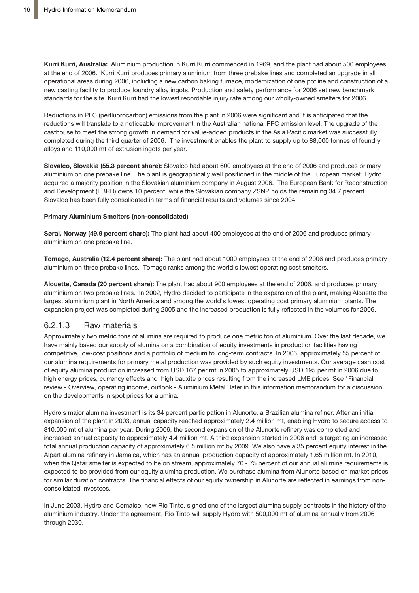**Kurri Kurri, Australia:** Aluminium production in Kurri Kurri commenced in 1969, and the plant had about 500 employees at the end of 2006. Kurri Kurri produces primary aluminium from three prebake lines and completed an upgrade in all operational areas during 2006, including a new carbon baking furnace, modernization of one potline and construction of a new casting facility to produce foundry alloy ingots. Production and safety performance for 2006 set new benchmark standards for the site. Kurri Kurri had the lowest recordable injury rate among our wholly-owned smelters for 2006.

Reductions in PFC (perfluorocarbon) emissions from the plant in 2006 were significant and it is anticipated that the reductions will translate to a noticeable improvement in the Australian national PFC emission level. The upgrade of the casthouse to meet the strong growth in demand for value-added products in the Asia Pacific market was successfully completed during the third quarter of 2006. The investment enables the plant to supply up to 88,000 tonnes of foundry alloys and 110,000 mt of extrusion ingots per year.

**Slovalco, Slovakia (55.3 percent share):** Slovalco had about 600 employees at the end of 2006 and produces primary aluminium on one prebake line. The plant is geographically well positioned in the middle of the European market. Hydro acquired a majority position in the Slovakian aluminium company in August 2006. The European Bank for Reconstruction and Development (EBRD) owns 10 percent, while the Slovakian company ZSNP holds the remaining 34.7 percent. Slovalco has been fully consolidated in terms of financial results and volumes since 2004.

#### **Primary Aluminium Smelters (non-consolidated)**

**Søral, Norway (49.9 percent share):** The plant had about 400 employees at the end of 2006 and produces primary aluminium on one prebake line.

**Tomago, Australia (12.4 percent share):** The plant had about 1000 employees at the end of 2006 and produces primary aluminium on three prebake lines. Tomago ranks among the world's lowest operating cost smelters.

**Alouette, Canada (20 percent share):** The plant had about 900 employees at the end of 2006, and produces primary aluminium on two prebake lines. In 2002, Hydro decided to participate in the expansion of the plant, making Alouette the largest aluminium plant in North America and among the world's lowest operating cost primary aluminium plants. The expansion project was completed during 2005 and the increased production is fully reflected in the volumes for 2006.

### 6.2.1.3 Raw materials

Approximately two metric tons of alumina are required to produce one metric ton of aluminium. Over the last decade, we have mainly based our supply of alumina on a combination of equity investments in production facilities having competitive, low-cost positions and a portfolio of medium to long-term contracts. In 2006, approximately 55 percent of our alumina requirements for primary metal production was provided by such equity investments. Our average cash cost of equity alumina production increased from USD 167 per mt in 2005 to approximately USD 195 per mt in 2006 due to high energy prices, currency effects and high bauxite prices resulting from the increased LME prices. See "Financial review - Overview, operating income, outlook - Aluminium Metal" later in this information memorandum for a discussion on the developments in spot prices for alumina.

Hydro's major alumina investment is its 34 percent participation in Alunorte, a Brazilian alumina refiner. After an initial expansion of the plant in 2003, annual capacity reached approximately 2.4 million mt, enabling Hydro to secure access to 810,000 mt of alumina per year. During 2006, the second expansion of the Alunorte refinery was completed and increased annual capacity to approximately 4.4 million mt. A third expansion started in 2006 and is targeting an increased total annual production capacity of approximately 6.5 million mt by 2009. We also have a 35 percent equity interest in the Alpart alumina refinery in Jamaica, which has an annual production capacity of approximately 1.65 million mt. In 2010, when the Qatar smelter is expected to be on stream, approximately 70 - 75 percent of our annual alumina requirements is expected to be provided from our equity alumina production. We purchase alumina from Alunorte based on market prices for similar duration contracts. The financial effects of our equity ownership in Alunorte are reflected in earnings from nonconsolidated investees.

In June 2003, Hydro and Comalco, now Rio Tinto, signed one of the largest alumina supply contracts in the history of the aluminium industry. Under the agreement, Rio Tinto will supply Hydro with 500,000 mt of alumina annually from 2006 through 2030.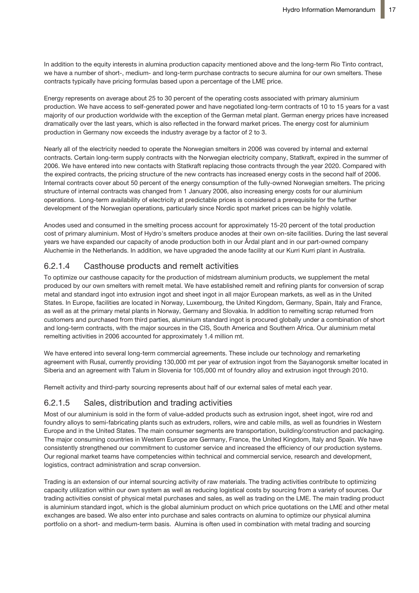In addition to the equity interests in alumina production capacity mentioned above and the long-term Rio Tinto contract, we have a number of short-, medium- and long-term purchase contracts to secure alumina for our own smelters. These contracts typically have pricing formulas based upon a percentage of the LME price.

Energy represents on average about 25 to 30 percent of the operating costs associated with primary aluminium production. We have access to self-generated power and have negotiated long-term contracts of 10 to 15 years for a vast majority of our production worldwide with the exception of the German metal plant. German energy prices have increased dramatically over the last years, which is also reflected in the forward market prices. The energy cost for aluminium production in Germany now exceeds the industry average by a factor of 2 to 3.

Nearly all of the electricity needed to operate the Norwegian smelters in 2006 was covered by internal and external contracts. Certain long-term supply contracts with the Norwegian electricity company, Statkraft, expired in the summer of 2006. We have entered into new contacts with Statkraft replacing those contracts through the year 2020. Compared with the expired contracts, the pricing structure of the new contracts has increased energy costs in the second half of 2006. Internal contracts cover about 50 percent of the energy consumption of the fully-owned Norwegian smelters. The pricing structure of internal contracts was changed from 1 January 2006, also increasing energy costs for our aluminium operations. Long-term availability of electricity at predictable prices is considered a prerequisite for the further development of the Norwegian operations, particularly since Nordic spot market prices can be highly volatile.

Anodes used and consumed in the smelting process account for approximately 15-20 percent of the total production cost of primary aluminium. Most of Hydro's smelters produce anodes at their own on-site facilities. During the last several years we have expanded our capacity of anode production both in our Årdal plant and in our part-owned company Aluchemie in the Netherlands. In addition, we have upgraded the anode facility at our Kurri Kurri plant in Australia.

# 6.2.1.4 Casthouse products and remelt activities

To optimize our casthouse capacity for the production of midstream aluminium products, we supplement the metal produced by our own smelters with remelt metal. We have established remelt and refining plants for conversion of scrap metal and standard ingot into extrusion ingot and sheet ingot in all major European markets, as well as in the United States. In Europe, facilities are located in Norway, Luxembourg, the United Kingdom, Germany, Spain, Italy and France, as well as at the primary metal plants in Norway, Germany and Slovakia. In addition to remelting scrap returned from customers and purchased from third parties, aluminium standard ingot is procured globally under a combination of short and long-term contracts, with the major sources in the CIS, South America and Southern Africa. Our aluminium metal remelting activities in 2006 accounted for approximately 1.4 million mt.

We have entered into several long-term commercial agreements. These include our technology and remarketing agreement with Rusal, currently providing 130,000 mt per year of extrusion ingot from the Sayanogorsk smelter located in Siberia and an agreement with Talum in Slovenia for 105,000 mt of foundry alloy and extrusion ingot through 2010.

Remelt activity and third-party sourcing represents about half of our external sales of metal each year.

# 6.2.1.5 Sales, distribution and trading activities

Most of our aluminium is sold in the form of value-added products such as extrusion ingot, sheet ingot, wire rod and foundry alloys to semi-fabricating plants such as extruders, rollers, wire and cable mills, as well as foundries in Western Europe and in the United States. The main consumer segments are transportation, building/construction and packaging. The major consuming countries in Western Europe are Germany, France, the United Kingdom, Italy and Spain. We have consistently strengthened our commitment to customer service and increased the efficiency of our production systems. Our regional market teams have competencies within technical and commercial service, research and development, logistics, contract administration and scrap conversion.

Trading is an extension of our internal sourcing activity of raw materials. The trading activities contribute to optimizing capacity utilization within our own system as well as reducing logistical costs by sourcing from a variety of sources. Our trading activities consist of physical metal purchases and sales, as well as trading on the LME. The main trading product is aluminium standard ingot, which is the global aluminium product on which price quotations on the LME and other metal exchanges are based. We also enter into purchase and sales contracts on alumina to optimize our physical alumina portfolio on a short- and medium-term basis. Alumina is often used in combination with metal trading and sourcing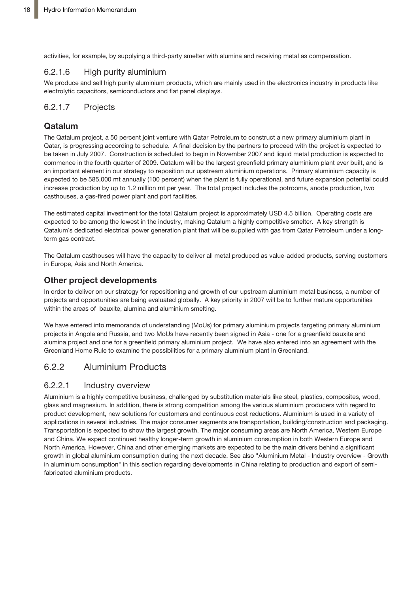activities, for example, by supplying a third-party smelter with alumina and receiving metal as compensation.

### 6.2.1.6 High purity aluminium

We produce and sell high purity aluminium products, which are mainly used in the electronics industry in products like electrolytic capacitors, semiconductors and flat panel displays.

# 6.2.1.7 Projects

# **Qatalum**

The Qatalum project, a 50 percent joint venture with Qatar Petroleum to construct a new primary aluminium plant in Qatar, is progressing according to schedule. A final decision by the partners to proceed with the project is expected to be taken in July 2007. Construction is scheduled to begin in November 2007 and liquid metal production is expected to commence in the fourth quarter of 2009. Qatalum will be the largest greenfield primary aluminium plant ever built, and is an important element in our strategy to reposition our upstream aluminium operations. Primary aluminium capacity is expected to be 585,000 mt annually (100 percent) when the plant is fully operational, and future expansion potential could increase production by up to 1.2 million mt per year. The total project includes the potrooms, anode production, two casthouses, a gas-fired power plant and port facilities.

The estimated capital investment for the total Qatalum project is approximately USD 4.5 billion. Operating costs are expected to be among the lowest in the industry, making Qatalum a highly competitive smelter. A key strength is Qatalum`s dedicated electrical power generation plant that will be supplied with gas from Qatar Petroleum under a longterm gas contract.

The Qatalum casthouses will have the capacity to deliver all metal produced as value-added products, serving customers in Europe, Asia and North America.

# **Other project developments**

In order to deliver on our strategy for repositioning and growth of our upstream aluminium metal business, a number of projects and opportunities are being evaluated globally. A key priority in 2007 will be to further mature opportunities within the areas of bauxite, alumina and aluminium smelting.

We have entered into memoranda of understanding (MoUs) for primary aluminium projects targeting primary aluminium projects in Angola and Russia, and two MoUs have recently been signed in Asia - one for a greenfield bauxite and alumina project and one for a greenfield primary aluminium project. We have also entered into an agreement with the Greenland Home Rule to examine the possibilities for a primary aluminium plant in Greenland.

# 6.2.2 Aluminium Products

# 6.2.2.1 Industry overview

Aluminium is a highly competitive business, challenged by substitution materials like steel, plastics, composites, wood, glass and magnesium. In addition, there is strong competition among the various aluminium producers with regard to product development, new solutions for customers and continuous cost reductions. Aluminium is used in a variety of applications in several industries. The major consumer segments are transportation, building/construction and packaging. Transportation is expected to show the largest growth. The major consuming areas are North America, Western Europe and China. We expect continued healthy longer-term growth in aluminium consumption in both Western Europe and North America. However, China and other emerging markets are expected to be the main drivers behind a significant growth in global aluminium consumption during the next decade. See also "Aluminium Metal - Industry overview - Growth in aluminium consumption" in this section regarding developments in China relating to production and export of semifabricated aluminium products.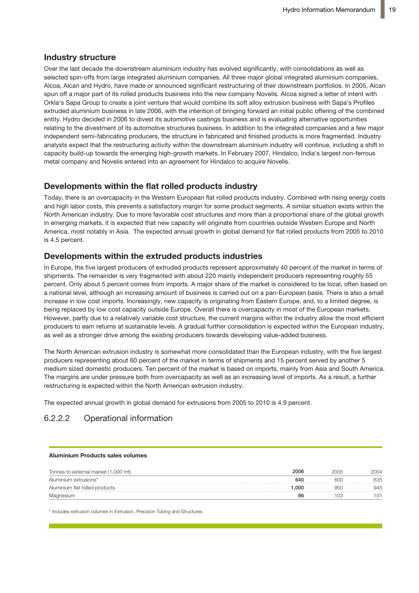### **Industry structure**

Over the last decade the downstream aluminium industry has evolved significantly, with consolidations as well as selected spin-offs from large integrated aluminium companies. All three major global integrated aluminium companies, Alcoa, Alcan and Hydro, have made or announced significant restructuring of their downstream portfolios. In 2005, Alcan spun off a major part of its rolled products business into the new company Novelis. Alcoa signed a letter of intent with Orkla's Sapa Group to create a joint venture that would combine its soft alloy extrusion business with Sapa's Profiles extruded aluminium business in late 2006, with the intention of bringing forward an initial public offering of the combined entity. Hydro decided in 2006 to divest its automotive castings business and is evaluating alternative opportunities relating to the divestment of its automotive structures business. In addition to the integrated companies and a few major independent semi-fabricating producers, the structure in fabricated and finished products is more fragmented. Industry analysts expect that the restructuring activity within the downstream aluminium industry will continue, including a shift in capacity build-up towards the emerging high-growth markets. In February 2007, Hindalco, India's largest non-ferrous metal company and Novelis entered into an agreement for Hindalco to acquire Novelis.

#### **Developments within the flat rolled products industry** the global growth in expected that new capacity markets in the new capacity will original that  $\alpha$

Today, there is an overcapacity in the Western European flat rolled products industry. Combined with rising energy costs and high labor costs, this prevents a satisfactory margin for some product segments. A similar situation exists within the North American industry. Due to more favorable cost structures and more than a proportional share of the global growth in emerging markets, it is expected that new capacity will originate from countries outside Western Europe and North America, most notably in Asia. The expected annual growth in global demand for flat rolled products from 2005 to 2010 **Developments within the extruded products industries**  $is 4.5$  percent.

## **Developments within the extruded products industries**

In Europe, the five largest producers of extruded products represent approximately 40 percent of the market in terms of shipments. The remainder is very fragmented with about 220 mainly independent producers representing roughly 55 percent. Only about 5 percent comes from imports. A major share of the market is considered to be local, often based on .<br>a national level, although an increasing amount of business is carried out on a pan-European basis. There is also a small increase in low cost imports. Increasingly, new capacity is originating from Eastern Europe, and, to a limited degree, is being replaced by low cost capacity outside Europe. Overall there is overcapacity in most of the European markets. However, partly due to a relatively variable cost structure, the current margins within the industry allow the most efficient returned, party and to an elaminary canadict successions, are can entroming the main the measury and the measurement<br>producers to earn returns at sustainable levels. A gradual further consolidation is expected within the E producers to cannot and carraments in the river, as action of the concentration of the crisis main and as well as a stronger drive among the existing producers towards developing value-added business. value added business.

The North American extrusion industry is somewhat more consolidated than the European industry, with the five largest producers representing about 60 percent of the market in terms of shipments and 15 percent served by another 5 The North American extrusion industry is somewhat more consolidated than the medium sized domestic producers. Ten percent of the market is based on imports, mainly from Asia and South America. modiam sized domostic production. Ton percent of the market is bacca on imports, manny non-zicia and codin zunc<br>The margins are under pressure both from overcapacity as well as an increasing level of imports. As a result, restructuring is expected within the North American extrusion industry. European industry, with the five largest producers representing about 60 percent of do margins are analy prosent bournom overequely as well as an increasing

The expected annual growth in global demand for extrusions from 2005 to 2010 is 4.9 percent. In America annual growth in g

# 6.2.2.2 Operational information

#### **Aluminium Products sales volumes**

| Tonnes to external market (1,000 mt) | 2006  | ንበበ4 |
|--------------------------------------|-------|------|
| Aluminium extrusions*                | 640   | 635  |
| Aluminium flat rolled products       | 000.1 | 945  |
| Magnesium                            | 86    | 101  |

\* Includes extrusion volumes in Extrusion, Precision Tubing and Structures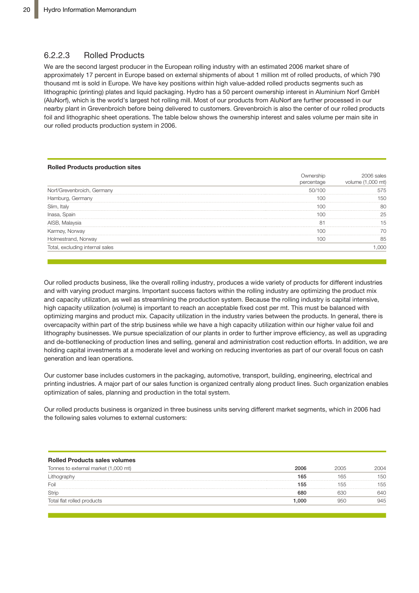## 6.2.2.3 Rolled Products

We are the second largest producer in the European rolling industry with an estimated 2006 market share of approximately 17 percent in Europe based on external shipments of about 1 million mt of rolled products, of which 790 thousand mt is sold in Europe. We have key positions within high value-added rolled products segments such as lithographic (printing) plates and liquid packaging. Hydro has a 50 percent ownership interest in Aluminium Norf GmbH (AluNorf), which is the world's largest hot rolling mill. Most of our products from AluNorf are further processed in our nearby plant in Grevenbroich before being delivered to customers. Grevenbroich is also the center of our rolled products foil and lithographic sheet operations. The table below shows the ownership interest and sales volume per main site in our rolled products production system in 2006.

#### **Rolled Products production sites**

|                                 | sales<br>mt<br>volume |
|---------------------------------|-----------------------|
| Nort/Grevenbroich. Germanv      |                       |
| Hamburg, Germany                |                       |
|                                 |                       |
|                                 |                       |
| AISB, Malaysia                  |                       |
|                                 |                       |
| Holmestrand.<br>. Norwav        |                       |
| Iotal, excluding internal sales |                       |

and with varying product margins. Important success factors within the rolling industry are optimizing the product mix and capacity utilization, as well as streamlining the production system. Because the rolling industry is capital intensive, high capacity utilization (volume) is important to reach an acceptable fixed cost per mt. This must be balanced with optimizing margins and product mix. Capacity utilization in the industry varies between the products. In general, there is overcapacity within part of the strip business while we have a high capacity utilization within our higher value foil and lithography businesses. We pursue specialization of our plants in order to further improve efficiency, as well as upgrading Our rolled products business, like the overall rolling industry, produces a wide variety of products for different industries and de-bottlenecking of production lines and selling, general and administration cost reduction efforts. In addition, we are holding capital investments at a moderate level and working on reducing inventories as part of our overall focus on cash generation and lean operations.

Our rolled products business, like the overall rolling industry, produces a wide variety of Our customer base includes customers in the packaging, automotive, transport, building, engineering, electrical and printing industries. A major part of our sales function is organized centrally along product lines. Such organization enables optimization of sales, planning and production in the total system. Karmøy, Norway 100 70

intensive, high capacity utilization (volume) is important to reach an acceptable fixed fixed fixed fixed fixed fixed fixed fixed fixed fixed fixed fixed fixed fixed fixed fixed fixed fixed fixed fixed fixed fixed fixed f Our rolled products business is organized in three business units serving different market segments, which in 2006 had  $u(t)$  in the industry varies between the products between the products. In general, the products of  $u(t)$ **can following sales volumes to external customers:**<br>the following sales volumes to external customers:

| <b>Rolled Products sales volumes</b> |      |      |      |
|--------------------------------------|------|------|------|
| Tonnes to external market (1,000 mt) | 2006 | 2005 | 2004 |
|                                      | 165  | 165  | 150  |
| Foil                                 | 155  | 55   | 155  |
| Stric                                | 680  |      | 640  |
| Total flat rolled products           | .000 |      | 945  |

North America

ci<br>Cis

planning and production in entire total system.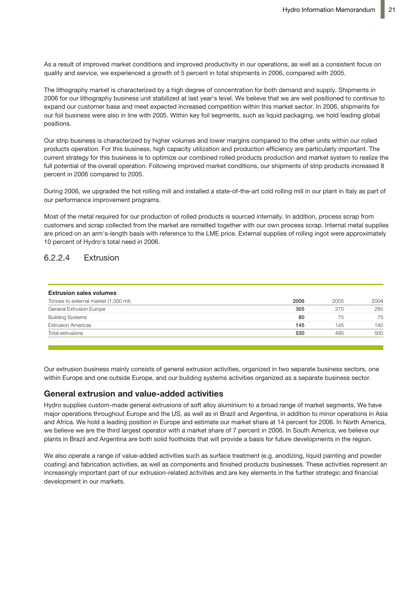As a result of improved market conditions and improved productivity in our operations, as well as a consistent focus on quality and service, we experienced a growth of 5 percent in total shipments in 2006, compared with 2005.

The lithography market is characterized by a high degree of concentration for both demand and supply. Shipments in 2006 for our lithography business unit stabilized at last year's level. We believe that we are well positioned to continue to expand our customer base and meet expected increased competition within this market sector. In 2006, shipments for our foil business were also in line with 2005. Within key foil segments, such as liquid packaging, we hold leading global positions.

Our strip business is characterized by higher volumes and lower margins compared to the other units within our rolled products operation. For this business, high capacity utilization and production efficiency are particularly important. The current strategy for this business is to optimize our combined rolled products production and market system to realize the full potential of the overall operation. Following improved market conditions, our shipments of strip products increased 8 percent in 2006 compared to 2005.

During 2006, we upgraded the hot rolling mill and installed a state-of-the-art cold rolling mill in our plant in Italy as part of our performance improvement programs.

Most of the metal required for our production of rolled products is sourced internally. In addition, process scrap from customers and scrap collected from the market are remelted together with our own process scrap. Internal metal supplies are priced on an arm's-length basis with reference to the LME price. External supplies of rolling ingot were approximately 10 percent of Hydro's total need in 2006.

# 6.2.2.4 Extrusion

| 2006 | 2005 | ንበበ4 |
|------|------|------|
| 305  | 270  | 285  |
| 80   |      |      |
| 145  |      | 140  |
| 530  |      |      |
|      |      |      |

Our extrusion business mainly consists of general extrusion activities, organized in two separate business sectors, one within Europe and one outside Europe, and our building systems activities organized as a separate business sector.

## Most of the metal required for our production of rolled products is sourced internally. **General extrusion and value-added activities**

.<br>Hydro supplies custom-made general extrusions of soft alloy aluminium to a broad range of market segments. We have remelted to gether with our own process scrap. Internal metals screen with our own process screen with our own<br>Internal metal supplies are priced on the price of the HO are procedured to the Doctor American screen with th major operations throughout Europe and the US, as well as in Brazil and Argentina, in addition to minor operations in Asia<br>and Africa Website also discussed itself Europe and estimate any product also as 144 memorial and 2 we believe we are the third largest operator with a market share of 7 percent in 2006. In South America, we believe our plants in Brazil and Argentina are both solid footholds that will provide a basis for future developments in the region.<br> and Africa. We hold a leading position in Europe and estimate our market share at 14 percent for 2006. In North America,

Our extrusion business mainly consists of general extrusion activities, organized into two We also operate a range of value-added activities such as surface treatment (e.g. anodizing, liquid painting and powder susting and tabituation activities, as well as components and impired products businesses. The contract part of development in our markets. coating) and fabrication activities, as well as components and finished products businesses. These activities represent an gie ene increasingly important part of our extrusion-related activities and are key elements in the further strategic and financial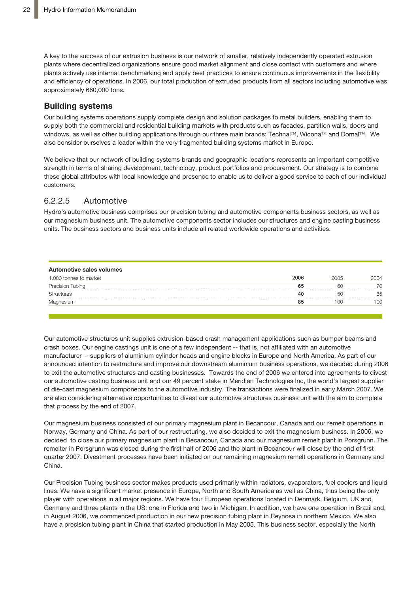A key to the success of our extrusion business is our network of smaller, relatively independently operated extrusion plants where decentralized organizations ensure good market alignment and close contact with customers and where plants actively use internal benchmarking and apply best practices to ensure continuous improvements in the flexibility .<br>and efficiency of operations. In 2006, our total production of extruded products from all sectors including automotive was approximately 660,000 tons.  $t_{\rm s}$  such as bumper beams and crash boxes. Our engine castings unit is one of a crash boxes. Our engine castings unit is one of a crash boxes. Our engine castings unit is one of a crash boxes. Our engine casting  $\alpha$ 

# **Building systems**

Our building systems operations supply complete design and solution packages to metal builders, enabling them to supply both the commercial and residential building markets with products such as facades, partition walls, doors and windows, as well as other building applications through our three main brands: Technal™, Wicona™ and Domal™. We also consider ourselves a leader within the very fragmented building systems market in Europe.

We believe that our network of building systems brands and geographic locations represents an important competitive strength in terms of sharing development, technology, product portfolios and procurement. Our strategy is to combine these global attributes with local knowledge and presence to enable us to deliver a good service to each of our individual customers.

# 6.2.2.5 Automotive

Hydro's automotive business comprises our precision tubing and automotive components business sectors, as well as our magnesium business unit. The automotive components sector includes our structures and engine casting business units. The business sectors and business units include all related worldwide operations and activities.

| Automotive sales volumes |      |          |      |
|--------------------------|------|----------|------|
| 1,000 tonnes to market   | 2006 | 2005     | 2004 |
| Precision Tubing         | 65   | 60       |      |
| <b>Structures</b>        | 40   |          |      |
| Magnesium                | 85   | $\Omega$ |      |
|                          |      |          |      |

Our automotive structures unit supplies extrusion-based crash management applications such as bumper beams and crash boxes. Our engine castings unit is one of a few independent -- that is, not affiliated with an automotive manufacturer -- suppliers of aluminium cylinder heads and engine blocks in Europe and North America. As part of our announced intention to restructure and improve our downstream aluminium business operations, we decided during 2006 to exit the automotive structures and casting businesses. Towards the end of 2006 we entered into agreements to divest our automotive casting business unit and our 49 percent stake in Meridian Technologies Inc, the world's largest supplier of die-cast magnesium components to the automotive industry. The transactions were finalized in early March 2007. We we also have a precision tubing plant in  $\mathcal{A}$  and  $\mathcal{A}$  that started production in  $\mathcal{A}$  and  $\mathcal{A}$  and  $\mathcal{A}$  are  $\mathcal{A}$  and  $\mathcal{A}$  are  $\mathcal{A}$  and  $\mathcal{A}$  are  $\mathcal{A}$  and  $\mathcal{A}$  are  $\mathcal{A}$  and business sector, especially the North American part of our operations, is undergoing a are also considering alternative opportunities to divest our automotive structures business unit with the aim to complete that process by the end of 2007.

Our magnesium business consisted of our primary magnesium plant in Becancour, Canada and our remelt operations in primary inagricular praise in Buddhoudi, canada and Carlonic operators in Norway, Germany and China. As part of our restructuring, we also decided to exit the magnesium business. In 2006, we<br>The contract of the magnetic state in the contract of the contract of the magnesium business. In 2006, we **Other activities** quarter 2007. Divestment processes have been initiated on our remaining magnesium remelt operations in Germany and decided to close our primary magnesium plant in Becancour, Canada and our magnesium remelt plant in Porsgrunn. The remelter in Porsgrunn was closed during the first half of 2006 and the plant in Becancour will close by the end of first China.

Other Businesses activities consist of Polymers, Hydro's own service providers, including Our Precision Tubing business sector makes products used primarily within radiators, evaporators, fuel coolers and liquid lines. We have a significant market presence in Europe, North and South America as well as China, thus being the only Germany and three plants in the US: one in Florida and two in Michigan. In addition, we have one operation in Brazil and, in August 2006, we commenced production in our new precision tubing plant in Reynosa in northern Mexico. We also have a precision tubing plant in China that started production in May 2005. This business sector, especially the North player with operations in all major regions. We have four European operations located in Denmark, Belgium, UK and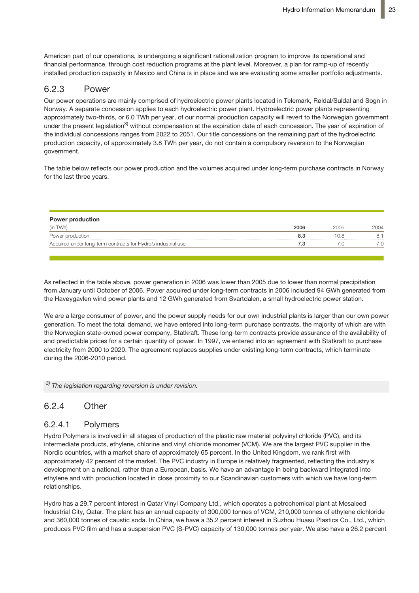American part of our operations, is undergoing a significant rationalization program to improve its operational and financial performance, through cost reduction programs at the plant level. Moreover, a plan for ramp-up of recently installed production capacity in Mexico and China is in place and we are evaluating some smaller portfolio adjustments.

#### 6.2.3 Power  $2<sup>3</sup>$  Dower

onserse<br>Our power operations are mainly comprised of hydroelectric power plants located in Telemark, Røldal/Suldal and Sogn in Norway. A separate concession applies to each hydroelectric power plant. Hydroelectric power plants representing approximately two-thirds, or 6.0 TWh per year, of our normal production capacity will revert to the Norwegian government under the present legislation<sup>3)</sup> without compensation at the expiration date of each concession. The year of expiration of the individual concessions ranges from 2022 to 2051. Our title concessions on the remaining part of the hydroelectric production capacity, of approximately 3.8 TWh per year, do not contain a compulsory reversion to the Norwegian government. ar power operations are mainly comprised of hydroelectric power plants locate In addition to our hydrogenectric power stations, we are a partial owner (44 percent) of the partial owner (44 percent) of the partial owner (44 percent) of the partial owner (44 percent) of the partial owner (44 percent)

The table below reflects our power production and the volumes acquired under long-term purchase contracts in Norway for the last three years.

| 2006 | 2005  | 2004 |
|------|-------|------|
| 8.3  | 1 N R |      |
|      |       |      |
|      |       |      |

As reflected in the table above, power generation in 2006 was lower than 2005 due to As reflected in the table above, power generation in 2006 was lower than 2005 due to lower than normal precipitation From January until October of 2006. Power generation in 2000 was lower than 2000 due to lower than homial presipitation<br>from January until October of 2006. Power acquired under long-term contracts in 2006 included 94 GWh g un bandary and colocide of 2000. I ower acquired ander long-term contracts the Havøygavlen wind power plants and 12 GWh generated from Svartdalen, a small hydroelectric power station.

we are a large consumer of power, and the power supply needs for our own industrial plants is larger than our own power generation. To meet the total demand, we have entered into long-term purchase contracts, the majority of which are with the Norwegian state-owned power company, Statkraft. These long-term contracts provide assurance of the availability of and predictable prices for a certain quantity of power. In 1997, we entered into an agreement with Statkraft to purchase electricity from 2000 to 2020. The agreement replaces supplies under existing long-term contracts, which terminate during the 2006-2010 period.

 $^{3)}$  The *legislation regarding reversion is under revision.* 

#### $0.4$  comparison of the company  $\Omega$  $n_{\text{eff}}$  below plant at Kårstø in Norway was taken in Norway was taken in the summer of 2005. The summer of 2005. The summer of 2005. The summer of 2005. The summer of 2005. The summer of 2005. The summer of 2005. The su 6.2.4 Other

#### power plant is planned to be in operation during the second half of 2007. Our share of 6.2.4.1 Polymers

intermediate products, ethylene, chlorine and vinyl chloride monomer (VCM). We are the largest PVC supplier in the Nordic countries, with a market share of approximately 65 percent. In the United Kingdom, we rank first with approximately 42 percent of the market. The PVC industry in Europe is relatively fragmented, reflecting the industry's development on a national, rather than a European, basis. We have an advantage in being backward integrated into ethylene and with production located in close proximity to our Scandinavian customers with which we have long-term the Baltic countries of the Reitan Group effective 1 October 2006. We may be made the Reitan Group effective 1 October 2006. We may be made the Reitan Group effective 1 October 2006. We may be made the Reitan Group effecti Hydro Polymers is involved in all stages of production of the plastic raw material polyvinyl chloride (PVC), and its

Hydro has a 29.7 percent interest in Qatar Vinyl Company Ltd., which operates a petrochemical plant at Mesaieed Industrial City, Qatar. The plant has an annual capacity of 300,000 tonnes of VCM, 210,000 tonnes of ethylene dichloride produces PVC film and has a suspension PVC (S-PVC) capacity of 130,000 tonnes per year. We also have a 26.2 percent 150 Hydro Diesel service stations. We operate both Hydro and the Uno-X branded staand 360,000 tonnes of caustic soda. In China, we have a 35.2 percent interest in Suzhou Huasu Plastics Co., Ltd., which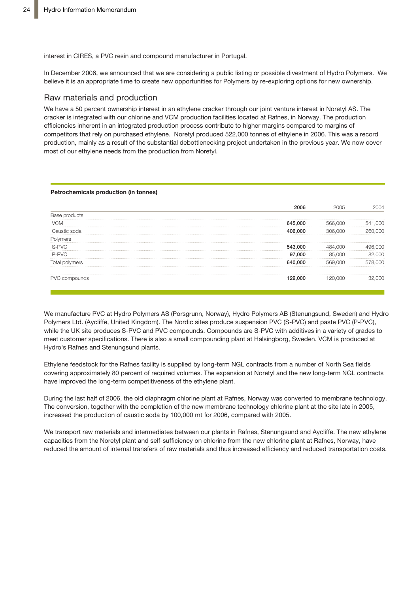interest in CIRES, a PVC resin and compound manufacturer in Portugal.

In December 2006, we announced that we are considering a public listing or possible divestment of Hydro Polymers. We In December 2006, we announced that we are considering a public listing or possible believe it is an appropriate time to create new opportunities for Polymers by re-exploring options for new ownership. December 2000, we announced that we are considering a public fisting or pos

# Raw materials and production **Raw materials and production**

We have a 50 percent ownership interest in an ethylene cracker through our joint venture interest in Noretyl AS. The We have a 50 percent ownership interest in an ethylene cracker through our joint venture **900** cracker is integrated with our chlorine and VCM production facilities located at Rafnes, in Norway. The production efficiencies inherent in an integrated production process contribute to higher margins compared to margins of competitors that rely on purchased ethylene. Noretyl produced 522,000 tonnes of ethylene in 2006. This was a record production, mainly as a result of the substantial debottlenecking project undertaken in the previous year. We now cover most of our ethylene needs from the production from Noretyl.

#### **Petrochemicals production (in tonnes)**

| າດດ | ЮC  |  |
|-----|-----|--|
|     | YUL |  |
|     |     |  |
|     |     |  |
| 000 |     |  |
|     |     |  |
|     |     |  |
|     |     |  |

 $W^{\prime}$  manufacture  $P$  (Polymers AS (Porsgrunn), Hydro Polymers AS (Porsgrunn), Hydro Polymers AB (Polymers AB (Polymers AB (Polymers), Hydro Polymers AB (Polymers), Hydro Polymers AB (Polymers), Hydro Polymers AB (Polym We manufacture PVC at Hydro Polymers AS (Porsgrunn, Norway), Hydro Polymers AB (Stenungsund, Sweden) and Hydro<br>-Polymers Ltd. (Aycliffe, United Kingdom). The Nordic sites produce suspension PVC (S-PVC) and paste PVC (P-PVC), while the UK site produces S-PVC and PVC compounds. Compounds are S-PVC with additives in a variety of grades to meet customer specifications. There is also a small compounding plant at Halsingborg, Sweden. VCM is produced at Hydro's Rafnes and Stenungsund plants.

Ethylene feedstock for the Rafnes facility is supplied by long-term NGL contracts from a number of North Sea fields covering approximately 80 percent of required volumes. The expansion at Noretyl and the new long-term NGL contracts have improved the long-term competitiveness of the ethylene plant.

During the last half of 2006, the old diaphragm chlorine plant at Rafnes, Norway was converted to membrane technology. increased the production of caustic soda by 100,000 mt for 2006, compared with 2005. The conversion, together with the completion of the new membrane technology chlorine plant at the site late in 2005,

We transport raw materials and intermediates between our plants in Rafnes, Stenungsund and Aycliffe. The new ethylene capacities from the Noretyl plant and self-sufficiency on chlorine from the new chlorine plant at Rafnes, Norway, have reduced the amount of internal transfers of raw materials and thus increased efficiency and reduced transportation costs.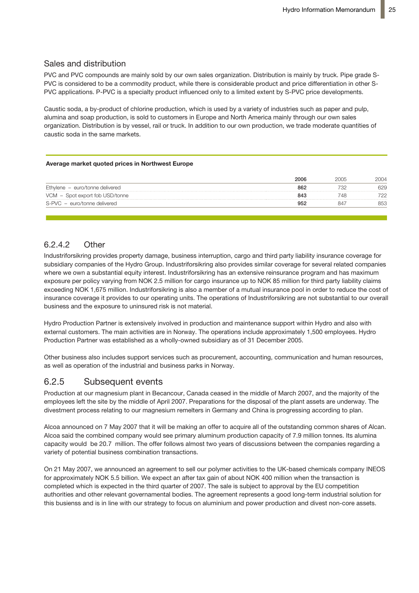### Sales and distribution

PVC and PVC compounds are mainly sold by our own sales organization. Distribution is mainly by truck. Pipe grade S-PVC is considered to be a commodity product, while there is considerable product and price differentiation in other S-PVC applications. P-PVC is a specialty product influenced only to a limited extent by S-PVC price developments.

Stade 2) Germany 54,000 60,000 69,000

Caustic soda, a by-product of chlorine production, which is used by a variety of industries such as paper and pulp, alumina and soap production, is sold to customers in Europe and North America mainly through our own sales organization. Distribution is by vessel, rail or truck. In addition to our own production, we trade moderate quantities of<br>cauntia aade in the agree markete caustic soda in the same markets.

#### **Average market quoted prices in Northwest Europe**

| 2006 |     |
|------|-----|
| 862  | 629 |
| 843  |     |
|      | 853 |
|      |     |

# 6.2.4.2 Other

Industriforsikring provides property damage, business interruption, cargo and third party liability insurance coverage for subsidiary companies of the Hydro Group. Industriforsikring also provides similar coverage for several related companies where we own a substantial equity interest. Industriforsikring has an extensive reinsurance program and has maximum exposure per policy varying from NOK 2.5 million for cargo insurance up to NOK 85 million for third party liability claims exceeding NOK 1,675 million. Industriforsikring is also a member of a mutual insurance pool in order to reduce the cost of insurance coverage it provides to our operating units. The operations of Industriforsikring are not substantial to our overall business and the exposure to uninsured risk is not material.

Hydro Production Partner is extensively involved in production and maintenance support within Hydro and also with external customers. The main activities are in Norway. The operations include approximately 1,500 employees. Hydro Production Partner was established as a wholly-owned subsidiary as of 31 December 2005.

Other business also includes support services such as procurement, accounting, communication and human resources, as well as operation of the industrial and business parks in Norway.

# 6.2.5 Subsequent events

Production at our magnesium plant in Becancour, Canada ceased in the middle of March 2007, and the majority of the employees left the site by the middle of April 2007. Preparations for the disposal of the plant assets are underway. The divestment process relating to our magnesium remelters in Germany and China is progressing according to plan.

Alcoa announced on 7 May 2007 that it will be making an offer to acquire all of the outstanding common shares of Alcan. Alcoa said the combined company would see primary aluminum production capacity of 7.9 million tonnes. Its alumina capacity would be 20.7 million. The offer follows almost two years of discussions between the companies regarding a variety of potential business combination transactions.

On 21 May 2007, we announced an agreement to sell our polymer activities to the UK-based chemicals company INEOS for approximately NOK 5.5 billion. We expect an after tax gain of about NOK 400 million when the transaction is completed which is expected in the third quarter of 2007. The sale is subject to approval by the EU competition authorities and other relevant governamental bodies. The agreement represents a good long-term industrial solution for this busienss and is in line with our strategy to focus on aluminium and power production and divest non-core assets.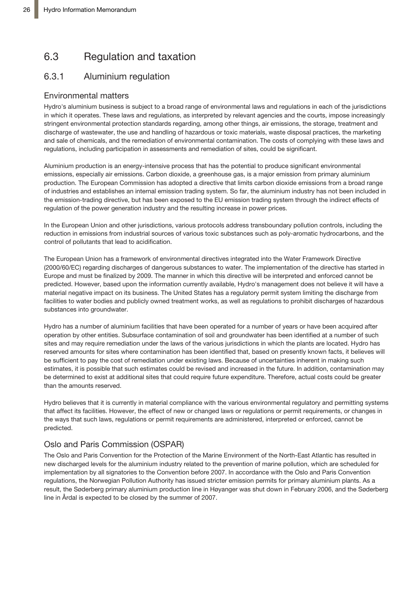# 6.3 Regulation and taxation

# 6.3.1 Aluminium regulation

# Environmental matters

Hydro's aluminium business is subject to a broad range of environmental laws and regulations in each of the jurisdictions in which it operates. These laws and regulations, as interpreted by relevant agencies and the courts, impose increasingly stringent environmental protection standards regarding, among other things, air emissions, the storage, treatment and discharge of wastewater, the use and handling of hazardous or toxic materials, waste disposal practices, the marketing and sale of chemicals, and the remediation of environmental contamination. The costs of complying with these laws and regulations, including participation in assessments and remediation of sites, could be significant.

Aluminium production is an energy-intensive process that has the potential to produce significant environmental emissions, especially air emissions. Carbon dioxide, a greenhouse gas, is a major emission from primary aluminium production. The European Commission has adopted a directive that limits carbon dioxide emissions from a broad range of industries and establishes an internal emission trading system. So far, the aluminium industry has not been included in the emission-trading directive, but has been exposed to the EU emission trading system through the indirect effects of regulation of the power generation industry and the resulting increase in power prices.

In the European Union and other jurisdictions, various protocols address transboundary pollution controls, including the reduction in emissions from industrial sources of various toxic substances such as poly-aromatic hydrocarbons, and the control of pollutants that lead to acidification.

The European Union has a framework of environmental directives integrated into the Water Framework Directive (2000/60/EC) regarding discharges of dangerous substances to water. The implementation of the directive has started in Europe and must be finalized by 2009. The manner in which this directive will be interpreted and enforced cannot be predicted. However, based upon the information currently available, Hydro's management does not believe it will have a material negative impact on its business. The United States has a regulatory permit system limiting the discharge from facilities to water bodies and publicly owned treatment works, as well as regulations to prohibit discharges of hazardous substances into groundwater.

Hydro has a number of aluminium facilities that have been operated for a number of years or have been acquired after operation by other entities. Subsurface contamination of soil and groundwater has been identified at a number of such sites and may require remediation under the laws of the various jurisdictions in which the plants are located. Hydro has reserved amounts for sites where contamination has been identified that, based on presently known facts, it believes will be sufficient to pay the cost of remediation under existing laws. Because of uncertainties inherent in making such estimates, it is possible that such estimates could be revised and increased in the future. In addition, contamination may be determined to exist at additional sites that could require future expenditure. Therefore, actual costs could be greater than the amounts reserved.

Hydro believes that it is currently in material compliance with the various environmental regulatory and permitting systems that affect its facilities. However, the effect of new or changed laws or regulations or permit requirements, or changes in the ways that such laws, regulations or permit requirements are administered, interpreted or enforced, cannot be predicted.

# Oslo and Paris Commission (OSPAR)

The Oslo and Paris Convention for the Protection of the Marine Environment of the North-East Atlantic has resulted in new discharged levels for the aluminium industry related to the prevention of marine pollution, which are scheduled for implementation by all signatories to the Convention before 2007. In accordance with the Oslo and Paris Convention regulations, the Norwegian Pollution Authority has issued stricter emission permits for primary aluminium plants. As a result, the Søderberg primary aluminium production line in Høyanger was shut down in February 2006, and the Søderberg line in Årdal is expected to be closed by the summer of 2007.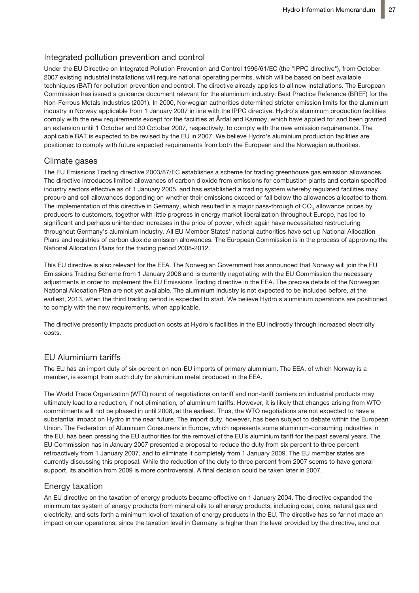# Integrated pollution prevention and control

Under the EU Directive on Integrated Pollution Prevention and Control 1996/61/EC (the "IPPC directive"), from October 2007 existing industrial installations will require national operating permits, which will be based on best available techniques (BAT) for pollution prevention and control. The directive already applies to all new installations. The European Commission has issued a guidance document relevant for the aluminium industry: Best Practice Reference (BREF) for the Non-Ferrous Metals Industries (2001). In 2000, Norwegian authorities determined stricter emission limits for the aluminium industry in Norway applicable from 1 January 2007 in line with the IPPC directive. Hydro's aluminium production facilities comply with the new requirements except for the facilities at Årdal and Karmøy, which have applied for and been granted an extension until 1 October and 30 October 2007, respectively, to comply with the new emission requirements. The applicable BAT is expected to be revised by the EU in 2007. We believe Hydro's aluminium production facilities are positioned to comply with future expected requirements from both the European and the Norwegian authorities.

## Climate gases

The EU Emissions Trading directive 2003/87/EC establishes a scheme for trading greenhouse gas emission allowances. The directive introduces limited allowances of carbon dioxide from emissions for combustion plants and certain specified industry sectors effective as of 1 January 2005, and has established a trading system whereby regulated facilities may procure and sell allowances depending on whether their emissions exceed or fall below the allowances allocated to them. The implementation of this directive in Germany, which resulted in a major pass-through of CO<sub>2</sub> allowance prices by producers to customers, together with little progress in energy market liberalization throughout Europe, has led to significant and perhaps unintended increases in the price of power, which again have necessitated restructuring throughout Germany's aluminium industry. All EU Member States' national authorities have set up National Allocation Plans and registries of carbon dioxide emission allowances. The European Commission is in the process of approving the National Allocation Plans for the trading period 2008-2012.

This EU directive is also relevant for the EEA. The Norwegian Government has announced that Norway will join the EU Emissions Trading Scheme from 1 January 2008 and is currently negotiating with the EU Commission the necessary adjustments in order to implement the EU Emissions Trading directive in the EEA. The precise details of the Norwegian National Allocation Plan are not yet available. The aluminium industry is not expected to be included before, at the earliest, 2013, when the third trading period is expected to start. We believe Hydro's aluminium operations are positioned to comply with the new requirements, when applicable.

The directive presently impacts production costs at Hydro's facilities in the EU indirectly through increased electricity costs.

# EU Aluminium tariffs

The EU has an import duty of six percent on non-EU imports of primary aluminium. The EEA, of which Norway is a member, is exempt from such duty for aluminium metal produced in the EEA.

The World Trade Organization (WTO) round of negotiations on tariff and non-tariff barriers on industrial products may ultimately lead to a reduction, if not elimination, of aluminium tariffs. However, it is likely that changes arising from WTO commitments will not be phased in until 2008, at the earliest. Thus, the WTO negotiations are not expected to have a substantial impact on Hydro in the near future. The import duty, however, has been subject to debate within the European Union. The Federation of Aluminium Consumers in Europe, which represents some aluminium-consuming industries in the EU, has been pressing the EU authorities for the removal of the EU's aluminium tariff for the past several years. The EU Commission has in January 2007 presented a proposal to reduce the duty from six percent to three percent retroactively from 1 January 2007, and to eliminate it completely from 1 January 2009. The EU member states are currently discussing this proposal. While the reduction of the duty to three percent from 2007 seems to have general support, its abolition from 2009 is more controversial. A final decision could be taken later in 2007.

# Energy taxation

An EU directive on the taxation of energy products became effective on 1 January 2004. The directive expanded the minimum tax system of energy products from mineral oils to all energy products, including coal, coke, natural gas and electricity, and sets forth a minimum level of taxation of energy products in the EU. The directive has so far not made an impact on our operations, since the taxation level in Germany is higher than the level provided by the directive, and our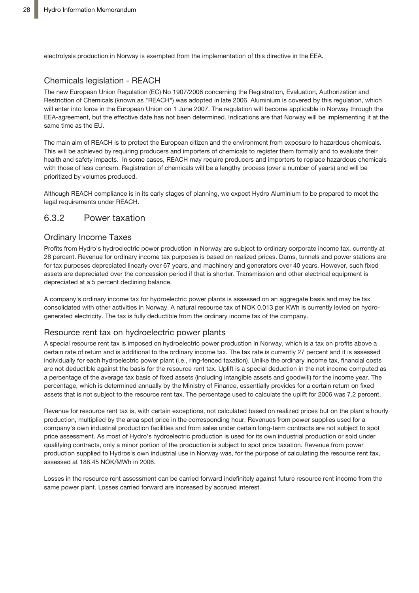electrolysis production in Norway is exempted from the implementation of this directive in the EEA.

## Chemicals legislation - REACH

The new European Union Regulation (EC) No 1907/2006 concerning the Registration, Evaluation, Authorization and Restriction of Chemicals (known as "REACH") was adopted in late 2006. Aluminium is covered by this regulation, which will enter into force in the European Union on 1 June 2007. The regulation will become applicable in Norway through the EEA-agreement, but the effective date has not been determined. Indications are that Norway will be implementing it at the same time as the EU.

The main aim of REACH is to protect the European citizen and the environment from exposure to hazardous chemicals. This will be achieved by requiring producers and importers of chemicals to register them formally and to evaluate their health and safety impacts. In some cases, REACH may require producers and importers to replace hazardous chemicals with those of less concern. Registration of chemicals will be a lengthy process (over a number of years) and will be prioritized by volumes produced.

Although REACH compliance is in its early stages of planning, we expect Hydro Aluminium to be prepared to meet the legal requirements under REACH.

# 6.3.2 Power taxation

### Ordinary Income Taxes

Profits from Hydro's hydroelectric power production in Norway are subject to ordinary corporate income tax, currently at 28 percent. Revenue for ordinary income tax purposes is based on realized prices. Dams, tunnels and power stations are for tax purposes depreciated linearly over 67 years, and machinery and generators over 40 years. However, such fixed assets are depreciated over the concession period if that is shorter. Transmission and other electrical equipment is depreciated at a 5 percent declining balance.

A company's ordinary income tax for hydroelectric power plants is assessed on an aggregate basis and may be tax consolidated with other activities in Norway. A natural resource tax of NOK 0.013 per KWh is currently levied on hydrogenerated electricity. The tax is fully deductible from the ordinary income tax of the company.

### Resource rent tax on hydroelectric power plants

A special resource rent tax is imposed on hydroelectric power production in Norway, which is a tax on profits above a certain rate of return and is additional to the ordinary income tax. The tax rate is currently 27 percent and it is assessed individually for each hydroelectric power plant (i.e., ring-fenced taxation). Unlike the ordinary income tax, financial costs are not deductible against the basis for the resource rent tax. Uplift is a special deduction in the net income computed as a percentage of the average tax basis of fixed assets (including intangible assets and goodwill) for the income year. The percentage, which is determined annually by the Ministry of Finance, essentially provides for a certain return on fixed assets that is not subject to the resource rent tax. The percentage used to calculate the uplift for 2006 was 7.2 percent.

Revenue for resource rent tax is, with certain exceptions, not calculated based on realized prices but on the plant's hourly production, multiplied by the area spot price in the corresponding hour. Revenues from power supplies used for a company's own industrial production facilities and from sales under certain long-term contracts are not subject to spot price assessment. As most of Hydro's hydroelectric production is used for its own industrial production or sold under qualifying contracts, only a minor portion of the production is subject to spot price taxation. Revenue from power production supplied to Hydros's own industrial use in Norway was, for the purpose of calculating the resource rent tax, assessed at 188.45 NOK/MWh in 2006.

Losses in the resource rent assessment can be carried forward indefinitely against future resource rent income from the same power plant. Losses carried forward are increased by accrued interest.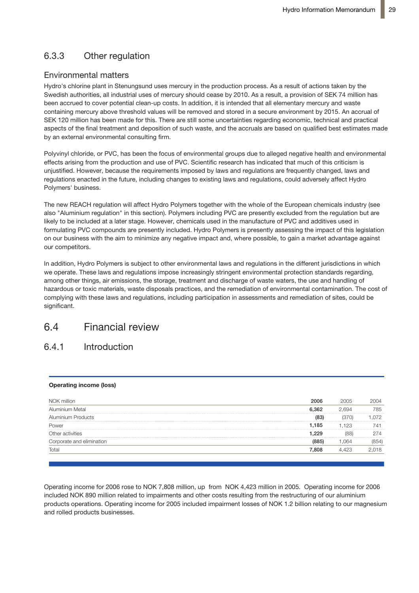# 6.3.3 Other regulation

### Environmental matters

Hydro's chlorine plant in Stenungsund uses mercury in the production process. As a result of actions taken by the Swedish authorities, all industrial uses of mercury should cease by 2010. As a result, a provision of SEK 74 million has been accrued to cover potential clean-up costs. In addition, it is intended that all elementary mercury and waste containing mercury above threshold values will be removed and stored in a secure environment by 2015. An accrual of SEK 120 million has been made for this. There are still some uncertainties regarding economic, technical and practical aspects of the final treatment and deposition of such waste, and the accruals are based on qualified best estimates made by an external environmental consulting firm.

Polyvinyl chloride, or PVC, has been the focus of environmental groups due to alleged negative health and environmental effects arising from the production and use of PVC. Scientific research has indicated that much of this criticism is unjustified. However, because the requirements imposed by laws and regulations are frequently changed, laws and regulations enacted in the future, including changes to existing laws and regulations, could adversely affect Hydro Polymers' business.

The new REACH regulation will affect Hydro Polymers together with the whole of the European chemicals industry (see also "Aluminium regulation" in this section). Polymers including PVC are presently excluded from the regulation but are likely to be included at a later stage. However, chemicals used in the manufacture of PVC and additives used in formulating PVC compounds are presently included. Hydro Polymers is presently assessing the impact of this legislation on our business with the aim to minimize any negative impact and, where possible, to gain a market advantage against our competitors.

In addition, Hydro Polymers is subject to other environmental laws and regulations in the different jurisdictions in which we operate. These laws and regulations impose increasingly stringent environmental protection standards regarding, among other things, air emissions, the storage, treatment and discharge of waste waters, the use and handling of hazardous or toxic materials, waste disposals practices, and the remediation of environmental contamination. The cost of complying with these laws and regulations, including participation in assessments and remediation of sites, could be significant.

# 6.4 Financial review

#### **Introduction**  $6.4.1$

#### Operating income (loss)

| NOK million               | 006  | 2005 |     |
|---------------------------|------|------|-----|
| Aluminium Metal           | 362  |      | '85 |
| <b>Aluminium Products</b> |      |      |     |
| Power                     | .185 | .123 |     |
| Other activities          | 229  |      |     |
| Corporate and elimination |      |      |     |
|                           | 808  |      |     |
|                           |      |      |     |

Operating income for 2006 rose to NOK 7,808 million, up from NOK 4,423 million in 2005. Operating income for 2006 included NOK 890 million related to impairments and other costs resulting from the restructuring of our aluminium products operations. Operating income for 2005 included impairment losses of NOK 1.2 billion relating to our magnesium and rolled products businesses.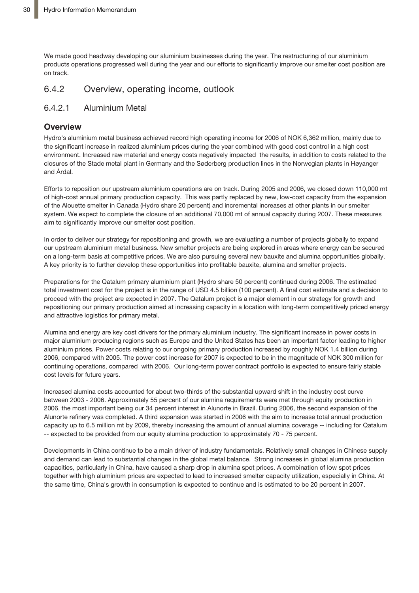We made good headway developing our aluminium businesses during the year. The restructuring of our aluminium products operations progressed well during the year and our efforts to significantly improve our smelter cost position are on track.

# 6.4.2 Overview, operating income, outlook

## 6.4.2.1 Aluminium Metal

### **Overview**

Hydro's aluminium metal business achieved record high operating income for 2006 of NOK 6,362 million, mainly due to the significant increase in realized aluminium prices during the year combined with good cost control in a high cost environment. Increased raw material and energy costs negatively impacted the results, in addition to costs related to the closures of the Stade metal plant in Germany and the Søderberg production lines in the Norwegian plants in Høyanger and Årdal.

Efforts to reposition our upstream aluminium operations are on track. During 2005 and 2006, we closed down 110,000 mt of high-cost annual primary production capacity. This was partly replaced by new, low-cost capacity from the expansion of the Alouette smelter in Canada (Hydro share 20 percent) and incremental increases at other plants in our smelter system. We expect to complete the closure of an additional 70,000 mt of annual capacity during 2007. These measures aim to significantly improve our smelter cost position.

In order to deliver our strategy for repositioning and growth, we are evaluating a number of projects globally to expand our upstream aluminium metal business. New smelter projects are being explored in areas where energy can be secured on a long-term basis at competitive prices. We are also pursuing several new bauxite and alumina opportunities globally. A key priority is to further develop these opportunities into profitable bauxite, alumina and smelter projects.

Preparations for the Qatalum primary aluminium plant (Hydro share 50 percent) continued during 2006. The estimated total investment cost for the project is in the range of USD 4.5 billion (100 percent). A final cost estimate and a decision to proceed with the project are expected in 2007. The Qatalum project is a major element in our strategy for growth and repositioning our primary production aimed at increasing capacity in a location with long-term competitively priced energy and attractive logistics for primary metal.

Alumina and energy are key cost drivers for the primary aluminium industry. The significant increase in power costs in major aluminium producing regions such as Europe and the United States has been an important factor leading to higher aluminium prices. Power costs relating to our ongoing primary production increased by roughly NOK 1.4 billion during 2006, compared with 2005. The power cost increase for 2007 is expected to be in the magnitude of NOK 300 million for continuing operations, compared with 2006. Our long-term power contract portfolio is expected to ensure fairly stable cost levels for future years.

Increased alumina costs accounted for about two-thirds of the substantial upward shift in the industry cost curve between 2003 - 2006. Approximately 55 percent of our alumina requirements were met through equity production in 2006, the most important being our 34 percent interest in Alunorte in Brazil. During 2006, the second expansion of the Alunorte refinery was completed. A third expansion was started in 2006 with the aim to increase total annual production capacity up to 6.5 million mt by 2009, thereby increasing the amount of annual alumina coverage -- including for Qatalum -- expected to be provided from our equity alumina production to approximately 70 - 75 percent.

Developments in China continue to be a main driver of industry fundamentals. Relatively small changes in Chinese supply and demand can lead to substantial changes in the global metal balance. Strong increases in global alumina production capacities, particularly in China, have caused a sharp drop in alumina spot prices. A combination of low spot prices together with high aluminium prices are expected to lead to increased smelter capacity utilization, especially in China. At the same time, China's growth in consumption is expected to continue and is estimated to be 20 percent in 2007.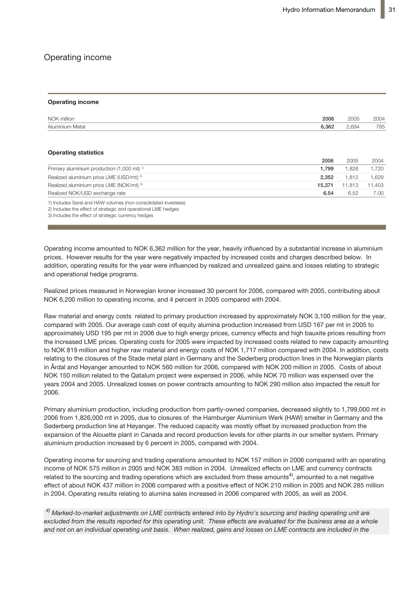# Operating income

#### **Operating income**

| NOK million     | 2006  | 2005  | 2004 |
|-----------------|-------|-------|------|
| Aluminium Metal | 6.362 | 2.694 | 785  |

#### **Operating statistics**

|                                                                 | 2006   |        | 2004   |
|-----------------------------------------------------------------|--------|--------|--------|
| Primary aluminium production $(1,000 \text{ mt})$ <sup>1)</sup> | 1.799  | 1.826  | 1.720  |
| Realized aluminium price LME (USD/mt) <sup>2)</sup>             | 2.352  | 1.812  | .629   |
| Realized aluminium price LME (NOK/mt) 3)                        | 15.371 | 11.813 | 11.403 |
| Realized NOK/USD exchange rate                                  | 6.54   | 6.52   | 7.00   |
| 1) Includes Søral and HAW volumes (non-consolidated investees)  |        |        |        |

2) Includes the effect of strategic and operational LME hedges 3) Includes the effect of strategic currency hedges

Operating income amounted to NOK 6,362 million for the year, heavily influenced by a substantial increase in aluminium prices. However results for the year were negatively impacted by increased costs and charges described below. In addition, operating results for the year were influenced by realized and unrealized gains and losses relating to strategic and operational hedge programs.

Realized prices measured in Norwegian kroner increased 30 percent for 2006, compared with 2005, contributing about NOK 6,200 million to operating income, and 4 percent in 2005 compared with 2004. USD 195 per mt in 2006 due to high energy prices, currency effects and high bauxite

Raw material and energy costs related to primary production increased by approximately NOK 3,100 million for the year, compared with 2005. Our average cash cost of equity alumina production increased from USD 167 per mt in 2005 to approximately USD 195 per mt in 2006 due to high energy prices, currency effects and high bauxite prices resulting from costs relating to the closures of the Stade metal plant in Germany and the Søderberg the increased LME prices. Operating costs for 2005 were impacted by increased costs related to new capacity amounting to NOK 819 million and higher raw material and energy costs of NOK 1,717 million compared with 2004. In addition, costs relating to the closures of the Stade metal plant in Germany and the Søderberg production lines in the Norwegian plants in Årdal and Høyanger amounted to NOK 560 million for 2006, compared with NOK 200 million in 2005. Costs of about was expense the years 2004 and 2004 and 2004 and 2004 and 2004 and 2006, while NOK 70 million was expensed over the<br>NOK 150 million related to the Qatalum project were expensed in 2006, while NOK 70 million was expensed ov amounting to NOK 290 million also impacted the result for 2006. years 2004 and 2005. Unrealized losses on power contracts amounting to NOK 290 million also impacted the result for 2006.

Primary aluminium production, including production from partly-owned companies, decreased slightly to 1,799,000 mt in the Hamburger Aluminium Werk (HAW) smelter in Germany and the Søderberg produc-2006 from 1,826,000 mt in 2005, due to closures of the Hamburger Aluminium Werk (HAW) smelter in Germany and the tion line at Høyanger. The reduced capacity was mostly offset by increased production Søderberg production line at Høyanger. The reduced capacity was mostly offset by increased production from the from the expansion of the Alouette plant in Canada and record production levels for expansion of the Alouette plant in Canada and record production levels for other plants in our smelter system. Primary  $\sigma$  other plants in  $\frac{1}{2006}$  permeated by  $\frac{1}{2004}$ . aluminium production increased by 6 percent in 2005, compared with 2004.<br>

income of NOK 575 million in 2005 and NOK 383 million in 2004. Unrealized effects on LME and currency contracts related to the sourcing and trading operations which are excluded from these amounts<sup>4)</sup>, amounted to a net negative  $m = 2004$  with a maximum effect of NOI/010 million in 0005 and NOI/005 million ing and trading operations which are excluded from the second from the second from the second from the second , amounted to an order the set of an order to an analysis of the set of an analysis of the set of an analysis<br>4 in 2004. Operating results relating to alumina sales increased in 2006 compared with 2005, as well as 2004.  $\alpha$ ect of shout NOK 137 million in 200 effect of about NOK 437 million in 2006 compared with a positive effect of NOK 210 million in 2005 and NOK 285 million<br>Legacy 2006 and NOK 437 million in 2006 compared with a positive effect of NOK 210 million in 2005 and Operating income for sourcing and trading operations amounted to NOK 157 million in 2006 compared with an operating

contracts emered into by Hydro s sourcing and trading operating d not on an individual operating unit basis. Whel realized, gains and losses on LME contracts are  $^\mathrm{4)}$  Marked-to-market adjustments on LME contracts entered into by Hydro's sourcing and trading operating unit are excluded from the results reported for this operating unit. These effects are evaluated for the business area as a whole and not on an individual operating unit basis. When realized, gains and losses on LME contracts are included in the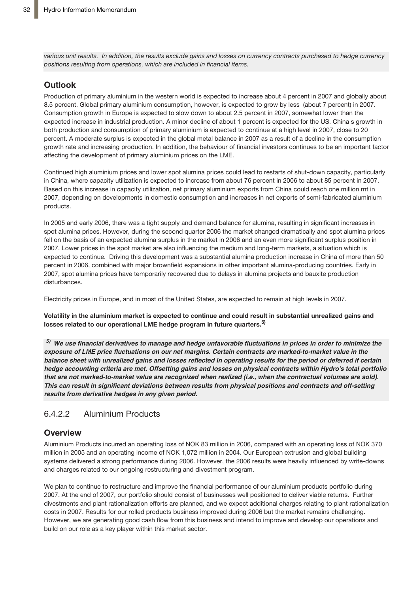various unit results. In addition, the results exclude gains and losses on currency contracts purchased to hedge currency *positions resulting from operations, which are included in financial items.*

# **Outlook**

Production of primary aluminium in the western world is expected to increase about 4 percent in 2007 and globally about 8.5 percent. Global primary aluminium consumption, however, is expected to grow by less (about 7 percent) in 2007. Consumption growth in Europe is expected to slow down to about 2.5 percent in 2007, somewhat lower than the expected increase in industrial production. A minor decline of about 1 percent is expected for the US. China's growth in both production and consumption of primary aluminium is expected to continue at a high level in 2007, close to 20 percent. A moderate surplus is expected in the global metal balance in 2007 as a result of a decline in the consumption growth rate and increasing production. In addition, the behaviour of financial investors continues to be an important factor affecting the development of primary aluminium prices on the LME.

Continued high aluminium prices and lower spot alumina prices could lead to restarts of shut-down capacity, particularly in China, where capacity utilization is expected to increase from about 76 percent in 2006 to about 85 percent in 2007. Based on this increase in capacity utilization, net primary aluminium exports from China could reach one million mt in 2007, depending on developments in domestic consumption and increases in net exports of semi-fabricated aluminium products.

In 2005 and early 2006, there was a tight supply and demand balance for alumina, resulting in significant increases in spot alumina prices. However, during the second quarter 2006 the market changed dramatically and spot alumina prices fell on the basis of an expected alumina surplus in the market in 2006 and an even more significant surplus position in 2007. Lower prices in the spot market are also influencing the medium and long-term markets, a situation which is expected to continue. Driving this development was a substantial alumina production increase in China of more than 50 percent in 2006, combined with major brownfield expansions in other important alumina-producing countries. Early in 2007, spot alumina prices have temporarily recovered due to delays in alumina projects and bauxite production disturbances.

Electricity prices in Europe, and in most of the United States, are expected to remain at high levels in 2007.

Volatility in the aluminium market is expected to continue and could result in substantial unrealized gains and **losses related to our operational LME hedge program in future quarters. 5)**

 $5)$  We use financial derivatives to manage and hedge unfavorable fluctuations in prices in order to minimize the *exposure of LME price fluctuations on our net margins. Certain contracts are marked-to-market value in the balance sheet with unrealized gains and losses reflected in operating results for the period or deferred if certain hedge accounting criteria are met. Offsetting gains and losses on physical contracts within Hydro's total portfolio that are not marked-to-market value are recognized when realized (i.e., when the contractual volumes are sold). This can result in significant deviations between results from physical positions and contracts and off-setting results from derivative hedges in any given period.*

# 6.4.2.2 Aluminium Products

# **Overview**

Aluminium Products incurred an operating loss of NOK 83 million in 2006, compared with an operating loss of NOK 370 million in 2005 and an operating income of NOK 1,072 million in 2004. Our European extrusion and global building systems delivered a strong performance during 2006. However, the 2006 results were heavily influenced by write-downs and charges related to our ongoing restructuring and divestment program.

We plan to continue to restructure and improve the financial performance of our aluminium products portfolio during 2007. At the end of 2007, our portfolio should consist of businesses well positioned to deliver viable returns. Further divestments and plant rationalization efforts are planned, and we expect additional charges relating to plant rationalization costs in 2007. Results for our rolled products business improved during 2006 but the market remains challenging. However, we are generating good cash flow from this business and intend to improve and develop our operations and build on our role as a key player within this market sector.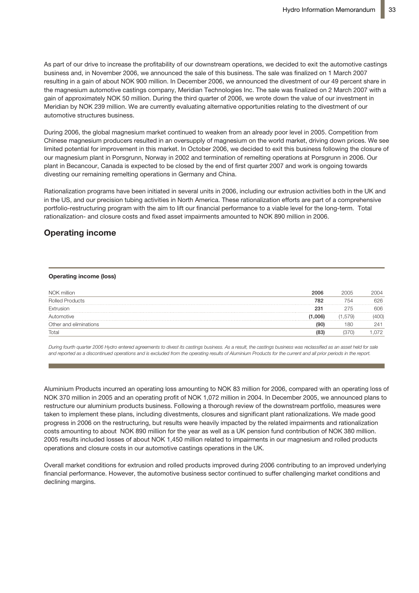As part of our drive to increase the profitability of our downstream operations, we decided to exit the automotive castings business and, in November 2006, we announced the sale of this business. The sale was finalized on 1 March 2007 resulting in a gain of about NOK 900 million. In December 2006, we announced the divestment of our 49 percent share in the magnesium automotive castings company, Meridian Technologies Inc. The sale was finalized on 2 March 2007 with a gain of approximately NOK 50 million. During the third quarter of 2006, we wrote down the value of our investment in Meridian by NOK 239 million. We are currently evaluating alternative opportunities relating to the divestment of our automotive structures business.

During 2006, the global magnesium market continued to weaken from an already poor level in 2005. Competition from Chinese magnesium producers resulted in an oversupply of magnesium on the world market, driving down prices. We see limited potential for improvement in this market. In October 2006, we decided to exit this business following the closure of our magnesium plant in Porsgrunn, Norway in 2002 and termination of remelting operations at Porsgrunn in 2006. Our plant in Becancour, Canada is expected to be closed by the end of first quarter 2007 and work is ongoing towards divesting our remaining remelting operations in Germany and China.

Rationalization programs have been initiated in several units in 2006, including our extrusion activities both in the UK and in the US, and our precision tubing activities in North America. These rationalization efforts are part of a comprehensive portfolio-restructuring program with the aim to lift our financial performance to a viable level for the long-term. Total rationalization- and closure costs and fixed asset impairments amounted to NOK 890 million in 2006.

# **Operating income**

#### **Operating income (loss)**

| NOK million            | 2006    | 2005 | 2004     |
|------------------------|---------|------|----------|
| <b>Rolled Products</b> | 782     | 754  | 626<br>. |
| Extrusion              | 231     | 275  | 606<br>  |
| utomotive              | (1.006) | 57Y) |          |
| Other and eliminations | :90     | 8C   | 41ء      |
| Total                  | (83     |      |          |

During fourth quarter 2006 Hydro entered agreements to divest its castings business. As a result, the castings business was reclassified as an asset held for sale and reported as a discontinued operations and is excluded from the operating results of Aluminium Products for the current and all prior periods in the report.

**Outlook** Aluminium Products incurred an operating loss amounting to NOK 83 million for 2006, compared with an operating loss of NOK 370 million in 2005 and an operating profit of NOK 1,072 million in 2004. In December 2005, we announced plans to restructure our aluminium products business. Following a thorough review of the downstream portfolio, measures were<br>restructure our aluminium products business. Following a thorough review of the downstream portfolio, meas taken to implement these plans, including divestments, closures and significant plant rationalizations. We made good unctive imprement areas plans, measing arrostments, erosing and eignmeant plant rationalizations. The masse good<br>progress in 2006 on the restructuring, but results were heavily impacted by the related impairments and ratio progress in 2000 on the recurseding, surrective were nearily impacted by the related impairments and rationalization.<br>costs amounting to about NOK 890 million for the year as well as a UK pension fund contribution of NOK 3 aluminium is aluminium use is also experience in many other many other sectors. The other major driver of con-2005 results included losses of about NOK 1,450 million related to impairments in our magnesium and rolled products<br>
2005 results included losses of about NOK 1,450 million related to impairments in our magnesium and rolle operations and closure costs in our automotive castings operations in the UK.

The product in provide damny 2009 continuating to an improved and shipments to the European rolled products and extrusion markets are expected to remain financial performance. However, the automotive business sector continued to suffer challenging market conditions and Overall market conditions for extrusion and rolled products improved during 2006 contributing to an improved underlying declining margins.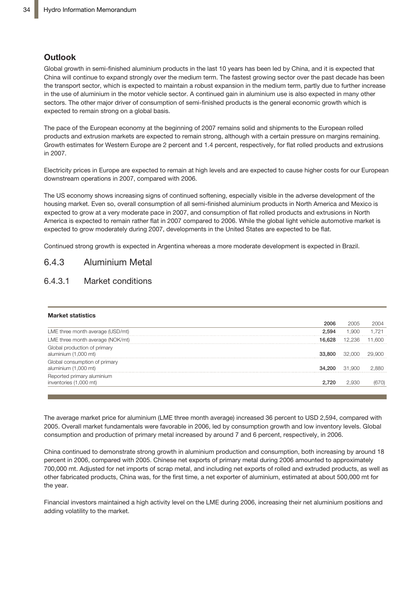### **Outlook**

Global growth in semi-finished aluminium products in the last 10 years has been led by China, and it is expected that China will continue to expand strongly over the medium term. The fastest growing sector over the past decade has been the transport sector, which is expected to maintain a robust expansion in the medium term, partly due to further increase in the use of aluminium in the motor vehicle sector. A continued gain in aluminium use is also expected in many other sectors. The other major driver of consumption of semi-finished products is the general economic growth which is expected to remain strong on a global basis.

The pace of the European economy at the beginning of 2007 remains solid and shipments to the European rolled products and extrusion markets are expected to remain strong, although with a certain pressure on margins remaining. Growth estimates for Western Europe are 2 percent and 1.4 percent, respectively, for flat rolled products and extrusions in 2007.

Electricity prices in Europe are expected to remain at high levels and are expected to cause higher costs for our European downstream operations in 2007, compared with 2006.

The US economy shows increasing signs of continued softening, especially visible in the adverse development of the housing market. Even so, overall consumption of all semi-finished aluminium products in North America and Mexico is expected to grow at a very moderate pace in 2007, and consumption of flat rolled products and extrusions in North America is expected to remain rather flat in 2007 compared to 2006. While the global light vehicle automotive market is expected to grow moderately during 2007, developments in the United States are expected to be flat.

Continued strong growth is expected in Argentina whereas a more moderate development is expected in Brazil.

### 6.4.3 Aluminium Metal

### 6.4.3.1 Market conditions

#### **Market statistics**

| LME three month average (USD/mt)                      |        | ч      |  |
|-------------------------------------------------------|--------|--------|--|
| LME three month average (NOK/mt)                      |        |        |  |
| Global production of primary<br>aluminium (1,000 mt)  |        |        |  |
| Global consumption of primary<br>aluminium (1,000 mt) | 34.200 | 31.900 |  |
| Reported primary aluminium<br>inventories (1,000 mt)  |        |        |  |

2005. Overall market fundamentals were favorable in 2006, led by consumption growth and low inventory levels. Global consumption and production of primary metal increased by around 7 and 6 percent, respectively, in 2006. The average market price for aluminium (LME three month average) increased 36 percent to USD 2,594, compared with

percent in 2006, compared with 2005. Chinese net exports of primary metal during 2006 amounted to approximately 700,000 mt. Adjusted for net imports of scrap metal, and including net exports of rolled and extruded products, as well as other fabricated products, China was, for the first time, a net exporter of aluminium, estimated at about 500,000 mt for the year. China continued to demonstrate strong growth in aluminium production and consumption, both increasing by around 18

Financial investors maintained a high activity level on the LME during 2006, increasing their net aluminium positions and adding volatility to the market.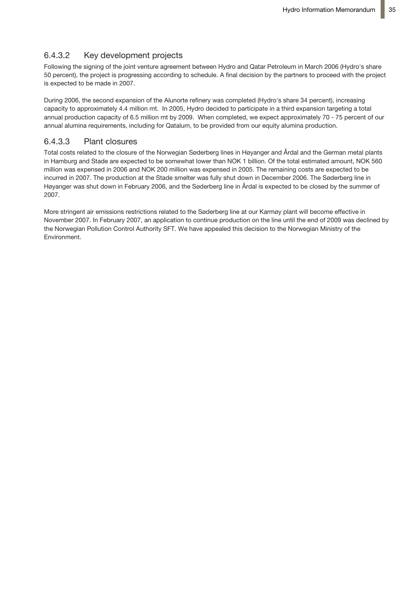## 6.4.3.2 Key development projects

Following the signing of the joint venture agreement between Hydro and Qatar Petroleum in March 2006 (Hydro's share 50 percent), the project is progressing according to schedule. A final decision by the partners to proceed with the project is expected to be made in 2007.

During 2006, the second expansion of the Alunorte refinery was completed (Hydro's share 34 percent), increasing capacity to approximately 4.4 million mt. In 2005, Hydro decided to participate in a third expansion targeting a total annual production capacity of 6.5 million mt by 2009. When completed, we expect approximately 70 - 75 percent of our annual alumina requirements, including for Qatalum, to be provided from our equity alumina production.

### 6.4.3.3 Plant closures

Total costs related to the closure of the Norwegian Søderberg lines in Høyanger and Årdal and the German metal plants in Hamburg and Stade are expected to be somewhat lower than NOK 1 billion. Of the total estimated amount, NOK 560 million was expensed in 2006 and NOK 200 million was expensed in 2005. The remaining costs are expected to be incurred in 2007. The production at the Stade smelter was fully shut down in December 2006. The Søderberg line in Høyanger was shut down in February 2006, and the Søderberg line in Årdal is expected to be closed by the summer of 2007.

More stringent air emissions restrictions related to the Søderberg line at our Karmøy plant will become effective in November 2007. In February 2007, an application to continue production on the line until the end of 2009 was declined by the Norwegian Pollution Control Authority SFT. We have appealed this decision to the Norwegian Ministry of the Environment.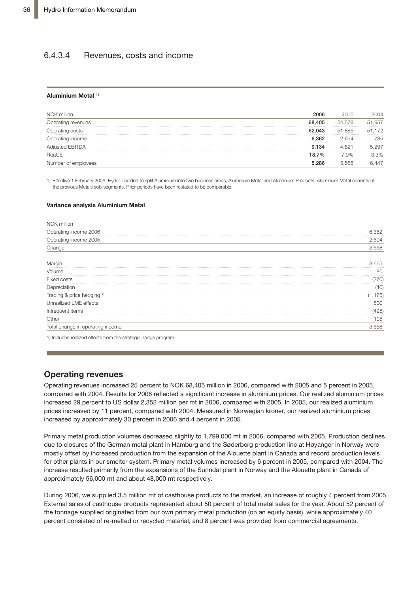### 6.4.3.4 Revenues, costs and income

#### **Aluminium Metal 1)**

| NOK million         | 2006   | 2005    | 2004   |
|---------------------|--------|---------|--------|
| Operating revenues  | 68.405 | 54.579  | 51.957 |
| Operating costs     | 62.043 | 51.885  | 51.172 |
| Operating income    | 6.362  | 2694    | 785    |
| Adjusted EBITDA     | 9.134  |         | .297   |
| RoaCE               | 18.7%  | $7.9\%$ | २.२%   |
| Number of employees | 5 286  | 5.558   | 447    |

1) Effective 1 February 2006, Hydro decided to split Aluminium into two business areas, Aluminium Metal and Aluminium Products. Aluminium Metal consists of the previous Metals sub-segments. Prior periods have been restated to be comparable.

#### **Variance analysis Aluminium Metal**

| 6,362 |
|-------|
| 2,694 |
| 3.668 |
| .665  |
| 80    |
| 270)  |
| (40)  |
| 75)   |
| 800   |
| 495   |
| 105   |
| .668  |
|       |

1) Includes realized effects from the strategic hedge program.

### **Operating revenues**

Operating revenues increased 25 percent to NOK 68,405 million in 2006, compared with 2005 and 5 percent in 2005, compared with 2004. Results for 2006 reflected a significant increase in aluminium prices. Our realized aluminium prices increased 29 percent to US dollar 2,352 million per mt in 2006, compared with 2005. In 2005, our realized aluminium prices increased by 11 percent, compared with 2004. Measured in Norwegian kroner, our realized aluminium prices increased by approximately 30 percent in 2006 and 4 percent in 2005.

Primary metal production volumes decreased slightly to 1,799,000 mt in 2006, compared with 2005. Production declines due to closures of the German metal plant in Hamburg and the Søderberg production line at Høyanger in Norway were mostly offset by increased production from the expansion of the Alouette plant in Canada and record production levels for other plants in our smelter system. Primary metal volumes increased by 6 percent in 2005, compared with 2004. The increase resulted primarily from the expansions of the Sunndal plant in Norway and the Alouette plant in Canada of approximately 56,000 mt and about 48,000 mt respectively.

During 2006, we supplied 3.5 million mt of casthouse products to the market, an increase of roughly 4 percent from 2005. External sales of casthouse products represented about 50 percent of total metal sales for the year. About 52 percent of the tonnage supplied originated from our own primary metal production (on an equity basis), while approximately 40 percent consisted of re-melted or recycled material, and 8 percent was provided from commercial agreements.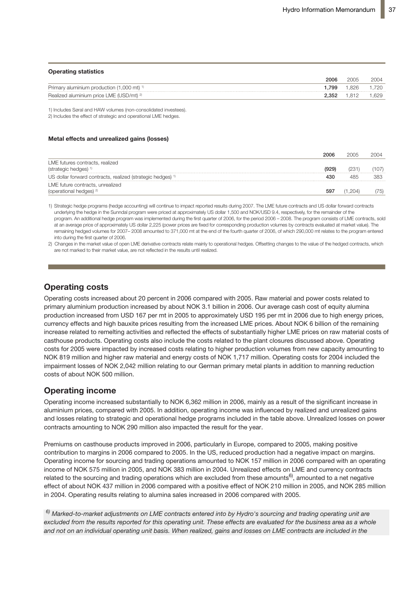#### **Operating statistics**

|                                                       | 2006  | 2005 | 2004  |
|-------------------------------------------------------|-------|------|-------|
| Primary aluminium production (1,000 mt) <sup>1)</sup> | 799   | .826 | 1.720 |
| Realized aluminium price LME (USD/mt) <sup>2)</sup>   | 2.352 | .812 | .629  |
|                                                       |       |      |       |

1) Includes Søral and HAW volumes (non-consolidated investees).

2) Includes the effect of strategic and operational LME hedges.

#### **Metal effects and unrealized gains (losses)**

|                                                                        | 2006 | 2005 | 2004       |
|------------------------------------------------------------------------|------|------|------------|
| LME futures contracts, realized<br>(strategic hedges)                  |      |      |            |
| US dollar forward contracts, realized (strategic hedges)               |      |      |            |
| LME future contracts, unrealized<br>(operational hedges) <sup>2)</sup> | 59.  |      | $\sqrt{5}$ |

1) Strategic hedge programs (hedge accounting) will continue to impact reported results during 2007. The LME future contracts and US dollar forward contracts underlying the hedge in the Sunndal program were priced at approximately US dollar 1,500 and NOK/USD 9.4, respectively, for the remainder of the program. An additional hedge program was implemented during the first quarter of 2006, for the period 2006 – 2008. The program consists of LME contracts, sold at an average price of approximately US dollar 2,225 (power prices are fixed for corresponding production volumes by contracts evaluated at market value). The remaining hedged volumes for 2007– 2008 amounted to 371,000 mt at the end of the fourth quarter of 2006, of which 290,000 mt relates to the program entered into during the first quarter of 2006.

2) Changes in the market value of open LME derivative contracts relate mainly to operational hedges. Offsetting changes to the value of the hedged contracts, which are not marked to their market value, are not reflected in the results until realized.

## **Operating costs**

production increased from USD 167 per mt in 2005 to approximately USD 195 per mt in 2006 due to high energy prices, .<br>currency effects and high bauxite prices resulting from the increased LME prices. About NOK 6 billion of the remaining increase related to remelting activities and reflected the effects of substantially higher LME prices on raw material costs of casthouse products. Operating costs also include the costs related to the plant closures discussed above. Operating costs for 2005 were impacted by increased costs relating to higher production volumes from new capacity amounting to NOK 819 million and higher raw material and energy costs of NOK 1,717 million. Operating costs for 2004 included the costs of about NOK 500 million. The strong growth in aluminium production and consump-Operating costs increased about 20 percent in 2006 compared with 2005. Raw material and power costs related to primary aluminium production increased by about NOK 3.1 billion in 2006. Our average cash cost of equity alumina **0** impairment losses of NOK 2,042 million relating to our German primary metal plants in addition to manning reduction  $\overline{0}$ 

### **Operating income and 2006 amounted to approximately 700,000 mt. Adjusted to approximately 700,000 metal 700,000 metal 700,000 metal 700,000 metal 700,000 metal 700,000 metal 700,000 metal 700,000 metal 700,000 metal 700**

Operating income increased substantially to NOK 6,362 million in 2006, mainly as a result of the significant increase in aluminium prices, compared with 2005. In addition, operating income was influenced by realized and unrealized gains and losses relating to strategic and operational hedge programs included in the table above. Unrealized losses on power Financial investors maintained a high activity level on the LME during 2006, increasing contracts amounting to NOK 290 million also impacted the result for the year.

Premiums on casthouse products improved in 2006, particularly in Europe, compared to 2005, making positive Operating income for sourcing and trading operations amounted to NOK 157 million in 2006 compared with an operating Following the signing of the joint venture agreement between Hydro and Qatar Petro-**1,500** income of NOK 575 million in 2005, and NOK 383 million in 2004. Unrealized effects on LME and currency contracts related to the sourcing and trading operations which are excluded from these amounts<sup>6)</sup>, amounted to a net negative effect of about NOK 437 million in 2006 compared with a positive effect of NOK 210 million in 2005, and NOK 285 million in 2004. Operating results relating to alumina sales increased in 2006 compared with 2005. **2,000** contribution to margins in 2006 compared to 2005. In the US, reduced production had a negative impact on margins.

 $\mathcal{O}$  $^{6)}$  Marked-to-market adjustments on LME contracts entered into by Hydro's sourcing and trading operating unit are excluded from the results reported for this operating unit. These effects are evaluated for the business area as a whole and not on an individual operating unit basis. When realized, gains and losses on LME contracts are included in the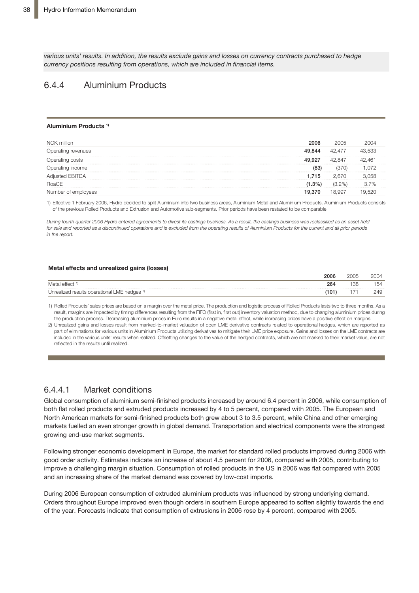various units' results. In addition, the results exclude gains and losses on currency contracts purchased to hedge *currency positions resulting from operations, which are included in financial items.*

### 6.4.4 Aluminium Products

#### **Aluminium Products 1)**

| NOK million         | 2006    | 2005   |        |
|---------------------|---------|--------|--------|
| Operating revenues  | 49.844  | 42.477 | 43.533 |
| Operating costs     | , 927   | 42.847 | 42.461 |
| Operating income    | (83)    | (370)  | በ72    |
| Adjusted EBITDA     | 1.715   | 2.670  | 3 0.58 |
| RoaCE               | $1.3\%$ | (3.2%) | 3.7%   |
| Number of employees | 19.370  | 18.997 |        |

1) Effective 1 February 2006, Hydro decided to split Aluminium into two business areas, Aluminium Metal and Aluminium Products. Aluminium Products consists of the previous Rolled Products and Extrusion and Automotive sub-segments. Prior periods have been restated to be comparable.

.<br>During fourth quarter 2006 Hydro entered agreements to divest its castings business. As a result, the castings business was reclassified as an asset held for sale and reported as a discontinued operations and is excluded from the operating results of Aluminium Products for the current and all prior periods *in the report.*  $\Gamma$  are report.

#### Metal effect 1) 264 138 154 **Metal effects and unrealized gains (losses)**

|                                                         | 2006 | <b>DOOF</b> |     |
|---------------------------------------------------------|------|-------------|-----|
| Metal effect                                            | 264  | 138         | 154 |
| Unrealized results operational LME hedges <sup>2)</sup> |      |             |     |
|                                                         |      |             |     |

1) Rolled Products' sales prices are based on a margin over the metal price. The production and logistic process of Rolled Products lasts two to three months. As a result, margins are impacted by timing differences resulting from the FIFO (first in, first out) inventory valuation method, due to changing aluminium prices during the production process. Decreasing aluminium prices in Euro results in a negative metal effect, while increasing prices have a positive effect on margins.

2) Unrealized gains and losses result from marked-to-market valuation of open LME derivative contracts related to operational hedges, which are reported as part of eliminations for various units in Aluminium Products utilizing derivatives to mitigate their LME price exposure. Gains and losses on the LME contracts are included in the various units' results when realized. Offsetting changes to the value of the hedged contracts, which are not marked to their market value, are not reflected in the results until realized.

#### 6.4.4.1 Market conditions  $r_{\text{ref}}$  is marginal conduction income for sourcing impact on matrix income for sourcing income for sourcing income for sourcing income for sourcing income for sourcing income for sourcing income for sourcing income for

ing income of NOK 575 million in 2005, and NOK 383 million in 2004. Unrealized effects both flat rolled products and extruded products increased by 4 to 5 percent, compared with 2005. The European and  $\alpha$  are excluded from the set above amounts increased by  $\alpha$  of persons, so  $437$  million in  $200$  million in  $200$  million in  $200$  and  $200$  and  $200$   $\mu$ markets fuelled an even stronger growth in global demand. Transportation and electrical components were the strongest growing end-use market segments. North American markets for semi-finished products both grew about 3 to 3.5 percent, while China and other emerging Global consumption of aluminium semi-finished products increased by around 6.4 percent in 2006, while consumption of

and a product with a structure of the computation in Europe, the matter for starting to be a product simple when the contract of the contract of the contract of the contract of the contract of the contract of the contract improve a challenging margin situation. Consumption of rolled products in the US in 2006 was flat compared with 2005 nprove a chancing margin shadhon. Consumption or rolled products in the e and an increasing share of the market demand was covered by low-cost imports. growing end-use market segments.<br>Following stronger economic development in Europe, the market for standard rolled products improved during 2006 with **-400** good order activity. Estimates indicate an increase of about 4.5 percent for 2006, compared with 2005, contributing to

non-consolidated investees amounting to NOK 837 million for 2006, compared with During 2006 European consumption of extruded aluminium products was influenced by strong underlying demand. of the year. Forecasts indicate that consumption of extrusions in 2006 rose by 4 percent, compared with 2005. Orders throughout Europe improved even though orders in southern Europe appeared to soften slightly towards the end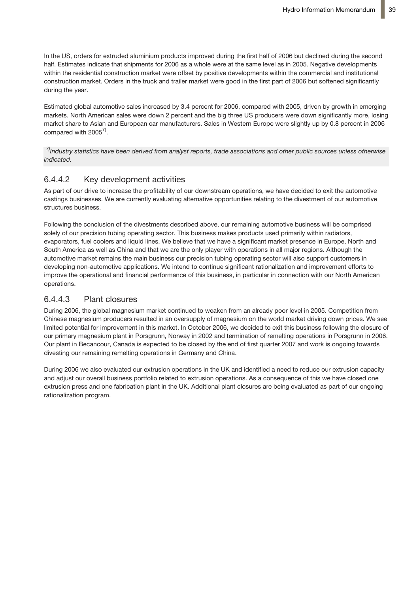In the US, orders for extruded aluminium products improved during the first half of 2006 but declined during the second half. Estimates indicate that shipments for 2006 as a whole were at the same level as in 2005. Negative developments within the residential construction market were offset by positive developments within the commercial and institutional construction market. Orders in the truck and trailer market were good in the first part of 2006 but softened significantly during the year.

Estimated global automotive sales increased by 3.4 percent for 2006, compared with 2005, driven by growth in emerging markets. North American sales were down 2 percent and the big three US producers were down significantly more, losing market share to Asian and European car manufacturers. Sales in Western Europe were slightly up by 0.8 percent in 2006 compared with 2005<sup>7)</sup>.

7) Industry statistics have been derived from analyst reports, trade associations and other public sources unless otherwise *indicated.*

### 6.4.4.2 Key development activities

As part of our drive to increase the profitability of our downstream operations, we have decided to exit the automotive castings businesses. We are currently evaluating alternative opportunities relating to the divestment of our automotive structures business.

Following the conclusion of the divestments described above, our remaining automotive business will be comprised solely of our precision tubing operating sector. This business makes products used primarily within radiators, evaporators, fuel coolers and liquid lines. We believe that we have a significant market presence in Europe, North and South America as well as China and that we are the only player with operations in all major regions. Although the automotive market remains the main business our precision tubing operating sector will also support customers in developing non-automotive applications. We intend to continue significant rationalization and improvement efforts to improve the operational and financial performance of this business, in particular in connection with our North American operations.

### 6.4.4.3 Plant closures

During 2006, the global magnesium market continued to weaken from an already poor level in 2005. Competition from Chinese magnesium producers resulted in an oversupply of magnesium on the world market driving down prices. We see limited potential for improvement in this market. In October 2006, we decided to exit this business following the closure of our primary magnesium plant in Porsgrunn, Norway in 2002 and termination of remelting operations in Porsgrunn in 2006. Our plant in Becancour, Canada is expected to be closed by the end of first quarter 2007 and work is ongoing towards divesting our remaining remelting operations in Germany and China.

During 2006 we also evaluated our extrusion operations in the UK and identified a need to reduce our extrusion capacity and adjust our overall business portfolio related to extrusion operations. As a consequence of this we have closed one extrusion press and one fabrication plant in the UK. Additional plant closures are being evaluated as part of our ongoing rationalization program.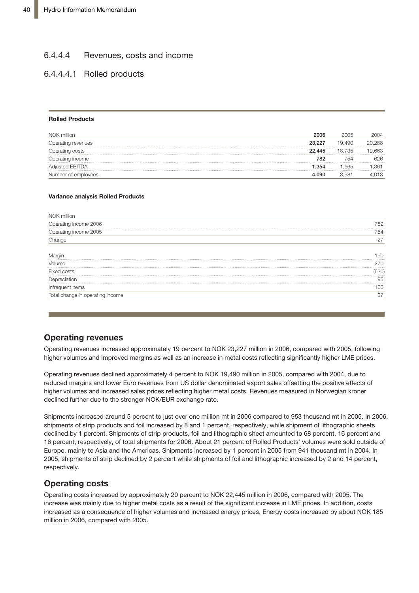# 6.4.4.4 Revenues, costs and income **Key development activities**

### 6.4.4.4.1 Rolled products

#### **Rolled Products**

| NOK million            | 2006        | 2005              | 2004 |
|------------------------|-------------|-------------------|------|
| Operating revenues     | 23.227<br>. | 19.49C            | .288 |
| Operating costs        | 22,445      | 18.735            | 663  |
| Operating income       | <br>782     | 754               | 326  |
| <b>Adiusted EBITDA</b> | 354. ا      | .565              | .361 |
| Number of employees    | 4.090       | 3.98 <sup>4</sup> | 013  |

#### **Variance analysis Rolled Products**

| NOK million                      |      |
|----------------------------------|------|
| Operating income 2006            | 782  |
| Operating income 2005            | 754  |
| Change                           |      |
|                                  |      |
| Volume                           | 270  |
| <b>Fixed costs</b>               | 630) |
| Depreciation                     | 95   |
| Intrequent items                 | 100  |
| Total change in operating income |      |

### **Operating revenues**

Operating revenues increased approximately 19 percent to NOK 23,227 million in 2006, compared with 2005, following higher volumes and improved margins as well as an increase in metal costs reflecting significantly higher LME prices.

Operating revenues declined approximately 4 percent to NOK 19,490 million in 2005, compared with 2004, due to reduced margins and lower Euro revenues from US dollar denominated export sales offsetting the positive effects of higher volumes and increased sales prices reflecting higher metal costs. Revenues measured in Norwegian kroner declined further due to the stronger NOK/EUR exchange rate.

Shipments increased around 5 percent to just over one million mt in 2006 compared to 953 thousand mt in 2005. In 2006, shipments of strip products and foil increased by 8 and 1 percent, respectively, while shipment of lithographic sheets declined by 1 percent. Shipments of strip products, foil and lithographic sheet amounted to 68 percent, 16 percent and 16 percent, respectively, of total shipments for 2006. About 21 percent of Rolled Products' volumes were sold outside of Europe, mainly to Asia and the Americas. Shipments increased by 1 percent in 2005 from 941 thousand mt in 2004. In 2005, shipments of strip declined by 2 percent while shipments of foil and lithographic increased by 2 and 14 percent, respectively.

### **Operating costs**

Operating costs increased by approximately 20 percent to NOK 22,445 million in 2006, compared with 2005. The increase was mainly due to higher metal costs as a result of the significant increase in LME prices. In addition, costs increased as a consequence of higher volumes and increased energy prices. Energy costs increased by about NOK 185 million in 2006, compared with 2005.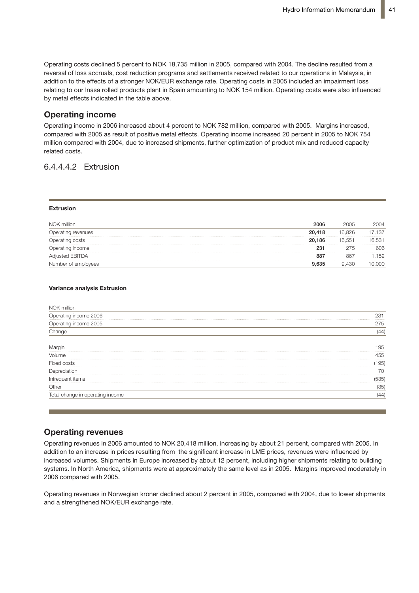Operating costs declined 5 percent to NOK 18,735 million in 2005, compared with 2004. The decline resulted from a reversal of loss accruals, cost reduction programs and settlements received related to our operations in Malaysia, in addition to the effects of a stronger NOK/EUR exchange rate. Operating costs in 2005 included an impairment loss relating to our Inasa rolled products plant in Spain amounting to NOK 154 million. Operating costs were also influenced by metal effects indicated in the table above.

### **Operating income**

Operating income in 2006 increased about 4 percent to NOK 782 million, compared with 2005. Margins increased, compared with 2005 as result of positive metal effects. Operating income increased 20 percent in 2005 to NOK 754 million compared with 2004, due to increased shipments, further optimization of product mix and reduced capacity **Rolled Products** related costs.

### 6.4.4.4.2 Extrusion and improved margins and improved margins and improved margins as well as well as well as  $\alpha$

#### **Extrusion**

| NOK million         | 2006   | 2005   | 2004 |
|---------------------|--------|--------|------|
| Operating revenues  | 20,418 | 16.826 | .137 |
| Dperating costs     | 20,186 | 16.551 | .531 |
| Operating income    | 231    | 275    | 606  |
| sted EBITDA         | 887    | 861    | 152  |
| Number of employees | .635   | .430   |      |

#### **Variance analysis Extrusion**

| NOK million                      |         |
|----------------------------------|---------|
| Operating income 2006            | 231<br> |
| Operating income 2005            | 275     |
| Change                           | (44)    |
| Margin                           | 95      |
| Volume                           | 455     |
| Fixed costs                      | 195)    |
| Depreciation                     | 70      |
| Infrequent items                 | (535)   |
| Other                            | (35)    |
| Total change in operating income | (44)    |

### **Operating revenues**

Operating revenues in 2006 amounted to NOK 20,418 million, increasing by about 21 percent, compared with 2005. In addition to an increase in prices resulting from the significant increase in LME prices, revenues were influenced by increased volumes. Shipments in Europe increased by about 12 percent, including higher shipments relating to building systems. In North America, shipments were at approximately the same level as in 2005. Margins improved moderately in 2006 compared with 2005.

Operating revenues in Norwegian kroner declined about 2 percent in 2005, compared with 2004, due to lower shipments and a strengthened NOK/EUR exchange rate.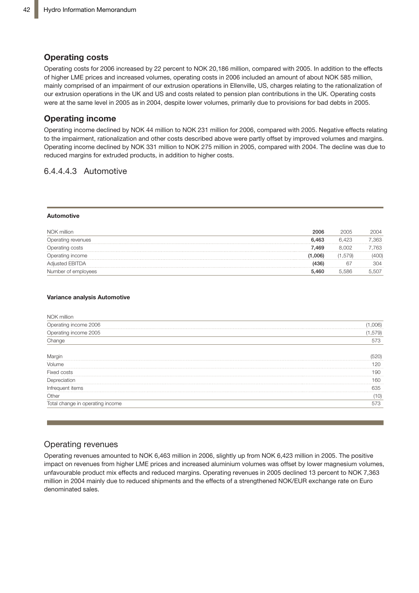### **Operating costs**

Operating costs for 2006 increased by 22 percent to NOK 20,186 million, compared with 2005. In addition to the effects of higher LME prices and increased volumes, operating costs in 2006 included an amount of about NOK 585 million, mainly comprised of an impairment of our extrusion operations in Ellenville, US, charges relating to the rationalization of our extrusion operations in the UK and US and costs related to pension plan contributions in the UK. Operating costs Far shirts. Specialisms in the strains of any secret related to perferent plan commissions for the orie operating secretive in 2005. applies for the settlement and the provisions for seta doste in Eboo.

## **Operating income**

Operating income declined by NOK 44 million to NOK 231 million for 2006, compared with 2005. Negative effects relating to the impairment, rationalization and other costs described above were partly offset by improved volumes and margins. Operating income declined by NOK 331 million to NOK 275 million in 2005, compared with 2004. The decline was due to **Operating income** reduced margins for extruded products, in addition to higher costs.

### 6.4.4.4.3 Automotive

#### **Automotive**

| NOK million            | 2006    | 2005    | 2004 |
|------------------------|---------|---------|------|
| Operating revenues     | 6.463   | 6.423   | .363 |
| Operating costs        | 7.469   |         | 763  |
| Operating income       | <br>006 | . ,579) |      |
| <b>Adjusted EBITDA</b> |         |         | 304  |
| Number of employees    | 5 460   | 5.586   |      |

#### **Variance analysis Automotive**

| NOK million                      |       |
|----------------------------------|-------|
| Operating income 2006            | 06)   |
| Operating income 2005            | ,579) |
| Change                           |       |
| Marqi                            | .     |
| Volume                           |       |
| <b>Fixed</b><br>costs            |       |
|                                  | 60    |
|                                  | 635   |
| Other                            |       |
| Total change in operating income | 573   |

### Operating revenues

Operating revenues amounted to NOK 6,463 million in 2006, slightly up from NOK 6,423 million in 2005. The positive impact on revenues from higher LME prices and increased aluminium volumes was offset by lower magnesium volumes, unfavourable product mix effects and reduced margins. Operating revenues in 2005 declined 13 percent to NOK 7,363 million in 2004 mainly due to reduced shipments and the effects of a strengthened NOK/EUR exchange rate on Euro denominated sales.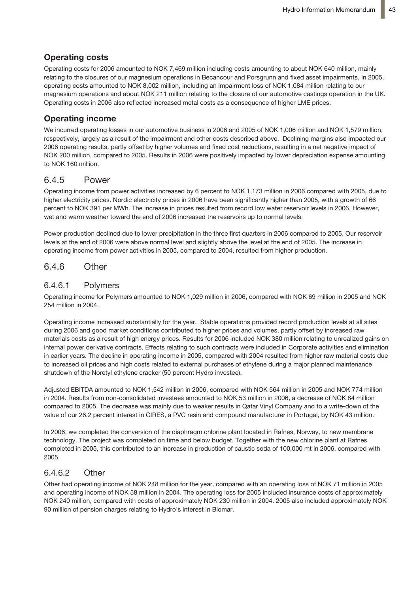## **Operating costs**

Operating costs for 2006 amounted to NOK 7,469 million including costs amounting to about NOK 640 million, mainly relating to the closures of our magnesium operations in Becancour and Porsgrunn and fixed asset impairments. In 2005, operating costs amounted to NOK 8,002 million, including an impairment loss of NOK 1,084 million relating to our magnesium operations and about NOK 211 million relating to the closure of our automotive castings operation in the UK. Operating costs in 2006 also reflected increased metal costs as a consequence of higher LME prices.

## **Operating income**

We incurred operating losses in our automotive business in 2006 and 2005 of NOK 1,006 million and NOK 1,579 million, respectively, largely as a result of the impairment and other costs described above. Declining margins also impacted our 2006 operating results, partly offset by higher volumes and fixed cost reductions, resulting in a net negative impact of NOK 200 million, compared to 2005. Results in 2006 were positively impacted by lower depreciation expense amounting to NOK 160 million.

## 6.4.5 Power

Operating income from power activities increased by 6 percent to NOK 1,173 million in 2006 compared with 2005, due to higher electricity prices. Nordic electricity prices in 2006 have been significantly higher than 2005, with a growth of 66 percent to NOK 391 per MWh. The increase in prices resulted from record low water reservoir levels in 2006. However, wet and warm weather toward the end of 2006 increased the reservoirs up to normal levels.

Power production declined due to lower precipitation in the three first quarters in 2006 compared to 2005. Our reservoir levels at the end of 2006 were above normal level and slightly above the level at the end of 2005. The increase in operating income from power activities in 2005, compared to 2004, resulted from higher production.

## 6.4.6 Other

### 6.4.6.1 Polymers

Operating income for Polymers amounted to NOK 1,029 million in 2006, compared with NOK 69 million in 2005 and NOK 254 million in 2004.

Operating income increased substantially for the year. Stable operations provided record production levels at all sites during 2006 and good market conditions contributed to higher prices and volumes, partly offset by increased raw materials costs as a result of high energy prices. Results for 2006 included NOK 380 million relating to unrealized gains on internal power derivative contracts. Effects relating to such contracts were included in Corporate activities and elimination in earlier years. The decline in operating income in 2005, compared with 2004 resulted from higher raw material costs due to increased oil prices and high costs related to external purchases of ethylene during a major planned maintenance shutdown of the Noretyl ethylene cracker (50 percent Hydro investee).

Adjusted EBITDA amounted to NOK 1,542 million in 2006, compared with NOK 564 million in 2005 and NOK 774 million in 2004. Results from non-consolidated investees amounted to NOK 53 million in 2006, a decrease of NOK 84 million compared to 2005. The decrease was mainly due to weaker results in Qatar Vinyl Company and to a write-down of the value of our 26.2 percent interest in CIRES, a PVC resin and compound manufacturer in Portugal, by NOK 43 million.

In 2006, we completed the conversion of the diaphragm chlorine plant located in Rafnes, Norway, to new membrane technology. The project was completed on time and below budget. Together with the new chlorine plant at Rafnes completed in 2005, this contributed to an increase in production of caustic soda of 100,000 mt in 2006, compared with 2005.

### 6.4.6.2 Other

Other had operating income of NOK 248 million for the year, compared with an operating loss of NOK 71 million in 2005 and operating income of NOK 58 million in 2004. The operating loss for 2005 included insurance costs of approximately NOK 240 million, compared with costs of approximately NOK 230 million in 2004. 2005 also included approximately NOK 90 million of pension charges relating to Hydro's interest in Biomar.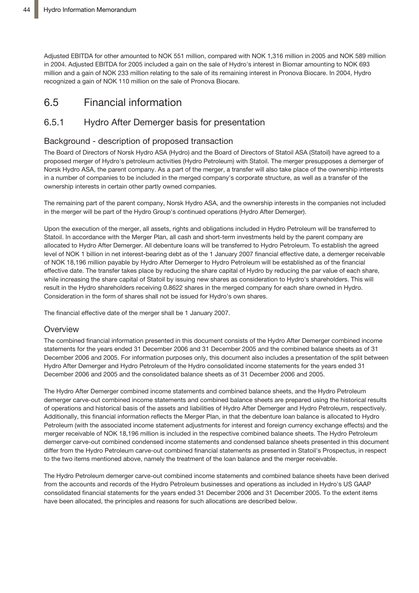Adjusted EBITDA for other amounted to NOK 551 million, compared with NOK 1,316 million in 2005 and NOK 589 million in 2004. Adjusted EBITDA for 2005 included a gain on the sale of Hydro's interest in Biomar amounting to NOK 693 million and a gain of NOK 233 million relating to the sale of its remaining interest in Pronova Biocare. In 2004, Hydro recognized a gain of NOK 110 million on the sale of Pronova Biocare.

# 6.5 Financial information

## 6.5.1 Hydro After Demerger basis for presentation

### Background - description of proposed transaction

The Board of Directors of Norsk Hydro ASA (Hydro) and the Board of Directors of Statoil ASA (Statoil) have agreed to a proposed merger of Hydro's petroleum activities (Hydro Petroleum) with Statoil. The merger presupposes a demerger of Norsk Hydro ASA, the parent company. As a part of the merger, a transfer will also take place of the ownership interests in a number of companies to be included in the merged company's corporate structure, as well as a transfer of the ownership interests in certain other partly owned companies.

The remaining part of the parent company, Norsk Hydro ASA, and the ownership interests in the companies not included in the merger will be part of the Hydro Group's continued operations (Hydro After Demerger).

Upon the execution of the merger, all assets, rights and obligations included in Hydro Petroleum will be transferred to Statoil. In accordance with the Merger Plan, all cash and short-term investments held by the parent company are allocated to Hydro After Demerger. All debenture loans will be transferred to Hydro Petroleum. To establish the agreed level of NOK 1 billion in net interest-bearing debt as of the 1 January 2007 financial effective date, a demerger receivable of NOK 18,196 million payable by Hydro After Demerger to Hydro Petroleum will be established as of the financial effective date. The transfer takes place by reducing the share capital of Hydro by reducing the par value of each share, while increasing the share capital of Statoil by issuing new shares as consideration to Hydro's shareholders. This will result in the Hydro shareholders receiving 0.8622 shares in the merged company for each share owned in Hydro. Consideration in the form of shares shall not be issued for Hydro's own shares.

The financial effective date of the merger shall be 1 January 2007.

### **Overview**

The combined financial information presented in this document consists of the Hydro After Demerger combined income statements for the years ended 31 December 2006 and 31 December 2005 and the combined balance sheets as of 31 December 2006 and 2005. For information purposes only, this document also includes a presentation of the split between Hydro After Demerger and Hydro Petroleum of the Hydro consolidated income statements for the years ended 31 December 2006 and 2005 and the consolidated balance sheets as of 31 December 2006 and 2005.

The Hydro After Demerger combined income statements and combined balance sheets, and the Hydro Petroleum demerger carve-out combined income statements and combined balance sheets are prepared using the historical results of operations and historical basis of the assets and liabilities of Hydro After Demerger and Hydro Petroleum, respectively. Additionally, this financial information reflects the Merger Plan, in that the debenture loan balance is allocated to Hydro Petroleum (with the associated income statement adjustments for interest and foreign currency exchange effects) and the merger receivable of NOK 18,196 million is included in the respective combined balance sheets. The Hydro Petroleum demerger carve-out combined condensed income statements and condensed balance sheets presented in this document differ from the Hydro Petroleum carve-out combined financial statements as presented in Statoil's Prospectus, in respect to the two items mentioned above, namely the treatment of the loan balance and the merger receivable.

The Hydro Petroleum demerger carve-out combined income statements and combined balance sheets have been derived from the accounts and records of the Hydro Petroleum businesses and operations as included in Hydro's US GAAP consolidated financial statements for the years ended 31 December 2006 and 31 December 2005. To the extent items have been allocated, the principles and reasons for such allocations are described below.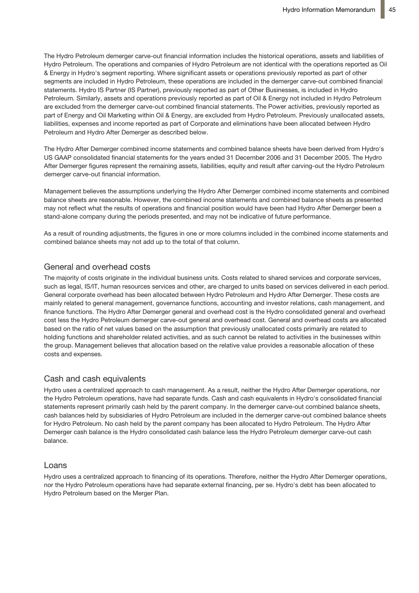The Hydro Petroleum demerger carve-out financial information includes the historical operations, assets and liabilities of Hydro Petroleum. The operations and companies of Hydro Petroleum are not identical with the operations reported as Oil & Energy in Hydro's segment reporting. Where significant assets or operations previously reported as part of other segments are included in Hydro Petroleum, these operations are included in the demerger carve-out combined financial statements. Hydro IS Partner (IS Partner), previously reported as part of Other Businesses, is included in Hydro Petroleum. Similarly, assets and operations previously reported as part of Oil & Energy not included in Hydro Petroleum are excluded from the demerger carve-out combined financial statements. The Power activities, previously reported as part of Energy and Oil Marketing within Oil & Energy, are excluded from Hydro Petroleum. Previously unallocated assets, liabilities, expenses and income reported as part of Corporate and eliminations have been allocated between Hydro Petroleum and Hydro After Demerger as described below.

The Hydro After Demerger combined income statements and combined balance sheets have been derived from Hydro's US GAAP consolidated financial statements for the years ended 31 December 2006 and 31 December 2005. The Hydro After Demerger figures represent the remaining assets, liabilities, equity and result after carving-out the Hydro Petroleum demerger carve-out financial information.

Management believes the assumptions underlying the Hydro After Demerger combined income statements and combined balance sheets are reasonable. However, the combined income statements and combined balance sheets as presented may not reflect what the results of operations and financial position would have been had Hydro After Demerger been a stand-alone company during the periods presented, and may not be indicative of future performance.

As a result of rounding adjustments, the figures in one or more columns included in the combined income statements and combined balance sheets may not add up to the total of that column.

### General and overhead costs

The majority of costs originate in the individual business units. Costs related to shared services and corporate services, such as legal, IS/IT, human resources services and other, are charged to units based on services delivered in each period. General corporate overhead has been allocated between Hydro Petroleum and Hydro After Demerger. These costs are mainly related to general management, governance functions, accounting and investor relations, cash management, and finance functions. The Hydro After Demerger general and overhead cost is the Hydro consolidated general and overhead cost less the Hydro Petroleum demerger carve-out general and overhead cost. General and overhead costs are allocated based on the ratio of net values based on the assumption that previously unallocated costs primarily are related to holding functions and shareholder related activities, and as such cannot be related to activities in the businesses within the group. Management believes that allocation based on the relative value provides a reasonable allocation of these costs and expenses.

### Cash and cash equivalents

Hydro uses a centralized approach to cash management. As a result, neither the Hydro After Demerger operations, nor the Hydro Petroleum operations, have had separate funds. Cash and cash equivalents in Hydro's consolidated financial statements represent primarily cash held by the parent company. In the demerger carve-out combined balance sheets, cash balances held by subsidiaries of Hydro Petroleum are included in the demerger carve-out combined balance sheets for Hydro Petroleum. No cash held by the parent company has been allocated to Hydro Petroleum. The Hydro After Demerger cash balance is the Hydro consolidated cash balance less the Hydro Petroleum demerger carve-out cash balance.

### Loans

Hydro uses a centralized approach to financing of its operations. Therefore, neither the Hydro After Demerger operations, nor the Hydro Petroleum operations have had separate external financing, per se. Hydro's debt has been allocated to Hydro Petroleum based on the Merger Plan.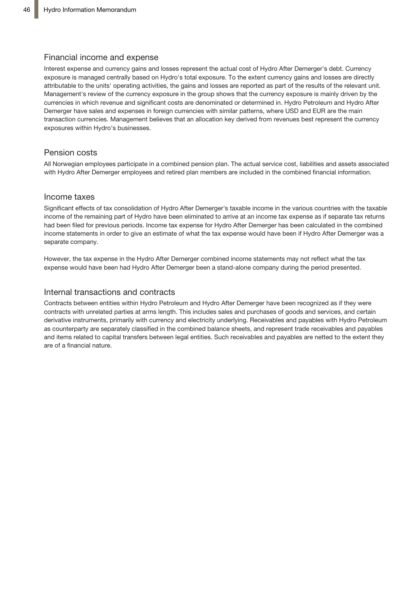### Financial income and expense

Interest expense and currency gains and losses represent the actual cost of Hydro After Demerger's debt. Currency exposure is managed centrally based on Hydro's total exposure. To the extent currency gains and losses are directly attributable to the units' operating activities, the gains and losses are reported as part of the results of the relevant unit. Management's review of the currency exposure in the group shows that the currency exposure is mainly driven by the currencies in which revenue and significant costs are denominated or determined in. Hydro Petroleum and Hydro After Demerger have sales and expenses in foreign currencies with similar patterns, where USD and EUR are the main transaction currencies. Management believes that an allocation key derived from revenues best represent the currency exposures within Hydro's businesses.

### Pension costs

All Norwegian employees participate in a combined pension plan. The actual service cost, liabilities and assets associated with Hydro After Demerger employees and retired plan members are included in the combined financial information.

### Income taxes

Significant effects of tax consolidation of Hydro After Demerger's taxable income in the various countries with the taxable income of the remaining part of Hydro have been eliminated to arrive at an income tax expense as if separate tax returns had been filed for previous periods. Income tax expense for Hydro After Demerger has been calculated in the combined income statements in order to give an estimate of what the tax expense would have been if Hydro After Demerger was a separate company.

However, the tax expense in the Hydro After Demerger combined income statements may not reflect what the tax expense would have been had Hydro After Demerger been a stand-alone company during the period presented.

### Internal transactions and contracts

Contracts between entities within Hydro Petroleum and Hydro After Demerger have been recognized as if they were contracts with unrelated parties at arms length. This includes sales and purchases of goods and services, and certain derivative instruments, primarily with currency and electricity underlying. Receivables and payables with Hydro Petroleum as counterparty are separately classified in the combined balance sheets, and represent trade receivables and payables and items related to capital transfers between legal entities. Such receivables and payables are netted to the extent they are of a financial nature.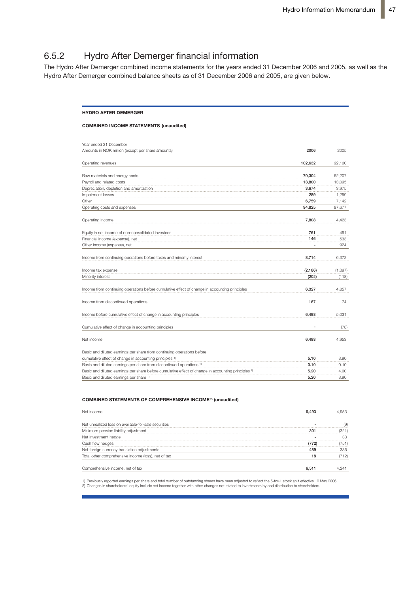# 6.5.2 Hydro After Demerger financial information

The Hydro After Demerger combined income statements for the years ended 31 December 2006 and 2005, as well as the Hydro After Demerger combined balance sheets as of 31 December 2006 and 2005, are given below.

#### **HYDRO AFTER DEMERGER**

#### **COMBINED INCOME STATEMENTS (unaudited)**

| Year ended 31 December                                                                                         |          |          |
|----------------------------------------------------------------------------------------------------------------|----------|----------|
| Amounts in NOK million (except per share amounts)                                                              | 2006     | 2005     |
|                                                                                                                |          |          |
| Operating revenues                                                                                             | 102,632  | 92,100   |
| Raw materials and energy costs                                                                                 | 70,304   | 62,207   |
| Payroll and related costs                                                                                      | 13,800   | 13,095   |
| Depreciation, depletion and amortization                                                                       | 3,674    | 3,975    |
| Impairment losses                                                                                              | 289      | 1,259    |
| Other                                                                                                          | 6,759    | 7,142    |
| Operating costs and expenses                                                                                   | 94,825   | 87,677   |
| Operating income                                                                                               | 7.808    | 4,423    |
| Equity in net income of non-consolidated investees                                                             | 761      | 491      |
| Financial income (expense), net                                                                                | 146      | 533      |
| Other income (expense), net                                                                                    |          | 924      |
| Income from continuing operations before taxes and minority interest                                           | 8,714    | 6,372    |
| Income tax expense                                                                                             | (2, 186) | (1, 397) |
| Minority interest                                                                                              | (202)    | (118)    |
| Income from continuing operations before cumulative effect of change in accounting principles                  | 6,327    | 4,857    |
| Income from discontinued operations                                                                            | 167      | 174      |
| Income before cumulative effect of change in accounting principles                                             | 6,493    | 5,031    |
| Cumulative effect of change in accounting principles                                                           |          | (78)     |
| Net income                                                                                                     | 6,493    | 4,953    |
| Basic and diluted earnings per share from continuing operations before                                         |          |          |
| cumulative effect of change in accounting principles 1)                                                        | 5.10     | 3.90     |
| Basic and diluted earnings per share from discontinued operations <sup>1)</sup>                                | 0.10     | 0.10     |
| Basic and diluted earnings per share before cumulative effect of change in accounting principles <sup>1)</sup> | 5.20     | 4.00     |
| Basic and diluted earnings per share 1)                                                                        | 5.20     | 3.90     |

#### **COMBINED STATEMENTS OF COMPREHENSIVE INCOME 2) (unaudited)**

| Net income                                           |      |
|------------------------------------------------------|------|
| Net unrealized loss on available-for-sale securities |      |
| Minimum pension liability adjustment                 |      |
| Net investment hedge                                 |      |
| flow hedges                                          |      |
| Net foreign currency translation adjustments         | 336. |
| Total other comprehensive income (loss), net of tax  | 712) |
| Comprehensive income, net of tax                     |      |

1) Previously reported earnings per share and total number of outstanding shares have been adjusted to reflect the 5-for-1 stock split effective 10 May 2006.<br>2) Changes in shareholders' equity include net income together w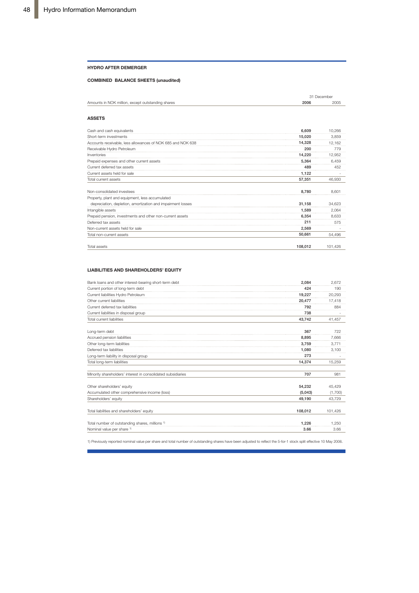#### **HYDRO AFTER DEMERGER**

#### **COMBINED BALANCE SHEETS (unaudited)**

|                                                   |      | 31 December |
|---------------------------------------------------|------|-------------|
| Amounts in NOK million, except outstanding shares | 2006 | 2005        |
|                                                   |      |             |

#### **ASSETS**

| Cash and cash equivalents                                   | 6.609   | 10.266  |
|-------------------------------------------------------------|---------|---------|
| Short-term investments                                      | 15.020  | 3,859   |
| Accounts receivable, less allowances of NOK 685 and NOK 638 | 14.328  | 12,162  |
| Receivable Hydro Petroleum                                  | 200     | 779     |
| Inventories                                                 | 14,220  | 12,952  |
| Prepaid expenses and other current assets                   | 5,364   | 6,459   |
| Current deferred tax assets                                 | 489     | 452     |
| Current assets held for sale                                | 1,122   |         |
| Total current assets                                        | 57,351  | 46.930  |
| Non-consolidated investees                                  | 8.780   | 8.601   |
| Property, plant and equipment, less accumulated             |         |         |
| depreciation, depletion, amortization and impairment losses | 31,158  | 34,623  |
| Intangible assets                                           | 1.589   | 2.064   |
| Prepaid pension, investments and other non-current assets   | 6.354   | 8.633   |
| Deferred tax assets                                         | 211     | 575     |
| Non-current assets held for sale                            | 2,569   |         |
| Total non-current assets                                    | 50.661  | 54.496  |
| Total assets                                                | 108,012 | 101.426 |

#### **LIABILITIES AND SHAREHOLDERS' EQUITY**

| Bank loans and other interest-bearing short-term debt        | 2.084   | 2,672   |
|--------------------------------------------------------------|---------|---------|
| Current portion of long-term debt                            | 424     | 190     |
| Current liabilities Hydro Petroleum                          | 19,227  | 20,293  |
| Other current liabilities                                    | 20.477  | 17,418  |
| Current deferred tax liabilities                             | 792     | 884     |
| Current liabilities in disposal group                        | 738     |         |
| Total current liabilities                                    | 43.742  | 41.457  |
| Long-term debt                                               | 367     | 722     |
| Accrued pension liabilities                                  | 8.895   | 7.666   |
| Other long-term liabilities                                  | 3.759   | 3,771   |
| Deferred tax liabilities                                     | 1,080   | 3,100   |
| Long-term liability in disposal group                        | 273     |         |
| Total long-term liabilities                                  | 14.374  | 15,259  |
| Minority shareholders' interest in consolidated subsidiaries | 707     | 981     |
| Other shareholders' equity                                   | 54.232  | 45,429  |
| Accumulated other comprehensive income (loss)                | (5,043) | (1,700) |
| Shareholders' equity                                         | 49.190  | 43.729  |
| Total liabilities and shareholders' equity                   | 108,012 | 101,426 |
| Total number of outstanding shares, millions 1)              | 1.226   | 1.250   |
| Nominal value per share 1)                                   | 3.66    | 3.66    |

1) Previously reported nominal value per share and total number of outstanding shares have been adjusted to reflect the 5-for-1 stock split effective 10 May 2006.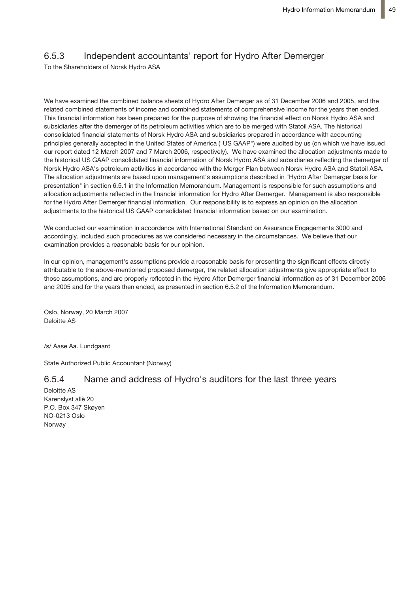## 6.5.3 Independent accountants' report for Hydro After Demerger

To the Shareholders of Norsk Hydro ASA

We have examined the combined balance sheets of Hydro After Demerger as of 31 December 2006 and 2005, and the related combined statements of income and combined statements of comprehensive income for the years then ended. This financial information has been prepared for the purpose of showing the financial effect on Norsk Hydro ASA and subsidiaries after the demerger of its petroleum activities which are to be merged with Statoil ASA. The historical consolidated financial statements of Norsk Hydro ASA and subsidiaries prepared in accordance with accounting principles generally accepted in the United States of America ("US GAAP") were audited by us (on which we have issued our report dated 12 March 2007 and 7 March 2006, respectively). We have examined the allocation adjustments made to the historical US GAAP consolidated financial information of Norsk Hydro ASA and subsidiaries reflecting the demerger of Norsk Hydro ASA's petroleum activities in accordance with the Merger Plan between Norsk Hydro ASA and Statoil ASA. The allocation adjustments are based upon management's assumptions described in "Hydro After Demerger basis for presentation" in section 6.5.1 in the Information Memorandum. Management is responsible for such assumptions and allocation adjustments reflected in the financial information for Hydro After Demerger. Management is also responsible for the Hydro After Demerger financial information. Our responsibility is to express an opinion on the allocation adjustments to the historical US GAAP consolidated financial information based on our examination.

We conducted our examination in accordance with International Standard on Assurance Engagements 3000 and accordingly, included such procedures as we considered necessary in the circumstances. We believe that our examination provides a reasonable basis for our opinion.

In our opinion, management's assumptions provide a reasonable basis for presenting the significant effects directly attributable to the above-mentioned proposed demerger, the related allocation adjustments give appropriate effect to those assumptions, and are properly reflected in the Hydro After Demerger financial information as of 31 December 2006 and 2005 and for the years then ended, as presented in section 6.5.2 of the Information Memorandum.

Oslo, Norway, 20 March 2007 Deloitte AS

/s/ Aase Aa. Lundgaard

State Authorized Public Accountant (Norway)

## 6.5.4 Name and address of Hydro's auditors for the last three years

Deloitte AS Karenslyst allè 20 P.O. Box 347 Skøyen NO-0213 Oslo Norway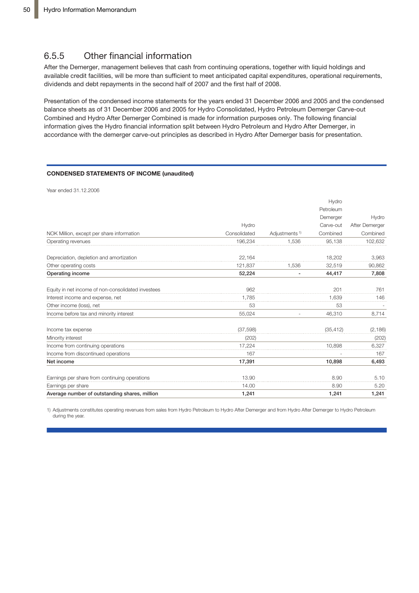## 6.5.5 Other financial information

After the Demerger, management believes that cash from continuing operations, together with liquid holdings and available credit facilities, will be more than sufficient to meet anticipated capital expenditures, operational requirements, dividends and debt repayments in the second half of 2007 and the first half of 2008.

Presentation of the condensed income statements for the years ended 31 December 2006 and 2005 and the condensed balance sheets as of 31 December 2006 and 2005 for Hydro Consolidated, Hydro Petroleum Demerger Carve-out Combined and Hydro After Demerger Combined is made for information purposes only. The following financial information gives the Hydro financial information split between Hydro Petroleum and Hydro After Demerger, in accordance with the demerger carve-out principles as described in Hydro After Demerger basis for presentation.

#### **CONDENSED STATEMENTS OF INCOME (unaudited)**

Year ended 31.12.2006

|                                                    |              |                           | Hydro     |                |
|----------------------------------------------------|--------------|---------------------------|-----------|----------------|
|                                                    |              |                           | Petroleum |                |
|                                                    |              |                           | Demerger  | Hydro          |
|                                                    | Hydro        |                           | Carve-out | After Demerger |
| NOK Million, except per share information          | Consolidated | Adjustments <sup>1)</sup> | Combined  | Combined       |
| Operating revenues                                 | 196,234      | 1.536                     | 95.138    | 102,632        |
| Depreciation, depletion and amortization           | 22,164       |                           | 18,202    | 3,963          |
| Other operating costs                              | 121,837      | 1,536                     | 32,519    | 90,862         |
| Operating income                                   | 52,224       | ۰                         | 44,417    | 7,808          |
| Equity in net income of non-consolidated investees | 962          |                           | 201       | 761            |
| Interest income and expense, net                   | 1.785        |                           | 1.639     | 146            |
| Other income (loss), net                           | 53           |                           | 53        |                |
| Income before tax and minority interest            | 55,024       |                           | 46,310    | 8,714          |
| Income tax expense                                 | (37, 598)    |                           | (35, 412) | (2, 186)       |
| Minority interest                                  | (202)        |                           |           | (202)          |
| Income from continuing operations                  | 17,224       |                           | 10.898    | 6,327          |
| Income from discontinued operations                | 167          |                           |           | 167            |
| Net income                                         | 17,391       |                           | 10,898    | 6,493          |
| Earnings per share from continuing operations      | 13.90        |                           | 8.90      | 5.10           |
| Earnings per share                                 | 14.00        |                           | 8.90      | 5.20           |
| Average number of outstanding shares, million      | 1.241        |                           | 1.241     | 1.241          |

1) Adjustments constitutes operating revenues from sales from Hydro Petroleum to Hydro After Demerger and from Hydro After Demerger to Hydro Petroleum during the year.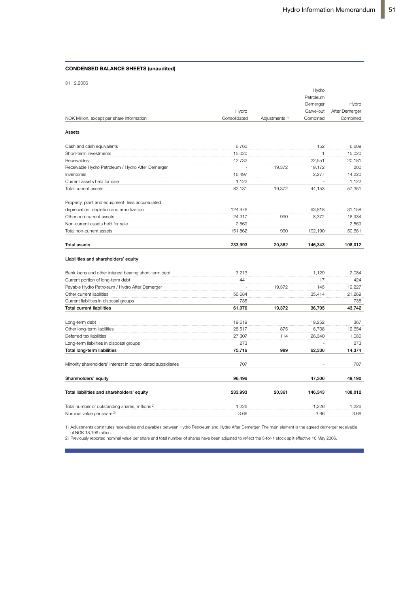#### **CONDENSED BALANCE SHEETS (unaudited)**

|                                                              |              |                           | Hydro        |                |
|--------------------------------------------------------------|--------------|---------------------------|--------------|----------------|
|                                                              |              |                           | Petroleum    |                |
|                                                              |              |                           | Demerger     | Hydro          |
|                                                              | Hydro        |                           | Carve-out    | After Demerger |
| NOK Million, except per share information                    | Consolidated | Adjustments <sup>1)</sup> | Combined     | Combined       |
| Assets                                                       |              |                           |              |                |
| Cash and cash equivalents                                    | 6,760        |                           | 152          | 6.609          |
| Short-term investments                                       | 15,020       |                           | $\mathbf{1}$ | 15,020         |
| Receivables                                                  | 42,732       |                           | 22,551       | 20,181         |
| Receivable Hydro Petroleum / Hydro After Demerger            |              | 19,372                    | 19,172       | 200            |
| Inventories                                                  | 16,497       |                           | 2,277        | 14,220         |
| Current assets held for sale                                 | 1,122        |                           |              | 1,122          |
| Total current assets                                         | 82,131       | 19,372                    | 44,153       | 57,351         |
| Property, plant and equipment, less accumulated              |              |                           |              |                |
| depreciation, depletion and amortization                     | 124,976      |                           | 93,818       | 31,158         |
| Other non-current assets                                     | 24,317       | 990                       | 8,372        | 16,934         |
| Non-current assets held for sale                             | 2,569        |                           |              | 2,569          |
| Total non-current assets                                     | 151,862      | 990                       | 102,190      | 50,661         |
| <b>Total assets</b>                                          | 233.993      | 20.362                    | 146.343      | 108.012        |
| Liabilities and shareholders' equity                         |              |                           |              |                |
| Bank loans and other interest bearing short-term debt        | 3,213        |                           | 1.129        | 2.084          |
| Current portion of long-term debt                            | 441          |                           | 17           | 424            |
| Payable Hydro Petroleum / Hydro After Demerger               |              | 19,372                    | 145          | 19,227         |
| Other current liabilities                                    | 56,684       |                           | 35,414       | 21,269         |
| Current liabilities in disposal groups                       | 738          |                           |              | 738            |
| <b>Total current liabilities</b>                             | 61,076       | 19,372                    | 36,705       | 43,742         |
| Long-term debt                                               | 19,619       |                           | 19,252       | 367            |
| Other long-term liabilities                                  | 28,517       | 875                       | 16,738       | 12,654         |
| Deferred tax liabilities                                     | 27,307       | 114                       | 26,340       | 1,080          |
| Long-term liabilities in disposal groups                     | 273          |                           |              | 273            |
| Total long-term liabilities                                  | 75,716       | 989                       | 62,330       | 14,374         |
| Minority shareholders' interest in consolidated subsidiaries | 707          |                           |              | 707            |
| Shareholders' equity                                         | 96,496       |                           | 47,306       | 49,190         |
| Total liabilities and shareholders' equity                   | 233,993      | 20,361                    | 146,343      | 108,012        |
| Total number of outstanding shares, millions <sup>2)</sup>   | 1,226        |                           | 1,226        | 1,226          |
| Nominal value per share <sup>2)</sup>                        | 3.66         |                           | 3.66         | 3.66           |
|                                                              |              |                           |              |                |

1) Adjustments constitutes receivables and payables between Hydro Petroleum and Hydro After Demerger. The main element is the agreed demerger receivable of NOK 18,196 million.

2) Previously reported nominal value per share and total number of shares have been adjusted to reflect the 5-for-1 stock split effective 10 May 2006.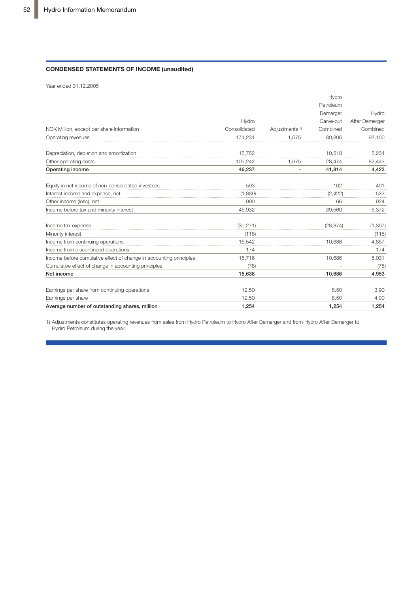#### **CONDENSED STATEMENTS OF INCOME (unaudited)**

Year ended 31.12.2005

|                                                                    |              |                              | Hydro     |                |
|--------------------------------------------------------------------|--------------|------------------------------|-----------|----------------|
|                                                                    |              |                              | Petroleum |                |
|                                                                    |              |                              | Demerger  | Hydro          |
|                                                                    | Hydro        |                              | Carve-out | After Demerger |
| NOK Million, except per share information                          | Consolidated | Adjustments <sup>1)</sup>    | Combined  | Combined       |
| Operating revenues                                                 | 171,231      | 1,675                        | 80,806    | 92,100         |
| Depreciation, depletion and amortization                           | 15,752       |                              | 10.518    | 5,234          |
| Other operating costs                                              | 109,242      | 1,675                        | 28,474    | 82,443         |
| Operating income                                                   | 46,237       | $\qquad \qquad \blacksquare$ | 41,814    | 4,423          |
| Equity in net income of non-consolidated investees                 | 593          |                              | 102       | 491            |
| Interest income and expense, net                                   | (1,889)      |                              | (2, 422)  | 533            |
| Other income (loss), net                                           | 990          |                              | 66        | 924            |
| Income before tax and minority interest                            | 45,932       |                              | 39,560    | 6,372          |
| Income tax expense                                                 | (30, 271)    |                              | (28, 874) | (1, 397)       |
| Minority interest                                                  | (118)        |                              |           | (118)          |
| Income from continuing operations                                  | 15,542       |                              | 10.686    | 4,857          |
| Income from discontinued operations                                | 174          |                              |           | 174            |
| Income before cumulative effect of change in accounting principles | 15,716       |                              | 10,686    | 5,031          |
| Cumulative effect of change in accounting principles               | (78)         |                              |           | (78)           |
| Net income                                                         | 15,638       |                              | 10,686    | 4,953          |
| Earnings per share from continuing operations                      | 12.50        |                              | 8.50      | 3.90           |
| Earnings per share                                                 | 12.50        |                              | 8.50      | 4.00           |
| Average number of outstanding shares, million                      | 1.254        |                              | 1.254     | 1,254          |

1) Adjustments constitutes operating revenues from sales from Hydro Petroleum to Hydro After Demerger and from Hydro After Demerger to Hydro Petroleum during the year.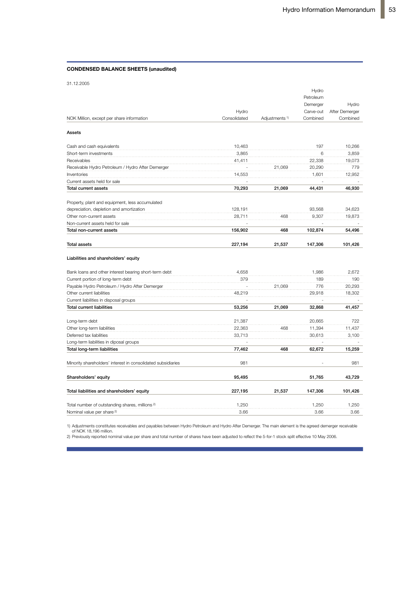#### **CONDENSED BALANCE SHEETS (unaudited)**

|  | 31.12.2005 |  |
|--|------------|--|

|                                                              |              |                           | Hydro     |                |
|--------------------------------------------------------------|--------------|---------------------------|-----------|----------------|
|                                                              |              |                           | Petroleum |                |
|                                                              |              |                           | Demerger  | Hydro          |
|                                                              | Hydro        |                           | Carve-out | After Demerger |
| NOK Million, except per share information                    | Consolidated | Adjustments <sup>1)</sup> | Combined  | Combined       |
| Assets                                                       |              |                           |           |                |
| Cash and cash equivalents                                    | 10,463       |                           | 197       | 10.266         |
| Short-term investments                                       | 3,865        |                           | 6         | 3,859          |
| Receivables                                                  | 41,411       |                           | 22,338    | 19,073         |
| Receivable Hydro Petroleum / Hydro After Demerger            |              | 21,069                    | 20,290    | 779            |
| Inventories                                                  | 14,553       |                           | 1,601     | 12,952         |
| Current assets held for sale                                 |              |                           |           |                |
| <b>Total current assets</b>                                  | 70,293       | 21,069                    | 44,431    | 46,930         |
| Property, plant and equipment, less accumulated              |              |                           |           |                |
| depreciation, depletion and amortization                     | 128,191      |                           | 93,568    | 34,623         |
| Other non-current assets                                     | 28,711       | 468                       | 9,307     | 19,873         |
| Non-current assets held for sale                             |              |                           |           |                |
| Total non-current assets                                     | 156,902      | 468                       | 102,874   | 54,496         |
| <b>Total assets</b>                                          | 227,194      | 21,537                    | 147,306   | 101,426        |
| Liabilities and shareholders' equity                         |              |                           |           |                |
| Bank loans and other interest bearing short-term debt        | 4,658        |                           | 1,986     | 2.672          |
| Current portion of long-term debt                            | 379          |                           | 189       | 190            |
| Payable Hydro Petroleum / Hydro After Demerger               |              | 21,069                    | 776       | 20,293         |
| Other current liabilities                                    | 48,219       |                           | 29,918    | 18,302         |
| Current liabilities in disposal groups                       |              |                           |           |                |
| <b>Total current liabilities</b>                             | 53,256       | 21,069                    | 32,868    | 41,457         |
| Long-term debt                                               | 21,387       |                           | 20,665    | 722            |
| Other long-term liabilities                                  | 22,363       | 468                       | 11,394    | 11,437         |
| Deferred tax liabilities                                     | 33,713       |                           | 30,613    | 3,100          |
| Long-term liabilities in diposal groups                      |              |                           |           |                |
| Total long-term liabilities                                  | 77,462       | 468                       | 62,672    | 15,259         |
| Minority shareholders' interest in consolidated subsidiaries | 981          |                           |           | 981            |
| Shareholders' equity                                         | 95,495       |                           | 51,765    | 43,729         |
| Total liabilities and shareholders' equity                   | 227,195      | 21,537                    | 147,306   | 101,426        |
| Total number of outstanding shares, millions <sup>2)</sup>   | 1,250        |                           | 1,250     | 1,250          |
| Nominal value per share <sup>2)</sup>                        | 3.66         |                           | 3.66      | 3.66           |
|                                                              |              |                           |           |                |

1) Adjustments constitutes receivables and payables between Hydro Petroleum and Hydro After Demerger. The main element is the agreed demerger receivable

of NOK 18,196 million. 2) Previously reported nominal value per share and total number of shares have been adjusted to reflect the 5-for-1 stock split effective 10 May 2006.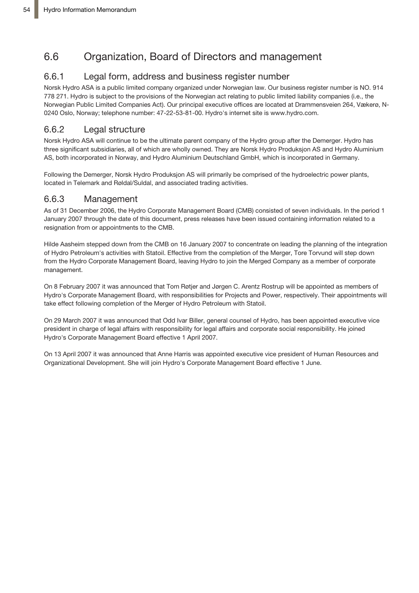# 6.6 Organization, Board of Directors and management

## 6.6.1 Legal form, address and business register number

Norsk Hydro ASA is a public limited company organized under Norwegian law. Our business register number is NO. 914 778 271. Hydro is subject to the provisions of the Norwegian act relating to public limited liability companies (i.e., the Norwegian Public Limited Companies Act). Our principal executive offices are located at Drammensveien 264, Vækerø, N-0240 Oslo, Norway; telephone number: 47-22-53-81-00. Hydro's internet site is www.hydro.com.

## 6.6.2 Legal structure

Norsk Hydro ASA will continue to be the ultimate parent company of the Hydro group after the Demerger. Hydro has three significant subsidiaries, all of which are wholly owned. They are Norsk Hydro Produksjon AS and Hydro Aluminium AS, both incorporated in Norway, and Hydro Aluminium Deutschland GmbH, which is incorporated in Germany.

Following the Demerger, Norsk Hydro Produksjon AS will primarily be comprised of the hydroelectric power plants, located in Telemark and Røldal/Suldal, and associated trading activities.

### 6.6.3 Management

As of 31 December 2006, the Hydro Corporate Management Board (CMB) consisted of seven individuals. In the period 1 January 2007 through the date of this document, press releases have been issued containing information related to a resignation from or appointments to the CMB.

Hilde Aasheim stepped down from the CMB on 16 January 2007 to concentrate on leading the planning of the integration of Hydro Petroleum's activities with Statoil. Effective from the completion of the Merger, Tore Torvund will step down from the Hydro Corporate Management Board, leaving Hydro to join the Merged Company as a member of corporate management.

On 8 February 2007 it was announced that Tom Røtjer and Jørgen C. Arentz Rostrup will be appointed as members of Hydro's Corporate Management Board, with responsibilities for Projects and Power, respectively. Their appointments will take effect following completion of the Merger of Hydro Petroleum with Statoil.

On 29 March 2007 it was announced that Odd Ivar Biller, general counsel of Hydro, has been appointed executive vice president in charge of legal affairs with responsibility for legal affairs and corporate social responsibility. He joined Hydro's Corporate Management Board effective 1 April 2007.

On 13 April 2007 it was announced that Anne Harris was appointed executive vice president of Human Resources and Organizational Development. She will join Hydro's Corporate Management Board effective 1 June.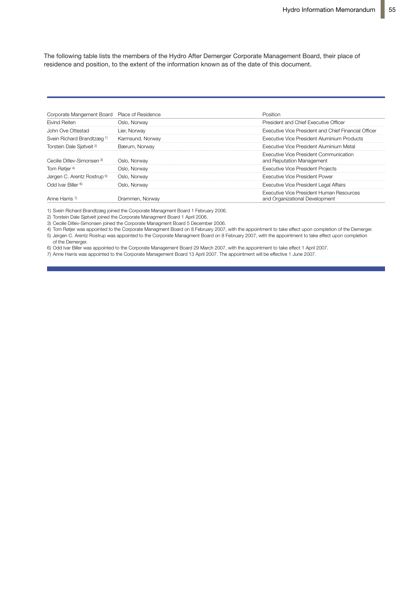The following table lists the members of the Hydro After Demerger Corporate Management Board, their place of residence and position, to the extent of the information known as of the date of this document.

| Corporate Mangement Board Place of Residence |                  | Position                                                                   |
|----------------------------------------------|------------------|----------------------------------------------------------------------------|
| <b>Eivind Reiten</b>                         | Oslo, Norway     | President and Chief Executive Officer                                      |
| John Ove Ottestad                            | Lier, Norway     | Executive Vice President and Chief Financial Officer                       |
| Svein Richard Brandtzæg <sup>1)</sup>        | Karmsund, Norway | Executive Vice President Aluminium Products                                |
| Torstein Dale Sjøtveit <sup>2)</sup>         | Bærum, Norway    | Executive Vice President Aluminium Metal                                   |
| Cecilie Ditley-Simonsen 3)                   | Oslo, Norway     | Executive Vice President Communication<br>and Reputation Management        |
| Tom Røtjer <sup>4)</sup>                     | Oslo, Norway     | <b>Executive Vice President Projects</b>                                   |
| Jørgen C. Arentz Rostrup <sup>5)</sup>       | Oslo, Norway     | <b>Executive Vice President Power</b>                                      |
| Odd Ivar Biller <sup>6)</sup>                | Oslo. Norway     | <b>Executive Vice President Legal Affairs</b>                              |
| Anne Harris (                                | Drammen. Norway  | Executive Vice President Human Resources<br>and Organizational Development |

1) Svein Richard Brandtzæg joined the Corporate Managment Board 1 February 2006.

2) Torstein Dale Sjøtveit joined the Corporate Managment Board 1 April 2006.

3) Cecilie Ditlev-Simonsen joined the Corporate Managment Board 5 December 2006.

4) Tom Røtjer was appointed to the Corporate Managment Board on 8 February 2007, with the appointment to take effect upon completion of the Demerger. 5) Jørgen C. Arentz Rostrup was appointed to the Corporate Managment Board on 8 February 2007, with the appointment to take effect upon completion of the Demerger.

6) Odd Ivar Biller was appointed to the Corporate Management Board 29 March 2007, with the appointment to take effect 1 April 2007.

7) Anne Harris was appointed to the Corporate Management Board 13 April 2007. The appointment will be effective 1 June 2007.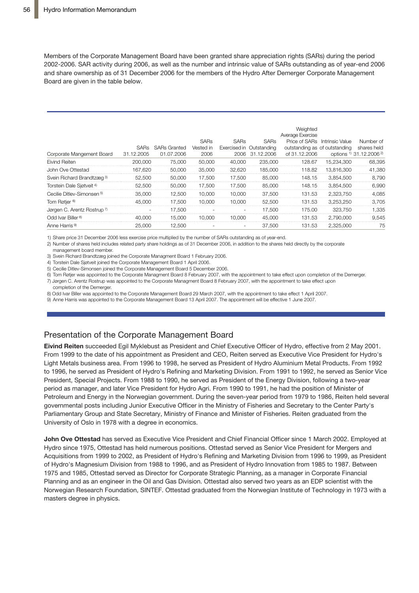Members of the Corporate Management Board have been granted share appreciation rights (SARs) during the period 2002-2006. SAR activity during 2006, as well as the number and intrinsic value of SARs outstanding as of year-end 2006 and share ownership as of 31 December 2006 for the members of the Hydro After Demerger Corporate Management Board are given in the table below.

| Corporate Mangement Board             | 31.12.2005 | SARs SARs Granted<br>01.07.2006 | <b>SARs</b><br>Vested in<br>2006 | <b>SARs</b><br>2006 | <b>SARs</b><br>Exercised in Outstanding<br>31.12.2006 | Weighted<br>Average Exercise<br>outstanding as of outstanding<br>of 31.12.2006 | Price of SARs Intrinsic Value | Number of<br>shares held<br>options 1) 31.12.2006 2) |
|---------------------------------------|------------|---------------------------------|----------------------------------|---------------------|-------------------------------------------------------|--------------------------------------------------------------------------------|-------------------------------|------------------------------------------------------|
| Eivind Reiten                         | 200,000    | 75.000                          | 50,000                           | 40,000              | 235,000                                               | 128.67                                                                         | 15.234.300                    | 68.395                                               |
| John Ove Ottestad                     | 167.620    | 50,000                          | 35,000                           | 32.620              | 185,000                                               | 118.82                                                                         | 13.816.300                    | 41.380                                               |
| Svein Richard Brandtzæg <sup>3)</sup> | 52.500     | 50,000                          | 17.500                           | 17.500              | 85,000                                                | 148.15                                                                         | 3.854.500                     | 8.790                                                |
| Torstein Dale Sjøtveit <sup>4)</sup>  | 52.500     | 50.000                          | 17.500                           | 17.500              | 85,000                                                | 148.15                                                                         | 3.854.500                     | 6.990                                                |
| Cecilie Ditlev-Simonsen <sup>5)</sup> | 35,000     | 12.500                          | 10.000                           | 10.000              | 37,500                                                | 131.53                                                                         | 2.323.750                     | 4.085                                                |
| Tom Røtjer <sup>6)</sup>              | 45.000     | 17.500                          | 10.000                           | 10.000              | 52,500                                                | 131.53                                                                         | 3.253.250                     | 3.705                                                |
| Jørgen C. Arentz Rostrup 7)           |            | 17.500                          |                                  |                     | 17.500                                                | 175.00                                                                         | 323.750                       | 1.335                                                |
| Odd Ivar Biller <sup>8)</sup>         | 40.000     | 15.000                          | 10.000                           | 10.000              | 45.000                                                | 131.53                                                                         | 2.790.000                     | 9.545                                                |
| Anne Harris <sup>9)</sup>             | 25,000     | 12.500                          |                                  | $\qquad \qquad -$   | 37,500                                                | 131.53                                                                         | 2.325.000                     | 75                                                   |

1) Share price 31 December 2006 less exercise price multiplied by the number of SARs outstanding as of year-end.

2) Number of shares held includes related party share holdings as of 31 December 2006, in addition to the shares held directly by the corporate

management board member.

3) Svein Richard Brandtzæg joined the Corporate Managment Board 1 February 2006.

4) Torstein Dale Sjøtveit joined the Corporate Management Board 1 April 2006.

5) Cecilie Ditlev-Simonsen joined the Corporate Management Board 5 December 2006.

6) Tom Røtjer was appointed to the Corporate Managment Board 8 February 2007, with the appointment to take effect upon completion of the Demerger. 7) Jørgen C. Arentz Rostrup was appointed to the Corporate Managment Board 8 February 2007, with the appointment to take effect upon

completion of the Demerger. 8) Odd Ivar Biller was appointed to the Corporate Management Board 29 March 2007, with the appointment to take effect 1 April 2007.

9) Anne Harris was appointed to the Corporate Management Board 13 April 2007. The appointment will be effective 1 June 2007.

### Presentation of the Corporate Management Board

**Eivind Reiten** succeeded Egil Myklebust as President and Chief Executive Officer of Hydro, effective from 2 May 2001. From 1999 to the date of his appointment as President and CEO, Reiten served as Executive Vice President for Hydro's Light Metals business area. From 1996 to 1998, he served as President of Hydro Aluminium Metal Products. From 1992 to 1996, he served as President of Hydro's Refining and Marketing Division. From 1991 to 1992, he served as Senior Vice President, Special Projects. From 1988 to 1990, he served as President of the Energy Division, following a two-year period as manager, and later Vice President for Hydro Agri. From 1990 to 1991, he had the position of Minister of Petroleum and Energy in the Norwegian government. During the seven-year period from 1979 to 1986, Reiten held several governmental posts including Junior Executive Officer in the Ministry of Fisheries and Secretary to the Center Party's Parliamentary Group and State Secretary, Ministry of Finance and Minister of Fisheries. Reiten graduated from the University of Oslo in 1978 with a degree in economics.

**John Ove Ottestad** has served as Executive Vice President and Chief Financial Officer since 1 March 2002. Employed at Hydro since 1975, Ottestad has held numerous positions. Ottestad served as Senior Vice President for Mergers and Acquisitions from 1999 to 2002, as President of Hydro's Refining and Marketing Division from 1996 to 1999, as President of Hydro's Magnesium Division from 1988 to 1996, and as President of Hydro Innovation from 1985 to 1987. Between 1975 and 1985, Ottestad served as Director for Corporate Strategic Planning, as a manager in Corporate Financial Planning and as an engineer in the Oil and Gas Division. Ottestad also served two years as an EDP scientist with the Norwegian Research Foundation, SINTEF. Ottestad graduated from the Norwegian Institute of Technology in 1973 with a masters degree in physics.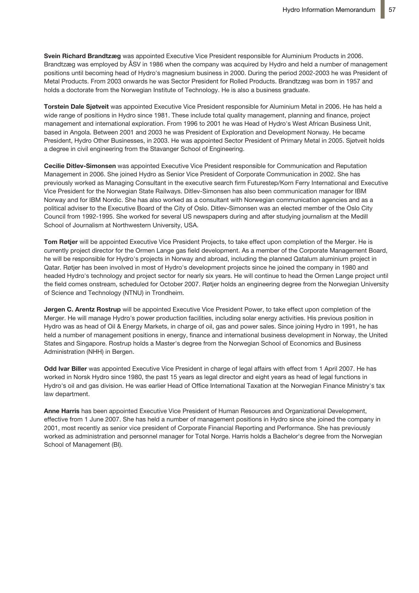**Svein Richard Brandtzæg** was appointed Executive Vice President responsible for Aluminium Products in 2006. Brandtzæg was employed by ÅSV in 1986 when the company was acquired by Hydro and held a number of management positions until becoming head of Hydro's magnesium business in 2000. During the period 2002-2003 he was President of Metal Products. From 2003 onwards he was Sector President for Rolled Products. Brandtzæg was born in 1957 and holds a doctorate from the Norwegian Institute of Technology. He is also a business graduate.

**Torstein Dale Sjøtveit** was appointed Executive Vice President responsible for Aluminium Metal in 2006. He has held a wide range of positions in Hydro since 1981. These include total quality management, planning and finance, project management and international exploration. From 1996 to 2001 he was Head of Hydro's West African Business Unit, based in Angola. Between 2001 and 2003 he was President of Exploration and Development Norway. He became President, Hydro Other Businesses, in 2003. He was appointed Sector President of Primary Metal in 2005. Sjøtveit holds a degree in civil engineering from the Stavanger School of Engineering.

**Cecilie Ditlev-Simonsen** was appointed Executive Vice President responsible for Communication and Reputation Management in 2006. She joined Hydro as Senior Vice President of Corporate Communication in 2002. She has previously worked as Managing Consultant in the executive search firm Futurestep/Korn Ferry International and Executive Vice President for the Norwegian State Railways. Ditlev-Simonsen has also been communication manager for IBM Norway and for IBM Nordic. She has also worked as a consultant with Norwegian communication agencies and as a political adviser to the Executive Board of the City of Oslo. Ditlev-Simonsen was an elected member of the Oslo City Council from 1992-1995. She worked for several US newspapers during and after studying journalism at the Medill School of Journalism at Northwestern University, USA.

**Tom Røtjer** will be appointed Executive Vice President Projects, to take effect upon completion of the Merger. He is currently project director for the Ormen Lange gas field development. As a member of the Corporate Management Board, he will be responsible for Hydro's projects in Norway and abroad, including the planned Qatalum aluminium project in Qatar. Røtjer has been involved in most of Hydro's development projects since he joined the company in 1980 and headed Hydro's technology and project sector for nearly six years. He will continue to head the Ormen Lange project until the field comes onstream, scheduled for October 2007. Røtjer holds an engineering degree from the Norwegian University of Science and Technology (NTNU) in Trondheim.

**Jørgen C. Arentz Rostrup** will be appointed Executive Vice President Power, to take effect upon completion of the Merger. He will manage Hydro's power production facilities, including solar energy activities. His previous position in Hydro was as head of Oil & Energy Markets, in charge of oil, gas and power sales. Since joining Hydro in 1991, he has held a number of management positions in energy, finance and international business development in Norway, the United States and Singapore. Rostrup holds a Master's degree from the Norwegian School of Economics and Business Administration (NHH) in Bergen.

**Odd Ivar Biller** was appointed Executive Vice President in charge of legal affairs with effect from 1 April 2007. He has worked in Norsk Hydro since 1980, the past 15 years as legal director and eight years as head of legal functions in Hydro's oil and gas division. He was earlier Head of Office International Taxation at the Norwegian Finance Ministry's tax law department.

**Anne Harris** has been appointed Executive Vice President of Human Resources and Organizational Development, effective from 1 June 2007. She has held a number of management positions in Hydro since she joined the company in 2001, most recently as senior vice president of Corporate Financial Reporting and Performance. She has previously worked as administration and personnel manager for Total Norge. Harris holds a Bachelor's degree from the Norwegian School of Management (BI).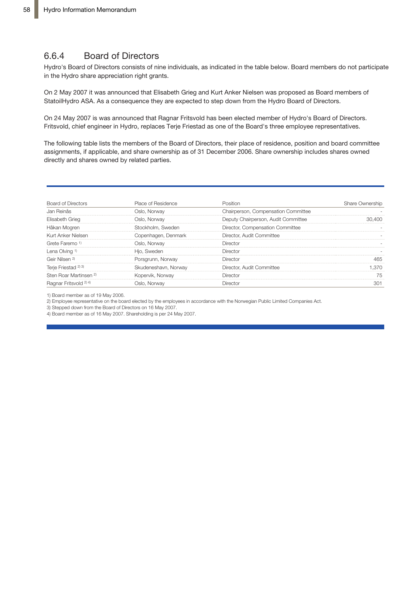## 6.6.4 Board of Directors

Hydro's Board of Directors consists of nine individuals, as indicated in the table below. Board members do not participate in the Hydro share appreciation right grants.

On 2 May 2007 it was announced that Elisabeth Grieg and Kurt Anker Nielsen was proposed as Board members of StatoilHydro ASA. As a consequence they are expected to step down from the Hydro Board of Directors.

On 24 May 2007 is was announced that Ragnar Fritsvold has been elected member of Hydro's Board of Directors. Fritsvold, chief engineer in Hydro, replaces Terje Friestad as one of the Board's three employee representatives.

The following table lists the members of the Board of Directors, their place of residence, position and board committee assignments, if applicable, and share ownership as of 31 December 2006. Share ownership includes shares owned directly and shares owned by related parties.

| <b>Board of Directors</b>         | Place of Residence   | Position                            | Share Ownership |
|-----------------------------------|----------------------|-------------------------------------|-----------------|
| Jan Reinås                        | Oslo, Norway         | Chairperson, Compensation Committee |                 |
| Elisabeth Grieg                   | Oslo, Norway         | Deputy Chairperson, Audit Committee |                 |
| Håkan Mogren                      | Stockholm. Sweden    | Director, Compensation Committee    |                 |
| Kurt Anker Nielsen                | Copenhagen, Denmark  | Director. Audit Committee           |                 |
| Grete Faremo 1)                   | Oslo. Norwav         | Director                            |                 |
| Lena Olving <sup>1)</sup>         | Hio. Sweden          | Director                            |                 |
| Geir Nilsen <sup>2</sup>          | Porsgrunn, Norway    | Director                            |                 |
| Terje Friestad 2) 3)              | Skudeneshavn, Norway | Director, Audit Committee           |                 |
| Sten Roar Martinsen <sup>2)</sup> | Kopervik, Norway     | Director                            |                 |
| Ragnar Fritsvold 2) 4)            | Oslo, Norway         | Director                            |                 |

1) Board member as of 19 May 2006.

2) Employee representative on the board elected by the employees in accordance with the Norwegian Public Limited Companies Act.

3) Stepped down from the Board of Directors on 16 May 2007.

4) Board member as of 16 May 2007. Shareholding is per 24 May 2007.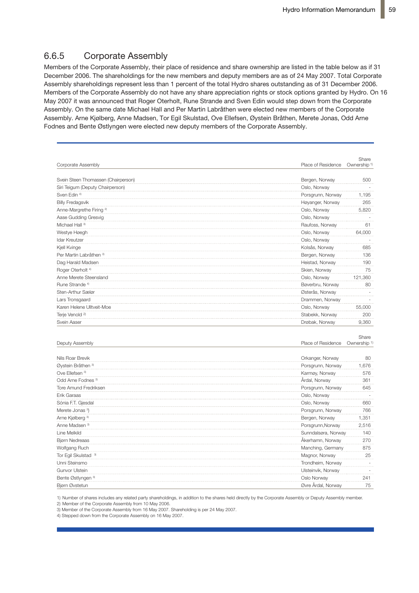## 6.6.5 Corporate Assembly

Members of the Corporate Assembly, their place of residence and share ownership are listed in the table below as if 31 December 2006. The shareholdings for the new members and deputy members are as of 24 May 2007. Total Corporate Assembly shareholdings represent less than 1 percent of the total Hydro shares outstanding as of 31 December 2006. Members of the Corporate Assembly do not have any share appreciation rights or stock options granted by Hydro. On 16 May 2007 it was announced that Roger Oterholt, Rune Strande and Sven Edin would step down from the Corporate **2** Assembly. On the same date Michael Hall and Per Martin Labråthen were elected new members of the Corporate Assembly. Arne Kjølberg, Anne Madsen, Tor Egil Skulstad, Ove Ellefsen, Øystein Bråthen, Merete Jonas, Odd Arne **HYN004913** Fodnes and Bente Østlyngen were elected new deputy members of the Corporate Assembly.

|                                     |                     | Share                   |
|-------------------------------------|---------------------|-------------------------|
| Corporate Assembly                  | Place of Residence  | Ownership <sup>1)</sup> |
|                                     |                     |                         |
| Svein Steen Thomassen (Chairperson) | Bergen, Norway      | 500                     |
| Siri Teigum (Deputy Chairperson)    | Oslo, Norway        |                         |
| Sven Edin <sup>4)</sup>             | Porsgrunn, Norway   | 1,195                   |
| <b>Billy Fredagsvik</b>             | Høyanger, Norway    | 265                     |
| Anne-Margrethe Firing <sup>2)</sup> | Oslo, Norway        | 5,820                   |
| Aase Gudding Gresvig                | Oslo, Norway        |                         |
| Michael Hall <sup>3)</sup>          | Raufoss, Norway     | 61                      |
| Westye Høegh                        | Oslo, Norway        | 64,000                  |
| Idar Kreutzer                       | Oslo, Norway        |                         |
| Kjell Kvinge                        | Kolsås, Norway      | 685                     |
| Per Martin Labråthen 3)             | Bergen, Norway      | 136                     |
| Dag Harald Madsen                   | Heistad, Norway     | 190                     |
| Roger Oterholt <sup>4)</sup>        | Skien, Norway       | 75                      |
| Anne Merete Steensland              | Oslo, Norway        | 121,360                 |
| Rune Strande <sup>4)</sup>          | Bøverbru, Norway    | 80                      |
| Sten-Arthur Sælør                   | Østerås, Norway     |                         |
| Lars Tronsgaard                     | Drammen, Norway     |                         |
| Karen Helene Ulltveit-Moe           | Oslo, Norway        | 55,000                  |
| Terje Venold <sup>2)</sup>          | Stabekk, Norway     | 200                     |
| Svein Aaser                         | Drøbak, Norway      | 9,360                   |
|                                     |                     |                         |
|                                     |                     | Share                   |
| Deputy Assembly                     | Place of Residence  | Ownership <sup>1)</sup> |
| Nils Roar Brevik                    | Orkanger, Norway    | 80                      |
| Øystein Bråthen 3)                  | Porsgrunn, Norway   | 1,676                   |
| Ove Ellefsen <sup>3)</sup>          | Karmøy, Norway      | 576                     |
| Odd Arne Fodnes <sup>3)</sup>       | Årdal, Norway       | 361                     |
| Tore Amund Fredriksen               | Porsgrunn, Norway   | 645                     |
| Erik Garaas                         | Oslo, Norway        |                         |
| Sónia F.T. Gjesdal                  | Oslo, Norway        | 660                     |
| Merete Jonas <sup>3</sup> )         | Porsgrunn, Norway   | 766                     |
| Arne Kjølberg <sup>3)</sup>         | Bergen, Norway      | 1,351                   |
| Anne Madsen <sup>3)</sup>           |                     |                         |
| Line Melkild                        | Porsgrunn, Norway   | 2,516<br>140            |
|                                     | Sunndalsøra, Norway |                         |
| <b>Bjørn Nedreaas</b>               | Åkerhamn, Norway    | 270                     |
| Wolfgang Ruch                       | Manching, Germany   | 875                     |
| Tor Egil Skulstad <sup>3)</sup>     | Magnor, Norway      | 25                      |
| Unni Steinsmo                       | Trondheim, Norway   |                         |
| <b>Gunvor Ulstein</b>               | Ulsteinvik, Norway  |                         |
| Bente Østlyngen 3)                  | Oslo Norway         | 241                     |
| Bjørn Øvstetun                      | Øvre Årdal, Norway  | 75                      |

1) Number of shares includes any related party shareholdings, in addition to the shares held directly by the Corporate Assembly or Deputy Assembly member.

2) Member of the Corporate Assembly from 10 May 2006.

3) Member of the Corporate Assembly from 16 May 2007. Shareholding is per 24 May 2007. 4) Stepped down from the Corporate Assembly on 16 May 2007.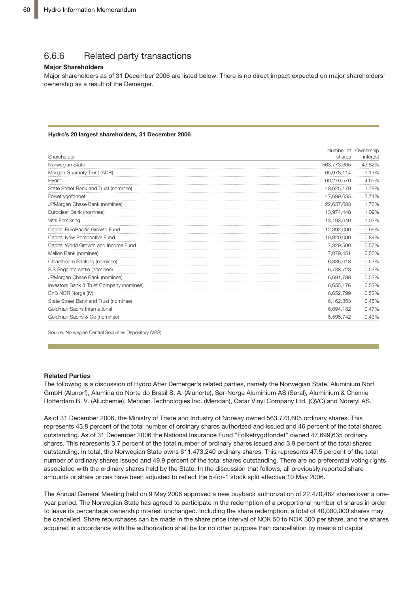## 6.6.6 Related party transactions

#### **Major Shareholders**

Major shareholders as of 31 December 2006 are listed below. There is no direct impact expected on major shareholders' ownership as a result of the Demerger.

#### **Hydro's 20 largest shareholders, 31 December 2006**

|                                          |             | Number of Ownership |
|------------------------------------------|-------------|---------------------|
| Shareholder                              | shares      | interest            |
| Norwegian State                          | 563,773,605 | 43.82%              |
| Morgan Guaranty Trust (ADR)              | 65,978,114  | 5.13%               |
| Hydro                                    | 60,279,570  | 4.69%               |
| State Street Bank and Trust (nominee)    | 48,625,179  | 3.78%               |
| Folketrygdfondet                         | 47,699,635  | 3.71%               |
| JPMorgan Chase Bank (nominee)            | 22,657,683  | 1.76%               |
| Euroclear Bank (nominee)                 | 13,974,448  | 1.09%               |
| Vital Forsikring                         | 13,193,640  | 1.03%               |
| Capital EuroPacific Growth Fund          | 12,392,000  | 0.96%               |
| Capital New Perspective Fund             | 10,820,000  | 0.84%               |
| Capital World Growth and Income Fund     | 7,329,500   | 0.57%               |
| Mellon Bank (nominee)                    | 7,079,451   | 0.55%               |
| Clearstream Banking (nominee)            | 6,835,618   | 0.53%               |
| SIS Segaintersettle (nominee)            | 6,733,723   | 0.52%               |
| JPMorgan Chase Bank (nominee)            | 6.691.798   | 0.52%               |
| Investors Bank & Trust Company (nominee) | 6,655,176   | 0.52%               |
| DnB NOR Norge (IV)                       | 6,652,799   | 0.52%               |
| State Street Bank and Trust (nominee)    | 6,162,353   | 0.48%               |
| Goldman Sachs International              | 6,094,182   | 0.47%               |
| Goldman Sachs & Co (nominee)             | 5.595.742   | 0.43%               |

Source: Norwegian Central Securities Depository (VPS)

#### **Related Parties**

**Information from Hydro Annual General Meeting** GmbH (Alunorf), Alumina do Norte do Brasil S. A. (Alunorte), Sør-Norge Aluminium AS (Søral), Aluminium & Chemie Rotterdam B. V. (Aluchemie), Meridan Technologies Inc. (Meridan), Qatar Vinyl Company Ltd. (QVC) and Noretyl AS. ket, and aims to maintain an open dialog with market participants. The matrix  $\mathbf{r}$ at the  $\frac{1}{2}$  satisfies  $\frac{1}{2}$  satisfies  $\frac{1}{2}$  satisfies 30, Oslo, Oslo, Oslo, Oslo, Oslo, Oslo, Oslo, Oslo, Oslo, Oslo, Oslo, Oslo, Oslo, Oslo, Oslo, Oslo, Oslo, Oslo, Oslo, Oslo, Oslo, Oslo, Oslo, Oslo, Oslo, The following is a discussion of Hydro After Demerger's related parties, namely the Norwegian State, Aluminium Norf

As of 31 December 2006, the Ministry of Trade and Industry of Norway owned 563,773,605 ordinary shares. This represents 43.8 percent of the total number of ordinary shares authorized and issued and 46 percent of the total shares outstanding. As of 31 December 2006 the National Insurance Fund "Folketrygdfondet" owned 47,699,635 ordinary by news release and stock exchange and stock exchange and stock exchange and stock exchange and stock exchange and stock exchange and stock exchange and stock exchange and stock exchange and stock exchange and stock exchan hards. This represents on personal or the total number of  $\sim$  $\frac{1}{2}$ brokers in Coldi, the Norwegian blace bivity on  $\frac{1}{2}$  $H$  Hydronical public is published and  $H$ ,  $\theta$  public on the  $\theta$ associated with the ordinary shares held by the State. In the discussion that follows, all previously reported share parcial rangers of the December 2000 the National medicines I and Tremedy generated curried 17,000,000 crainary<br>Shares. This represents 3.7 percent of the total number of ordinary shares issued and 3.9 percent of the total outstanding. In total, the Norwegian State owns 611,473,240 ordinary shares. This represents 47.5 percent of the total outstanding. In total, the Norwegian otate owns of 1,470,240 ordinary shares. This represents 47.5 percent of the total<br>number of ordinary shares issued and 49.9 percent of the total shares outstanding. There are no prefer amounts or share prices have been adjusted to reflect the 5-for-1 stock split effective 10 May 2006.

 $n_e$  annual deneral ivieeting held on 9 ividy 2000 approved year period. The Norwegian State has agreed to participate in the redemption of a proportional number of shares in order acquired in accordance with the authorization shall be for no other purpose than cancellation by means of capital The Annual General Meeting held on 9 May 2006 approved a new buyback authorization of 22,470,482 shares over a oneto leave its percentage ownership interest unchanged. Including the share redemption, a total of 40,000,000 shares may be cancelled. Share repurchases can be made in the share price interval of NOK 50 to NOK 300 per share, and the shares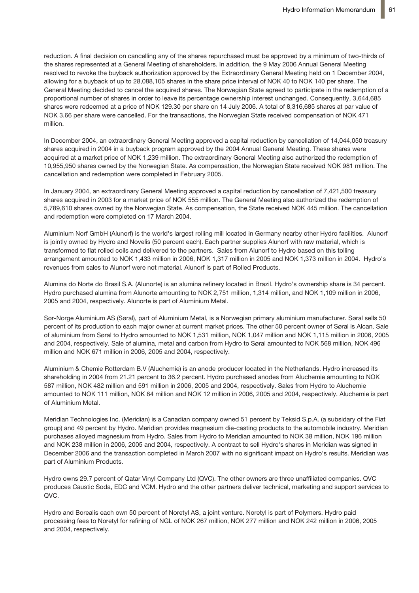reduction. A final decision on cancelling any of the shares repurchased must be approved by a minimum of two-thirds of the shares represented at a General Meeting of shareholders. In addition, the 9 May 2006 Annual General Meeting resolved to revoke the buyback authorization approved by the Extraordinary General Meeting held on 1 December 2004, allowing for a buyback of up to 28,088,105 shares in the share price interval of NOK 40 to NOK 140 per share. The General Meeting decided to cancel the acquired shares. The Norwegian State agreed to participate in the redemption of a proportional number of shares in order to leave its percentage ownership interest unchanged. Consequently, 3,644,685 shares were redeemed at a price of NOK 129.30 per share on 14 July 2006. A total of 8,316,685 shares at par value of NOK 3.66 per share were cancelled. For the transactions, the Norwegian State received compensation of NOK 471 million.

In December 2004, an extraordinary General Meeting approved a capital reduction by cancellation of 14,044,050 treasury shares acquired in 2004 in a buyback program approved by the 2004 Annual General Meeting. These shares were acquired at a market price of NOK 1,239 million. The extraordinary General Meeting also authorized the redemption of 10,955,950 shares owned by the Norwegian State. As compensation, the Norwegian State received NOK 981 million. The cancellation and redemption were completed in February 2005.

In January 2004, an extraordinary General Meeting approved a capital reduction by cancellation of 7,421,500 treasury shares acquired in 2003 for a market price of NOK 555 million. The General Meeting also authorized the redemption of 5,789,610 shares owned by the Norwegian State. As compensation, the State received NOK 445 million. The cancellation and redemption were completed on 17 March 2004.

Aluminium Norf GmbH (Alunorf) is the world's largest rolling mill located in Germany nearby other Hydro facilities. Alunorf is jointly owned by Hydro and Novelis (50 percent each). Each partner supplies Alunorf with raw material, which is transformed to flat rolled coils and delivered to the partners. Sales from Alunorf to Hydro based on this tolling arrangement amounted to NOK 1,433 million in 2006, NOK 1,317 million in 2005 and NOK 1,373 million in 2004. Hydro's revenues from sales to Alunorf were not material. Alunorf is part of Rolled Products.

Alumina do Norte do Brasil S.A. (Alunorte) is an alumina refinery located in Brazil. Hydro's ownership share is 34 percent. Hydro purchased alumina from Alunorte amounting to NOK 2,751 million, 1,314 million, and NOK 1,109 million in 2006, 2005 and 2004, respectively. Alunorte is part of Aluminium Metal.

Sør-Norge Aluminium AS (Søral), part of Aluminium Metal, is a Norwegian primary aluminium manufacturer. Søral sells 50 percent of its production to each major owner at current market prices. The other 50 percent owner of Søral is Alcan. Sale of aluminium from Søral to Hydro amounted to NOK 1,531 million, NOK 1,047 million and NOK 1,115 million in 2006, 2005 and 2004, respectively. Sale of alumina, metal and carbon from Hydro to Søral amounted to NOK 568 million, NOK 496 million and NOK 671 million in 2006, 2005 and 2004, respectively.

Aluminium & Chemie Rotterdam B.V (Aluchemie) is an anode producer located in the Netherlands. Hydro increased its shareholding in 2004 from 21.21 percent to 36.2 percent. Hydro purchased anodes from Aluchemie amounting to NOK 587 million, NOK 482 million and 591 million in 2006, 2005 and 2004, respectively. Sales from Hydro to Aluchemie amounted to NOK 111 million, NOK 84 million and NOK 12 million in 2006, 2005 and 2004, respectively. Aluchemie is part of Aluminium Metal.

Meridian Technologies Inc. (Meridian) is a Canadian company owned 51 percent by Teksid S.p.A. (a subsidary of the Fiat group) and 49 percent by Hydro. Meridian provides magnesium die-casting products to the automobile industry. Meridian purchases alloyed magnesium from Hydro. Sales from Hydro to Meridian amounted to NOK 38 million, NOK 196 million and NOK 238 million in 2006, 2005 and 2004, respectively. A contract to sell Hydro's shares in Meridian was signed in December 2006 and the transaction completed in March 2007 with no significant impact on Hydro's results. Meridian was part of Aluminium Products.

Hydro owns 29.7 percent of Qatar Vinyl Company Ltd (QVC). The other owners are three unaffiliated companies. QVC produces Caustic Soda, EDC and VCM. Hydro and the other partners deliver technical, marketing and support services to QVC.

Hydro and Borealis each own 50 percent of Noretyl AS, a joint venture. Noretyl is part of Polymers. Hydro paid processing fees to Noretyl for refining of NGL of NOK 267 million, NOK 277 million and NOK 242 million in 2006, 2005 and 2004, respectively.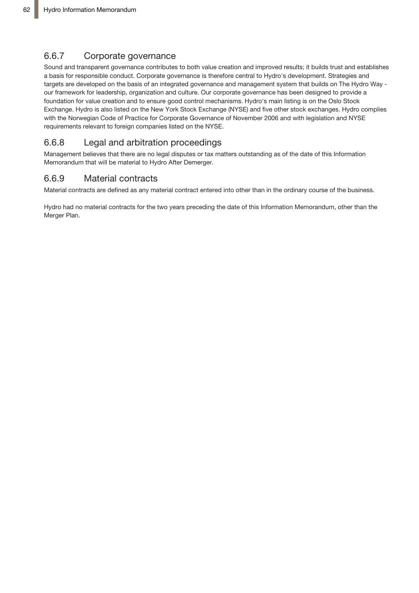## 6.6.7 Corporate governance

Sound and transparent governance contributes to both value creation and improved results; it builds trust and establishes a basis for responsible conduct. Corporate governance is therefore central to Hydro's development. Strategies and targets are developed on the basis of an integrated governance and management system that builds on The Hydro Way our framework for leadership, organization and culture. Our corporate governance has been designed to provide a foundation for value creation and to ensure good control mechanisms. Hydro's main listing is on the Oslo Stock Exchange. Hydro is also listed on the New York Stock Exchange (NYSE) and five other stock exchanges. Hydro complies with the Norwegian Code of Practice for Corporate Governance of November 2006 and with legislation and NYSE requirements relevant to foreign companies listed on the NYSE.

## 6.6.8 Legal and arbitration proceedings

Management believes that there are no legal disputes or tax matters outstanding as of the date of this Information Memorandum that will be material to Hydro After Demerger.

## 6.6.9 Material contracts

Material contracts are defined as any material contract entered into other than in the ordinary course of the business.

Hydro had no material contracts for the two years preceding the date of this Information Memorandum, other than the Merger Plan.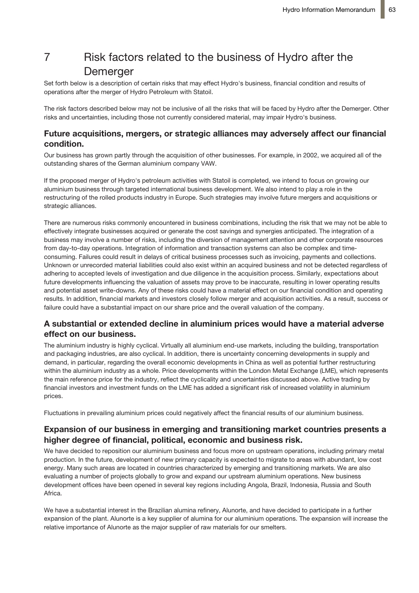# 7 Risk factors related to the business of Hydro after the Demerger

Set forth below is a description of certain risks that may effect Hydro's business, financial condition and results of operations after the merger of Hydro Petroleum with Statoil.

The risk factors described below may not be inclusive of all the risks that will be faced by Hydro after the Demerger. Other risks and uncertainties, including those not currently considered material, may impair Hydro's business.

### **Future acquisitions, mergers, or strategic alliances may adversely affect our financial condition.**

Our business has grown partly through the acquisition of other businesses. For example, in 2002, we acquired all of the outstanding shares of the German aluminium company VAW.

If the proposed merger of Hydro's petroleum activities with Statoil is completed, we intend to focus on growing our aluminium business through targeted international business development. We also intend to play a role in the restructuring of the rolled products industry in Europe. Such strategies may involve future mergers and acquisitions or strategic alliances.

There are numerous risks commonly encountered in business combinations, including the risk that we may not be able to effectively integrate businesses acquired or generate the cost savings and synergies anticipated. The integration of a business may involve a number of risks, including the diversion of management attention and other corporate resources from day-to-day operations. Integration of information and transaction systems can also be complex and timeconsuming. Failures could result in delays of critical business processes such as invoicing, payments and collections. Unknown or unrecorded material liabilities could also exist within an acquired business and not be detected regardless of adhering to accepted levels of investigation and due diligence in the acquisition process. Similarly, expectations about future developments influencing the valuation of assets may prove to be inaccurate, resulting in lower operating results and potential asset write-downs. Any of these risks could have a material effect on our financial condition and operating results. In addition, financial markets and investors closely follow merger and acquisition activities. As a result, success or failure could have a substantial impact on our share price and the overall valuation of the company.

## **A substantial or extended decline in aluminium prices would have a material adverse effect on our business.**

The aluminium industry is highly cyclical. Virtually all aluminium end-use markets, including the building, transportation and packaging industries, are also cyclical. In addition, there is uncertainty concerning developments in supply and demand, in particular, regarding the overall economic developments in China as well as potential further restructuring within the aluminium industry as a whole. Price developments within the London Metal Exchange (LME), which represents the main reference price for the industry, reflect the cyclicality and uncertainties discussed above. Active trading by financial investors and investment funds on the LME has added a significant risk of increased volatility in aluminium prices.

Fluctuations in prevailing aluminium prices could negatively affect the financial results of our aluminium business.

## **Expansion of our business in emerging and transitioning market countries presents a higher degree of financial, political, economic and business risk.**

We have decided to reposition our aluminium business and focus more on upstream operations, including primary metal production. In the future, development of new primary capacity is expected to migrate to areas with abundant, low cost energy. Many such areas are located in countries characterized by emerging and transitioning markets. We are also evaluating a number of projects globally to grow and expand our upstream aluminium operations. New business development offices have been opened in several key regions including Angola, Brazil, Indonesia, Russia and South Africa.

We have a substantial interest in the Brazilian alumina refinery, Alunorte, and have decided to participate in a further expansion of the plant. Alunorte is a key supplier of alumina for our aluminium operations. The expansion will increase the relative importance of Alunorte as the major supplier of raw materials for our smelters.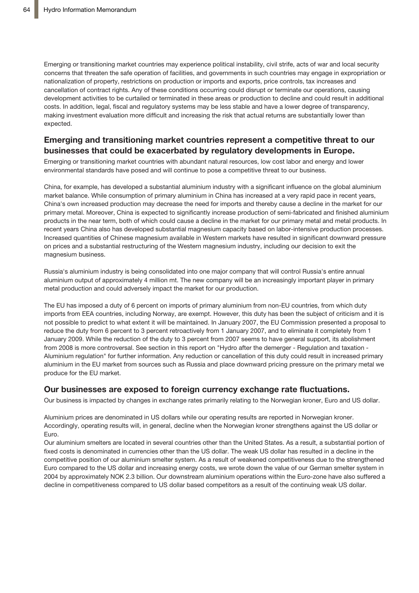Emerging or transitioning market countries may experience political instability, civil strife, acts of war and local security concerns that threaten the safe operation of facilities, and governments in such countries may engage in expropriation or nationalization of property, restrictions on production or imports and exports, price controls, tax increases and cancellation of contract rights. Any of these conditions occurring could disrupt or terminate our operations, causing development activities to be curtailed or terminated in these areas or production to decline and could result in additional costs. In addition, legal, fiscal and regulatory systems may be less stable and have a lower degree of transparency, making investment evaluation more difficult and increasing the risk that actual returns are substantially lower than expected.

## **Emerging and transitioning market countries represent a competitive threat to our businesses that could be exacerbated by regulatory developments in Europe.**

Emerging or transitioning market countries with abundant natural resources, low cost labor and energy and lower environmental standards have posed and will continue to pose a competitive threat to our business.

China, for example, has developed a substantial aluminium industry with a significant influence on the global aluminium market balance. While consumption of primary aluminium in China has increased at a very rapid pace in recent years, China's own increased production may decrease the need for imports and thereby cause a decline in the market for our primary metal. Moreover, China is expected to significantly increase production of semi-fabricated and finished aluminium products in the near term, both of which could cause a decline in the market for our primary metal and metal products. In recent years China also has developed substantial magnesium capacity based on labor-intensive production processes. Increased quantities of Chinese magnesium available in Western markets have resulted in significant downward pressure on prices and a substantial restructuring of the Western magnesium industry, including our decision to exit the magnesium business.

Russia's aluminium industry is being consolidated into one major company that will control Russia's entire annual aluminium output of approximately 4 million mt. The new company will be an increasingly important player in primary metal production and could adversely impact the market for our production.

The EU has imposed a duty of 6 percent on imports of primary aluminium from non-EU countries, from which duty imports from EEA countries, including Norway, are exempt. However, this duty has been the subject of criticism and it is not possible to predict to what extent it will be maintained. In January 2007, the EU Commission presented a proposal to reduce the duty from 6 percent to 3 percent retroactively from 1 January 2007, and to eliminate it completely from 1 January 2009. While the reduction of the duty to 3 percent from 2007 seems to have general support, its abolishment from 2008 is more controversal. See section in this report on "Hydro after the demerger - Regulation and taxation - Aluminium regulation" for further information. Any reduction or cancellation of this duty could result in increased primary aluminium in the EU market from sources such as Russia and place downward pricing pressure on the primary metal we produce for the EU market.

### **Our businesses are exposed to foreign currency exchange rate fluctuations.**

Our business is impacted by changes in exchange rates primarily relating to the Norwegian kroner, Euro and US dollar.

Aluminium prices are denominated in US dollars while our operating results are reported in Norwegian kroner. Accordingly, operating results will, in general, decline when the Norwegian kroner strengthens against the US dollar or Euro.

Our aluminium smelters are located in several countries other than the United States. As a result, a substantial portion of fixed costs is denominated in currencies other than the US dollar. The weak US dollar has resulted in a decline in the competitive position of our aluminium smelter system. As a result of weakened competitiveness due to the strengthened Euro compared to the US dollar and increasing energy costs, we wrote down the value of our German smelter system in 2004 by approximately NOK 2.3 billion. Our downstream aluminium operations within the Euro-zone have also suffered a decline in competitiveness compared to US dollar based competitors as a result of the continuing weak US dollar.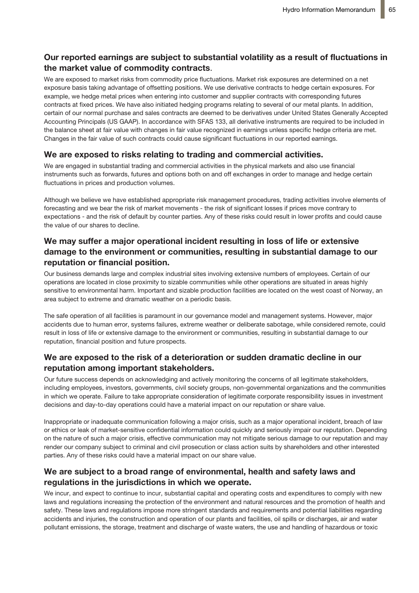## **Our reported earnings are subject to substantial volatility as a result of fluctuations in the market value of commodity contracts**.

We are exposed to market risks from commodity price fluctuations. Market risk exposures are determined on a net exposure basis taking advantage of offsetting positions. We use derivative contracts to hedge certain exposures. For example, we hedge metal prices when entering into customer and supplier contracts with corresponding futures contracts at fixed prices. We have also initiated hedging programs relating to several of our metal plants. In addition, certain of our normal purchase and sales contracts are deemed to be derivatives under United States Generally Accepted Accounting Principals (US GAAP). In accordance with SFAS 133, all derivative instruments are required to be included in the balance sheet at fair value with changes in fair value recognized in earnings unless specific hedge criteria are met. Changes in the fair value of such contracts could cause significant fluctuations in our reported earnings.

### **We are exposed to risks relating to trading and commercial activities.**

We are engaged in substantial trading and commercial activities in the physical markets and also use financial instruments such as forwards, futures and options both on and off exchanges in order to manage and hedge certain fluctuations in prices and production volumes.

Although we believe we have established appropriate risk management procedures, trading activities involve elements of forecasting and we bear the risk of market movements - the risk of significant losses if prices move contrary to expectations - and the risk of default by counter parties. Any of these risks could result in lower profits and could cause the value of our shares to decline.

## **We may suffer a major operational incident resulting in loss of life or extensive damage to the environment or communities, resulting in substantial damage to our reputation or financial position.**

Our business demands large and complex industrial sites involving extensive numbers of employees. Certain of our operations are located in close proximity to sizable communities while other operations are situated in areas highly sensitive to environmental harm. Important and sizable production facilities are located on the west coast of Norway, an area subject to extreme and dramatic weather on a periodic basis.

The safe operation of all facilities is paramount in our governance model and management systems. However, major accidents due to human error, systems failures, extreme weather or deliberate sabotage, while considered remote, could result in loss of life or extensive damage to the environment or communities, resulting in substantial damage to our reputation, financial position and future prospects.

### **We are exposed to the risk of a deterioration or sudden dramatic decline in our reputation among important stakeholders.**

Our future success depends on acknowledging and actively monitoring the concerns of all legitimate stakeholders, including employees, investors, governments, civil society groups, non-governmental organizations and the communities in which we operate. Failure to take appropriate consideration of legitimate corporate responsibility issues in investment decisions and day-to-day operations could have a material impact on our reputation or share value.

Inappropriate or inadequate communication following a major crisis, such as a major operational incident, breach of law or ethics or leak of market-sensitive confidential information could quickly and seriously impair our reputation. Depending on the nature of such a major crisis, effective communication may not mitigate serious damage to our reputation and may render our company subject to criminal and civil prosecution or class action suits by shareholders and other interested parties. Any of these risks could have a material impact on our share value.

## **We are subject to a broad range of environmental, health and safety laws and regulations in the jurisdictions in which we operate.**

We incur, and expect to continue to incur, substantial capital and operating costs and expenditures to comply with new laws and regulations increasing the protection of the environment and natural resources and the promotion of health and safety. These laws and regulations impose more stringent standards and requirements and potential liabilities regarding accidents and injuries, the construction and operation of our plants and facilities, oil spills or discharges, air and water pollutant emissions, the storage, treatment and discharge of waste waters, the use and handling of hazardous or toxic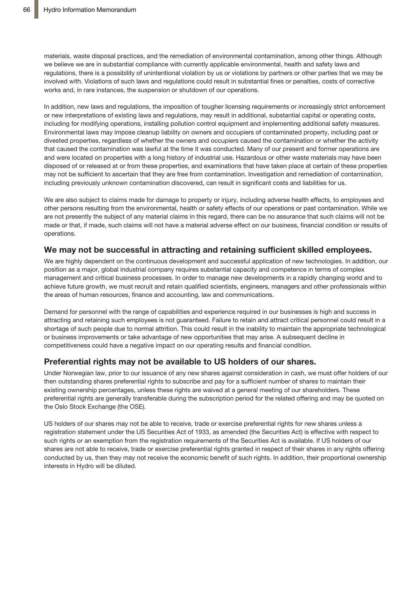materials, waste disposal practices, and the remediation of environmental contamination, among other things. Although we believe we are in substantial compliance with currently applicable environmental, health and safety laws and regulations, there is a possibility of unintentional violation by us or violations by partners or other parties that we may be involved with. Violations of such laws and regulations could result in substantial fines or penalties, costs of corrective works and, in rare instances, the suspension or shutdown of our operations.

In addition, new laws and regulations, the imposition of tougher licensing requirements or increasingly strict enforcement or new interpretations of existing laws and regulations, may result in additional, substantial capital or operating costs, including for modifying operations, installing pollution control equipment and implementing additional safety measures. Environmental laws may impose cleanup liability on owners and occupiers of contaminated property, including past or divested properties, regardless of whether the owners and occupiers caused the contamination or whether the activity that caused the contamination was lawful at the time it was conducted. Many of our present and former operations are and were located on properties with a long history of industrial use. Hazardous or other waste materials may have been disposed of or released at or from these properties, and examinations that have taken place at certain of these properties may not be sufficient to ascertain that they are free from contamination. Investigation and remediation of contamination, including previously unknown contamination discovered, can result in significant costs and liabilities for us.

We are also subject to claims made for damage to property or injury, including adverse health effects, to employees and other persons resulting from the environmental, health or safety effects of our operations or past contamination. While we are not presently the subject of any material claims in this regard, there can be no assurance that such claims will not be made or that, if made, such claims will not have a material adverse effect on our business, financial condition or results of operations.

### **We may not be successful in attracting and retaining sufficient skilled employees.**

We are highly dependent on the continuous development and successful application of new technologies. In addition, our position as a major, global industrial company requires substantial capacity and competence in terms of complex management and critical business processes. In order to manage new developments in a rapidly changing world and to achieve future growth, we must recruit and retain qualified scientists, engineers, managers and other professionals within the areas of human resources, finance and accounting, law and communications.

Demand for personnel with the range of capabilities and experience required in our businesses is high and success in attracting and retaining such employees is not guaranteed. Failure to retain and attract critical personnel could result in a shortage of such people due to normal attrition. This could result in the inability to maintain the appropriate technological or business improvements or take advantage of new opportunities that may arise. A subsequent decline in competitiveness could have a negative impact on our operating results and financial condition.

### **Preferential rights may not be available to US holders of our shares.**

Under Norwegian law, prior to our issuance of any new shares against consideration in cash, we must offer holders of our then outstanding shares preferential rights to subscribe and pay for a sufficient number of shares to maintain their existing ownership percentages, unless these rights are waived at a general meeting of our shareholders. These preferential rights are generally transferable during the subscription period for the related offering and may be quoted on the Oslo Stock Exchange (the OSE).

US holders of our shares may not be able to receive, trade or exercise preferential rights for new shares unless a registration statement under the US Securities Act of 1933, as amended (the Securities Act) is effective with respect to such rights or an exemption from the registration requirements of the Securities Act is available. If US holders of our shares are not able to receive, trade or exercise preferential rights granted in respect of their shares in any rights offering conducted by us, then they may not receive the economic benefit of such rights. In addition, their proportional ownership interests in Hydro will be diluted.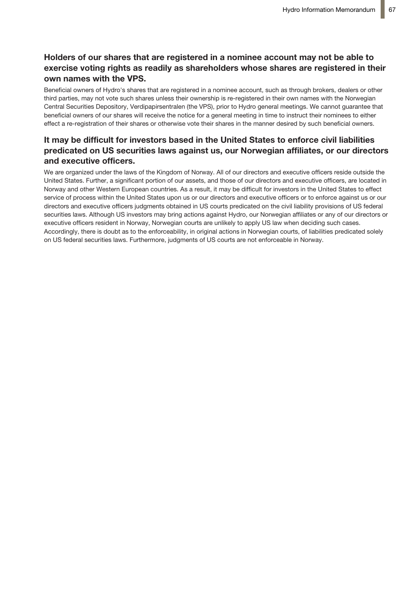## **Holders of our shares that are registered in a nominee account may not be able to exercise voting rights as readily as shareholders whose shares are registered in their own names with the VPS.**

Beneficial owners of Hydro's shares that are registered in a nominee account, such as through brokers, dealers or other third parties, may not vote such shares unless their ownership is re-registered in their own names with the Norwegian Central Securities Depository, Verdipapirsentralen (the VPS), prior to Hydro general meetings. We cannot guarantee that beneficial owners of our shares will receive the notice for a general meeting in time to instruct their nominees to either effect a re-registration of their shares or otherwise vote their shares in the manner desired by such beneficial owners.

## **It may be difficult for investors based in the United States to enforce civil liabilities predicated on US securities laws against us, our Norwegian affiliates, or our directors and executive officers.**

We are organized under the laws of the Kingdom of Norway. All of our directors and executive officers reside outside the United States. Further, a significant portion of our assets, and those of our directors and executive officers, are located in Norway and other Western European countries. As a result, it may be difficult for investors in the United States to effect service of process within the United States upon us or our directors and executive officers or to enforce against us or our directors and executive officers judgments obtained in US courts predicated on the civil liability provisions of US federal securities laws. Although US investors may bring actions against Hydro, our Norwegian affiliates or any of our directors or executive officers resident in Norway, Norwegian courts are unlikely to apply US law when deciding such cases. Accordingly, there is doubt as to the enforceability, in original actions in Norwegian courts, of liabilities predicated solely on US federal securities laws. Furthermore, judgments of US courts are not enforceable in Norway.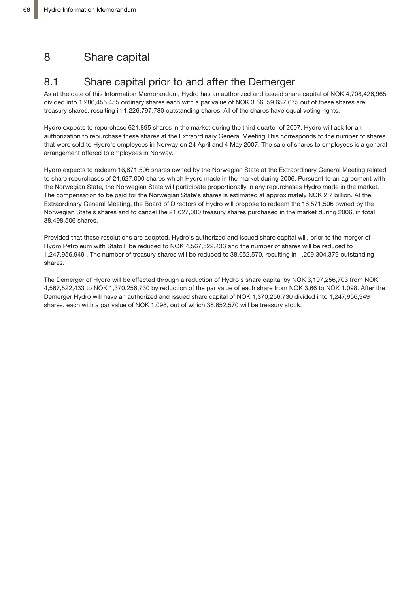# 8 Share capital

# 8.1 Share capital prior to and after the Demerger

As at the date of this Information Memorandum, Hydro has an authorized and issued share capital of NOK 4,708,426,965 divided into 1,286,455,455 ordinary shares each with a par value of NOK 3.66. 59,657,675 out of these shares are treasury shares, resulting in 1,226,797,780 outstanding shares. All of the shares have equal voting rights.

Hydro expects to repurchase 621,895 shares in the market during the third quarter of 2007. Hydro will ask for an authorization to repurchase these shares at the Extraordinary General Meeting.This corresponds to the number of shares that were sold to Hydro's employees in Norway on 24 April and 4 May 2007. The sale of shares to employees is a general arrangement offered to employees in Norway.

Hydro expects to redeem 16,871,506 shares owned by the Norwegian State at the Extraordinary General Meeting related to share repurchases of 21,627,000 shares which Hydro made in the market during 2006. Pursuant to an agreement with the Norwegian State, the Norwegian State will participate proportionally in any repurchases Hydro made in the market. The compensation to be paid for the Norwegian State's shares is estimated at approximately NOK 2.7 billion. At the Extraordinary General Meeting, the Board of Directors of Hydro will propose to redeem the 16,571,506 owned by the Norwegian State's shares and to cancel the 21,627,000 treasury shares purchased in the market during 2006, in total 38,498,506 shares.

Provided that these resolutions are adopted, Hydro's authorized and issued share capital will, prior to the merger of Hydro Petroleum with Statoil, be reduced to NOK 4,567,522,433 and the number of shares will be reduced to 1,247,956,949 . The number of treasury shares will be reduced to 38,652,570, resulting in 1,209,304,379 outstanding shares.

The Demerger of Hydro will be effected through a reduction of Hydro's share capital by NOK 3,197,256,703 from NOK 4,567,522,433 to NOK 1,370,256,730 by reduction of the par value of each share from NOK 3.66 to NOK 1.098. After the Demerger Hydro will have an authorized and issued share capital of NOK 1,370,256,730 divided into 1,247,956,949 shares, each with a par value of NOK 1.098, out of which 38,652,570 will be treasury stock.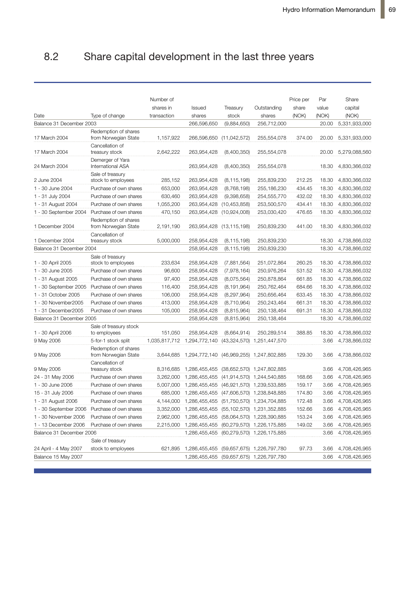#### Share capital development in the last three years  $8.2$

|                          |                                              | Number of   |                                                    |                          |                                          | Price per | Par   | Share         |
|--------------------------|----------------------------------------------|-------------|----------------------------------------------------|--------------------------|------------------------------------------|-----------|-------|---------------|
|                          |                                              | shares in   | <b>Issued</b>                                      | Treasury                 | Outstanding                              | share     | value | capital       |
| Date                     | Type of change                               | transaction | shares                                             | stock                    | shares                                   | (NOK)     | (NOK) | (NOK)         |
| Balance 31 December 2003 |                                              |             | 266,596,650                                        | (9,884,650)              | 256,712,000                              |           | 20.00 | 5,331,933,000 |
|                          |                                              |             |                                                    |                          |                                          |           |       |               |
| 17 March 2004            | Redemption of shares<br>from Norwegian State | 1,157,922   |                                                    | 266,596,650 (11,042,572) | 255,554,078                              | 374.00    | 20.00 | 5,331,933,000 |
|                          | Cancellation of                              |             |                                                    |                          |                                          |           |       |               |
| 17 March 2004            | treasury stock                               | 2,642,222   | 263,954,428                                        | (8,400,350)              | 255,554,078                              |           | 20.00 | 5,279,088,560 |
| 24 March 2004            | Demerger of Yara<br>International ASA        |             | 263,954,428                                        | (8,400,350)              | 255,554,078                              |           | 18.30 | 4,830,366,032 |
| 2 June 2004              | Sale of treasury<br>stock to employees       | 285,152     | 263,954,428                                        | (8, 115, 198)            | 255,839,230                              | 212.25    | 18.30 | 4,830,366,032 |
| 1 - 30 June 2004         | Purchase of own shares                       | 653,000     | 263,954,428                                        | (8,768,198)              | 255,186,230                              | 434.45    | 18.30 | 4,830,366,032 |
| 1 - 31 July 2004         | Purchase of own shares                       | 630,460     | 263,954,428                                        | (9,398,658)              | 254,555,770                              | 432.02    | 18.30 | 4,830,366,032 |
| 1 - 31 August 2004       | Purchase of own shares                       | 1,055,200   | 263,954,428                                        | (10, 453, 858)           | 253,500,570                              | 434.41    | 18.30 | 4,830,366,032 |
| 1 - 30 September 2004    | Purchase of own shares                       | 470,150     | 263,954,428                                        | (10,924,008)             | 253,030,420                              | 476.65    | 18.30 | 4,830,366,032 |
| 1 December 2004          | Redemption of shares<br>from Norwegian State | 2,191,190   |                                                    | 263,954,428 (13,115,198) | 250,839,230                              | 441.00    | 18.30 | 4,830,366,032 |
|                          | Cancellation of                              |             |                                                    |                          |                                          |           |       |               |
| 1 December 2004          | treasury stock                               | 5,000,000   | 258,954,428                                        | (8, 115, 198)            | 250,839,230                              |           | 18.30 | 4,738,866,032 |
| Balance 31 December 2004 |                                              |             | 258,954,428                                        | (8, 115, 198)            | 250,839,230                              |           | 18.30 | 4,738,866,032 |
| 1 - 30 April 2005        | Sale of treasury<br>stock to employees       | 233,634     | 258,954,428                                        | (7,881,564)              | 251,072,864                              | 260.25    | 18.30 | 4,738,866,032 |
| 1 - 30 June 2005         | Purchase of own shares                       | 96,600      | 258,954,428                                        | (7,978,164)              | 250,976,264                              | 531.52    | 18.30 | 4,738,866,032 |
| 1 - 31 August 2005       | Purchase of own shares                       | 97.400      | 258,954,428                                        | (8,075,564)              | 250,878,864                              | 661.85    | 18.30 | 4,738,866,032 |
| 1 - 30 September 2005    | Purchase of own shares                       | 116,400     | 258,954,428                                        | (8, 191, 964)            | 250,762,464                              | 684.66    | 18.30 | 4,738,866,032 |
| 1 - 31 October 2005      | Purchase of own shares                       | 106,000     | 258,954,428                                        | (8, 297, 964)            | 250,656,464                              | 633.45    | 18.30 | 4,738,866,032 |
| 1 - 30 November 2005     | Purchase of own shares                       | 413,000     | 258,954,428                                        | (8,710,964)              | 250,243,464                              | 661.31    | 18.30 | 4,738,866,032 |
| 1 - 31 December 2005     | Purchase of own shares                       | 105,000     | 258,954,428                                        | (8,815,964)              | 250,138,464                              | 691.31    | 18.30 | 4,738,866,032 |
| Balance 31 December 2005 |                                              |             | 258,954,428                                        | (8,815,964)              | 250,138,464                              |           | 18.30 | 4,738,866,032 |
|                          | Sale of treasury stock                       |             |                                                    |                          |                                          |           |       |               |
| 1 - 30 April 2006        | to employees                                 | 151,050     | 258,954,428                                        | (8,664,914)              | 250,289,514                              | 388.85    | 18.30 | 4,738,866,032 |
| 9 May 2006               | 5-for-1 stock split                          |             | 1,035,817,712 1,294,772,140                        |                          | (43,324,570) 1,251,447,570               |           | 3.66  | 4,738,866,032 |
| 9 May 2006               | Redemption of shares<br>from Norwegian State | 3,644,685   | 1,294,772,140                                      |                          | (46,969,255) 1,247,802,885               | 129.30    | 3.66  | 4,738,866,032 |
| 9 May 2006               | Cancellation of<br>treasury stock            | 8,316,685   | 1,286,455,455                                      |                          | (38,652,570) 1,247,802,885               |           | 3.66  | 4,708,426,965 |
| 24 - 31 May 2006         | Purchase of own shares                       | 3,262,000   | 1,286,455,455                                      |                          | (41,914,570) 1,244,540,885               | 168.66    | 3.66  | 4,708,426,965 |
| 1 - 30 June 2006         | Purchase of own shares                       | 5,007,000   | 1,286,455,455                                      |                          | (46,921,570) 1,239,533,885               | 159.17    | 3.66  | 4,708,426,965 |
| 15 - 31 July 2006        | Purchase of own shares                       | 685,000     | 1,286,455,455                                      |                          | (47,606,570) 1,238,848,885               | 174.80    | 3.66  | 4,708,426,965 |
| 1 - 31 August 2006       | Purchase of own shares                       | 4,144,000   | 1,286,455,455                                      |                          | (51,750,570) 1,234,704,885               | 172.48    | 3.66  | 4,708,426,965 |
| 1 - 30 September 2006    | Purchase of own shares                       |             | 3,352,000 1,286,455,455 (55,102,570) 1,231,352,885 |                          |                                          | 152.66    | 3.66  | 4,708,426,965 |
| 1 - 30 November 2006     | Purchase of own shares                       |             | 2,962,000 1,286,455,455                            |                          | (58,064,570) 1,228,390,885               | 153.24    | 3.66  | 4,708,426,965 |
| 1 - 13 December 2006     | Purchase of own shares                       |             | 2,215,000 1,286,455,455                            |                          | (60,279,570) 1,226,175,885               | 149.02    | 3.66  | 4,708,426,965 |
| Balance 31 December 2006 |                                              |             |                                                    |                          | 1,286,455,455 (60,279,570) 1,226,175,885 |           | 3.66  | 4,708,426,965 |
|                          | Sale of treasury                             |             |                                                    |                          |                                          |           |       |               |
| 24 April - 4 May 2007    | stock to employees                           | 621,895     | 1,286,455,455 (59,657,675) 1,226,797,780           |                          |                                          | 97.73     | 3.66  | 4,708,426,965 |
| Balance 15 May 2007      |                                              |             | 1,286,455,455                                      |                          | (59,657,675) 1,226,797,780               |           | 3.66  | 4,708,426,965 |